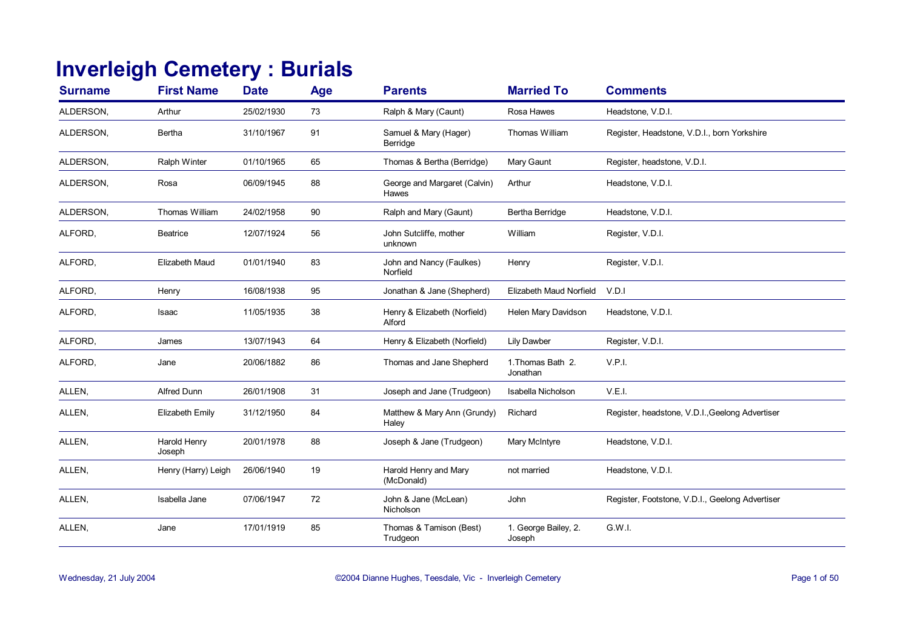## **Inverleigh Cemetery : Burials**

| <b>Surname</b> | <b>First Name</b>      | <b>Date</b> | Age | <b>Parents</b>                         | <b>Married To</b>              | <b>Comments</b>                                 |
|----------------|------------------------|-------------|-----|----------------------------------------|--------------------------------|-------------------------------------------------|
| ALDERSON,      | Arthur                 | 25/02/1930  | 73  | Ralph & Mary (Caunt)                   | Rosa Hawes                     | Headstone, V.D.I.                               |
| ALDERSON,      | Bertha                 | 31/10/1967  | 91  | Samuel & Mary (Hager)<br>Berridge      | Thomas William                 | Register, Headstone, V.D.I., born Yorkshire     |
| ALDERSON,      | Ralph Winter           | 01/10/1965  | 65  | Thomas & Bertha (Berridge)             | Mary Gaunt                     | Register, headstone, V.D.I.                     |
| ALDERSON,      | Rosa                   | 06/09/1945  | 88  | George and Margaret (Calvin)<br>Hawes  | Arthur                         | Headstone, V.D.I.                               |
| ALDERSON,      | Thomas William         | 24/02/1958  | 90  | Ralph and Mary (Gaunt)                 | Bertha Berridge                | Headstone, V.D.I.                               |
| ALFORD,        | <b>Beatrice</b>        | 12/07/1924  | 56  | John Sutcliffe, mother<br>unknown      | William                        | Register, V.D.I.                                |
| ALFORD,        | <b>Elizabeth Maud</b>  | 01/01/1940  | 83  | John and Nancy (Faulkes)<br>Norfield   | Henry                          | Register, V.D.I.                                |
| ALFORD.        | Henry                  | 16/08/1938  | 95  | Jonathan & Jane (Shepherd)             | Elizabeth Maud Norfield        | V.D.1                                           |
| ALFORD,        | Isaac                  | 11/05/1935  | 38  | Henry & Elizabeth (Norfield)<br>Alford | Helen Mary Davidson            | Headstone, V.D.I.                               |
| ALFORD,        | James                  | 13/07/1943  | 64  | Henry & Elizabeth (Norfield)           | Lily Dawber                    | Register, V.D.I.                                |
| ALFORD,        | Jane                   | 20/06/1882  | 86  | Thomas and Jane Shepherd               | 1. Thomas Bath 2.<br>Jonathan  | V.P.I.                                          |
| ALLEN,         | <b>Alfred Dunn</b>     | 26/01/1908  | 31  | Joseph and Jane (Trudgeon)             | Isabella Nicholson             | V.E.I.                                          |
| ALLEN,         | Elizabeth Emily        | 31/12/1950  | 84  | Matthew & Mary Ann (Grundy)<br>Haley   | Richard                        | Register, headstone, V.D.I., Geelong Advertiser |
| ALLEN,         | Harold Henry<br>Joseph | 20/01/1978  | 88  | Joseph & Jane (Trudgeon)               | Mary McIntyre                  | Headstone, V.D.I.                               |
| ALLEN,         | Henry (Harry) Leigh    | 26/06/1940  | 19  | Harold Henry and Mary<br>(McDonald)    | not married                    | Headstone, V.D.I.                               |
| ALLEN,         | Isabella Jane          | 07/06/1947  | 72  | John & Jane (McLean)<br>Nicholson      | John                           | Register, Footstone, V.D.I., Geelong Advertiser |
| ALLEN,         | Jane                   | 17/01/1919  | 85  | Thomas & Tamison (Best)<br>Trudgeon    | 1. George Bailey, 2.<br>Joseph | G.W.I.                                          |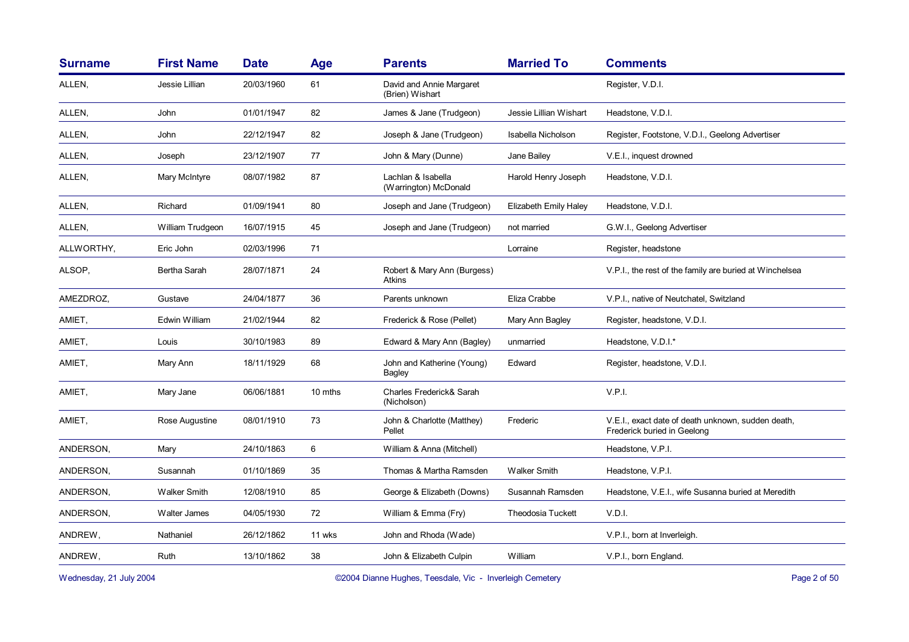| <b>Surname</b> | <b>First Name</b>   | <b>Date</b> | Age     | <b>Parents</b>                               | <b>Married To</b>        | <b>Comments</b>                                                                   |
|----------------|---------------------|-------------|---------|----------------------------------------------|--------------------------|-----------------------------------------------------------------------------------|
| ALLEN,         | Jessie Lillian      | 20/03/1960  | 61      | David and Annie Margaret<br>(Brien) Wishart  |                          | Register, V.D.I.                                                                  |
| ALLEN,         | John                | 01/01/1947  | 82      | James & Jane (Trudgeon)                      | Jessie Lillian Wishart   | Headstone, V.D.I.                                                                 |
| ALLEN,         | John                | 22/12/1947  | 82      | Joseph & Jane (Trudgeon)                     | Isabella Nicholson       | Register, Footstone, V.D.I., Geelong Advertiser                                   |
| ALLEN,         | Joseph              | 23/12/1907  | 77      | John & Mary (Dunne)                          | Jane Bailey              | V.E.I., inquest drowned                                                           |
| ALLEN,         | Mary McIntyre       | 08/07/1982  | 87      | Lachlan & Isabella<br>(Warrington) McDonald  | Harold Henry Joseph      | Headstone, V.D.I.                                                                 |
| ALLEN,         | Richard             | 01/09/1941  | 80      | Joseph and Jane (Trudgeon)                   | Elizabeth Emily Haley    | Headstone, V.D.I.                                                                 |
| ALLEN,         | William Trudgeon    | 16/07/1915  | 45      | Joseph and Jane (Trudgeon)                   | not married              | G.W.I., Geelong Advertiser                                                        |
| ALLWORTHY,     | Eric John           | 02/03/1996  | 71      |                                              | Lorraine                 | Register, headstone                                                               |
| ALSOP,         | Bertha Sarah        | 28/07/1871  | 24      | Robert & Mary Ann (Burgess)<br><b>Atkins</b> |                          | V.P.I., the rest of the family are buried at Winchelsea                           |
| AMEZDROZ,      | Gustave             | 24/04/1877  | 36      | Parents unknown                              | Eliza Crabbe             | V.P.I., native of Neutchatel, Switzland                                           |
| AMIET,         | Edwin William       | 21/02/1944  | 82      | Frederick & Rose (Pellet)                    | Mary Ann Bagley          | Register, headstone, V.D.I.                                                       |
| AMIET,         | Louis               | 30/10/1983  | 89      | Edward & Mary Ann (Bagley)                   | unmarried                | Headstone, V.D.I.*                                                                |
| AMIET,         | Mary Ann            | 18/11/1929  | 68      | John and Katherine (Young)<br>Bagley         | Edward                   | Register, headstone, V.D.I.                                                       |
| AMIET,         | Mary Jane           | 06/06/1881  | 10 mths | Charles Frederick& Sarah<br>(Nicholson)      |                          | V.P.I.                                                                            |
| AMIET,         | Rose Augustine      | 08/01/1910  | 73      | John & Charlotte (Matthey)<br>Pellet         | Frederic                 | V.E.I., exact date of death unknown, sudden death,<br>Frederick buried in Geelong |
| ANDERSON,      | Mary                | 24/10/1863  | 6       | William & Anna (Mitchell)                    |                          | Headstone, V.P.I.                                                                 |
| ANDERSON,      | Susannah            | 01/10/1869  | 35      | Thomas & Martha Ramsden                      | <b>Walker Smith</b>      | Headstone, V.P.I.                                                                 |
| ANDERSON,      | <b>Walker Smith</b> | 12/08/1910  | 85      | George & Elizabeth (Downs)                   | Susannah Ramsden         | Headstone, V.E.I., wife Susanna buried at Meredith                                |
| ANDERSON,      | Walter James        | 04/05/1930  | 72      | William & Emma (Fry)                         | <b>Theodosia Tuckett</b> | V.D.I.                                                                            |
| ANDREW,        | Nathaniel           | 26/12/1862  | 11 wks  | John and Rhoda (Wade)                        |                          | V.P.I., born at Inverleigh.                                                       |
| ANDREW,        | <b>Ruth</b>         | 13/10/1862  | 38      | John & Elizabeth Culpin                      | William                  | V.P.I., born England.                                                             |
|                |                     |             |         |                                              |                          |                                                                                   |

Wednesday, 21 July 2004 **Dianne Hughes, Teesdale, Vic - Inverleigh Cemetery** Page 2 of 50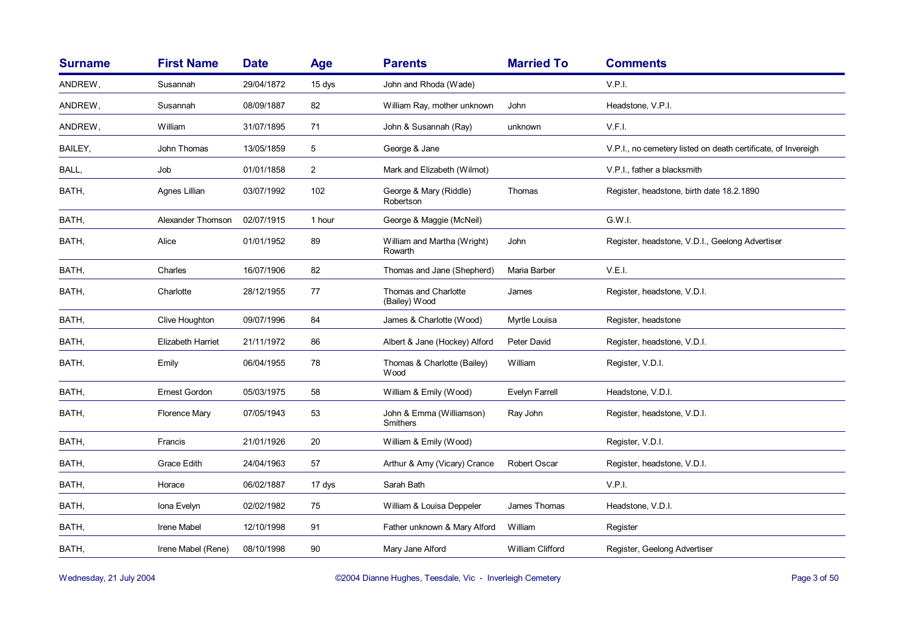| <b>Surname</b> | <b>First Name</b>    | <b>Date</b> | <b>Age</b>     | <b>Parents</b>                         | <b>Married To</b> | <b>Comments</b>                                               |
|----------------|----------------------|-------------|----------------|----------------------------------------|-------------------|---------------------------------------------------------------|
| ANDREW,        | Susannah             | 29/04/1872  | 15 dys         | John and Rhoda (Wade)                  |                   | V.P.I.                                                        |
| ANDREW,        | Susannah             | 08/09/1887  | 82             | William Ray, mother unknown            | John              | Headstone, V.P.I.                                             |
| ANDREW,        | William              | 31/07/1895  | 71             | John & Susannah (Ray)                  | unknown           | V.F.I.                                                        |
| BAILEY,        | John Thomas          | 13/05/1859  | 5              | George & Jane                          |                   | V.P.I., no cemetery listed on death certificate, of Invereigh |
| BALL,          | Job                  | 01/01/1858  | $\overline{2}$ | Mark and Elizabeth (Wilmot)            |                   | V.P.I., father a blacksmith                                   |
| BATH,          | Agnes Lillian        | 03/07/1992  | 102            | George & Mary (Riddle)<br>Robertson    | Thomas            | Register, headstone, birth date 18.2.1890                     |
| BATH,          | Alexander Thomson    | 02/07/1915  | 1 hour         | George & Maggie (McNeil)               |                   | G.W.I.                                                        |
| BATH,          | Alice                | 01/01/1952  | 89             | William and Martha (Wright)<br>Rowarth | John              | Register, headstone, V.D.I., Geelong Advertiser               |
| BATH,          | Charles              | 16/07/1906  | 82             | Thomas and Jane (Shepherd)             | Maria Barber      | V.E.I.                                                        |
| BATH,          | Charlotte            | 28/12/1955  | 77             | Thomas and Charlotte<br>(Bailey) Wood  | James             | Register, headstone, V.D.I.                                   |
| BATH,          | Clive Houghton       | 09/07/1996  | 84             | James & Charlotte (Wood)               | Myrtle Louisa     | Register, headstone                                           |
| BATH,          | Elizabeth Harriet    | 21/11/1972  | 86             | Albert & Jane (Hockey) Alford          | Peter David       | Register, headstone, V.D.I.                                   |
| BATH,          | Emily                | 06/04/1955  | 78             | Thomas & Charlotte (Bailey)<br>Wood    | William           | Register, V.D.I.                                              |
| BATH,          | Ernest Gordon        | 05/03/1975  | 58             | William & Emily (Wood)                 | Evelyn Farrell    | Headstone, V.D.I.                                             |
| BATH,          | <b>Florence Mary</b> | 07/05/1943  | 53             | John & Emma (Williamson)<br>Smithers   | Ray John          | Register, headstone, V.D.I.                                   |
| BATH,          | Francis              | 21/01/1926  | 20             | William & Emily (Wood)                 |                   | Register, V.D.I.                                              |
| BATH,          | <b>Grace Edith</b>   | 24/04/1963  | 57             | Arthur & Amy (Vicary) Crance           | Robert Oscar      | Register, headstone, V.D.I.                                   |
| BATH,          | Horace               | 06/02/1887  | 17 dys         | Sarah Bath                             |                   | V.P.I.                                                        |
| BATH,          | Iona Evelyn          | 02/02/1982  | 75             | William & Louisa Deppeler              | James Thomas      | Headstone, V.D.I.                                             |
| BATH,          | Irene Mabel          | 12/10/1998  | 91             | Father unknown & Mary Alford           | William           | Register                                                      |
| BATH,          | Irene Mabel (Rene)   | 08/10/1998  | 90             | Mary Jane Alford                       | William Clifford  | Register, Geelong Advertiser                                  |

Wednesday, 21 July 2004 **Dianne Hughes, Teesdale, Vic - Inverleigh Cemetery** Page 3 of 50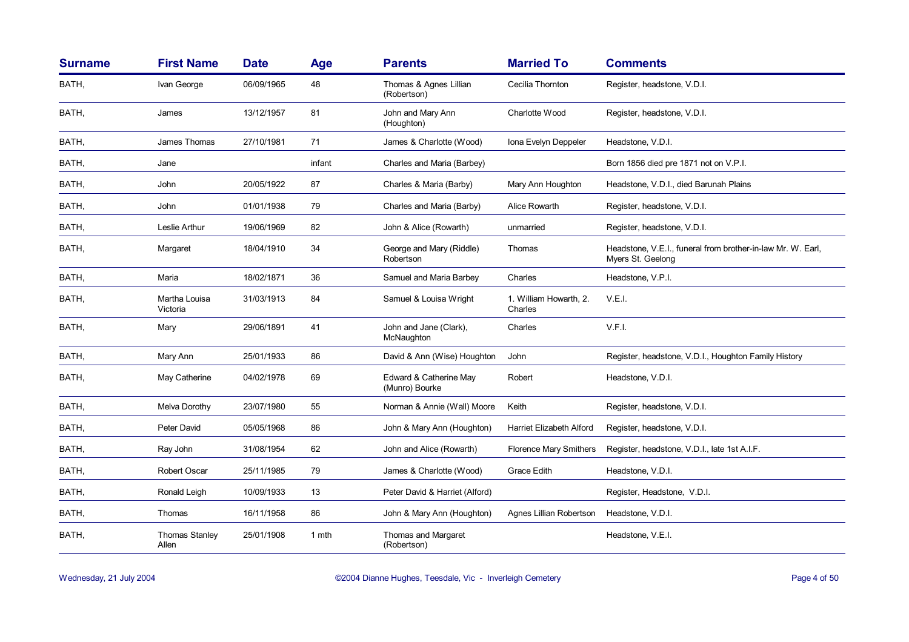| <b>Surname</b> | <b>First Name</b>              | <b>Date</b> | Age    | <b>Parents</b>                           | <b>Married To</b>                 | <b>Comments</b>                                                                  |
|----------------|--------------------------------|-------------|--------|------------------------------------------|-----------------------------------|----------------------------------------------------------------------------------|
| BATH,          | Ivan George                    | 06/09/1965  | 48     | Thomas & Agnes Lillian<br>(Robertson)    | Cecilia Thornton                  | Register, headstone, V.D.I.                                                      |
| BATH,          | James                          | 13/12/1957  | 81     | John and Mary Ann<br>(Houghton)          | Charlotte Wood                    | Register, headstone, V.D.I.                                                      |
| BATH,          | James Thomas                   | 27/10/1981  | 71     | James & Charlotte (Wood)                 | Iona Evelyn Deppeler              | Headstone, V.D.I.                                                                |
| BATH,          | Jane                           |             | infant | Charles and Maria (Barbey)               |                                   | Born 1856 died pre 1871 not on V.P.I.                                            |
| BATH,          | John                           | 20/05/1922  | 87     | Charles & Maria (Barby)                  | Mary Ann Houghton                 | Headstone, V.D.I., died Barunah Plains                                           |
| BATH,          | John                           | 01/01/1938  | 79     | Charles and Maria (Barby)                | Alice Rowarth                     | Register, headstone, V.D.I.                                                      |
| BATH,          | Leslie Arthur                  | 19/06/1969  | 82     | John & Alice (Rowarth)                   | unmarried                         | Register, headstone, V.D.I.                                                      |
| BATH,          | Margaret                       | 18/04/1910  | 34     | George and Mary (Riddle)<br>Robertson    | Thomas                            | Headstone, V.E.I., funeral from brother-in-law Mr. W. Earl,<br>Myers St. Geelong |
| BATH,          | Maria                          | 18/02/1871  | 36     | Samuel and Maria Barbey                  | Charles                           | Headstone, V.P.I.                                                                |
| BATH,          | Martha Louisa<br>Victoria      | 31/03/1913  | 84     | Samuel & Louisa Wright                   | 1. William Howarth, 2.<br>Charles | V.E.I.                                                                           |
| BATH,          | Mary                           | 29/06/1891  | 41     | John and Jane (Clark),<br>McNaughton     | Charles                           | V.F.I.                                                                           |
| BATH,          | Mary Ann                       | 25/01/1933  | 86     | David & Ann (Wise) Houghton              | John                              | Register, headstone, V.D.I., Houghton Family History                             |
| BATH,          | May Catherine                  | 04/02/1978  | 69     | Edward & Catherine May<br>(Munro) Bourke | Robert                            | Headstone, V.D.I.                                                                |
| BATH,          | Melva Dorothy                  | 23/07/1980  | 55     | Norman & Annie (Wall) Moore              | Keith                             | Register, headstone, V.D.I.                                                      |
| BATH,          | Peter David                    | 05/05/1968  | 86     | John & Mary Ann (Houghton)               | Harriet Elizabeth Alford          | Register, headstone, V.D.I.                                                      |
| BATH,          | Ray John                       | 31/08/1954  | 62     | John and Alice (Rowarth)                 | <b>Florence Mary Smithers</b>     | Register, headstone, V.D.I., late 1st A.I.F.                                     |
| BATH,          | <b>Robert Oscar</b>            | 25/11/1985  | 79     | James & Charlotte (Wood)                 | Grace Edith                       | Headstone, V.D.I.                                                                |
| BATH,          | Ronald Leigh                   | 10/09/1933  | 13     | Peter David & Harriet (Alford)           |                                   | Register, Headstone, V.D.I.                                                      |
| BATH,          | Thomas                         | 16/11/1958  | 86     | John & Mary Ann (Houghton)               | Agnes Lillian Robertson           | Headstone, V.D.I.                                                                |
| BATH,          | <b>Thomas Stanley</b><br>Allen | 25/01/1908  | 1 mth  | Thomas and Margaret<br>(Robertson)       |                                   | Headstone, V.E.I.                                                                |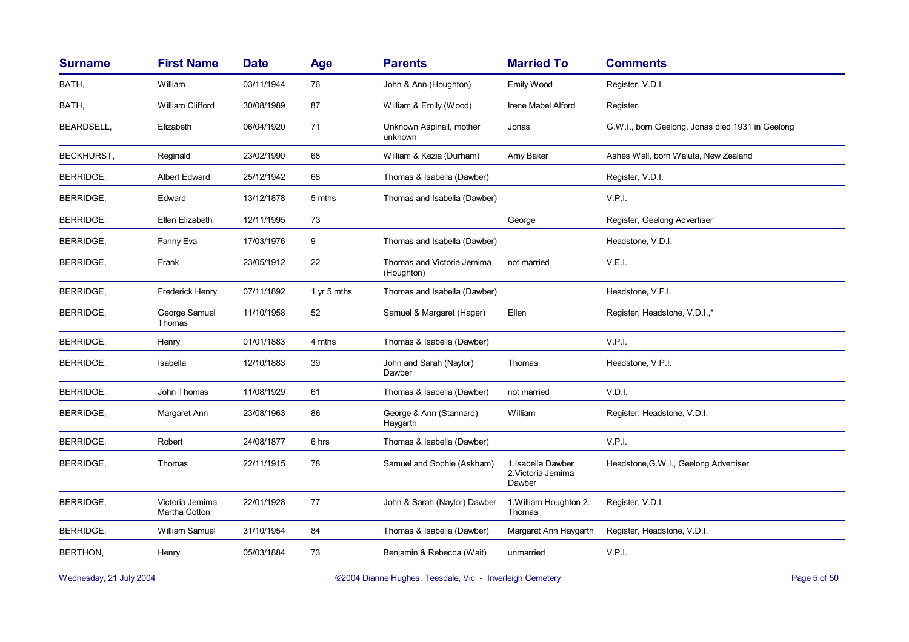| <b>Surname</b>    | <b>First Name</b>                | <b>Date</b> | <b>Age</b>  | <b>Parents</b>                           | <b>Married To</b>                                  | <b>Comments</b>                                  |
|-------------------|----------------------------------|-------------|-------------|------------------------------------------|----------------------------------------------------|--------------------------------------------------|
| BATH,             | William                          | 03/11/1944  | 76          | John & Ann (Houghton)                    | Emily Wood                                         | Register, V.D.I.                                 |
| BATH,             | William Clifford                 | 30/08/1989  | 87          | William & Emily (Wood)                   | Irene Mabel Alford                                 | Register                                         |
| <b>BEARDSELL.</b> | Elizabeth                        | 06/04/1920  | 71          | Unknown Aspinall, mother<br>unknown      | Jonas                                              | G.W.I., born Geelong, Jonas died 1931 in Geelong |
| <b>BECKHURST.</b> | Reginald                         | 23/02/1990  | 68          | William & Kezia (Durham)                 | Amy Baker                                          | Ashes Wall, born Waiuta, New Zealand             |
| BERRIDGE,         | <b>Albert Edward</b>             | 25/12/1942  | 68          | Thomas & Isabella (Dawber)               |                                                    | Register, V.D.I.                                 |
| BERRIDGE,         | Edward                           | 13/12/1878  | 5 mths      | Thomas and Isabella (Dawber)             |                                                    | V.P.I.                                           |
| BERRIDGE,         | Ellen Elizabeth                  | 12/11/1995  | 73          |                                          | George                                             | Register, Geelong Advertiser                     |
| BERRIDGE,         | Fanny Eva                        | 17/03/1976  | 9           | Thomas and Isabella (Dawber)             |                                                    | Headstone, V.D.I.                                |
| <b>BERRIDGE.</b>  | Frank                            | 23/05/1912  | 22          | Thomas and Victoria Jemima<br>(Houghton) | not married                                        | V.E.I.                                           |
| <b>BERRIDGE,</b>  | <b>Frederick Henry</b>           | 07/11/1892  | 1 yr 5 mths | Thomas and Isabella (Dawber)             |                                                    | Headstone, V.F.I.                                |
| BERRIDGE,         | George Samuel<br>Thomas          | 11/10/1958  | 52          | Samuel & Margaret (Hager)                | Ellen                                              | Register, Headstone, V.D.I.,*                    |
| BERRIDGE,         | Henry                            | 01/01/1883  | 4 mths      | Thomas & Isabella (Dawber)               |                                                    | V.P.I.                                           |
| BERRIDGE,         | Isabella                         | 12/10/1883  | 39          | John and Sarah (Naylor)<br>Dawber        | Thomas                                             | Headstone, V.P.I.                                |
| <b>BERRIDGE,</b>  | John Thomas                      | 11/08/1929  | 61          | Thomas & Isabella (Dawber)               | not married                                        | V.D.I.                                           |
| <b>BERRIDGE,</b>  | Margaret Ann                     | 23/08/1963  | 86          | George & Ann (Stannard)<br>Haygarth      | William                                            | Register, Headstone, V.D.I.                      |
| BERRIDGE,         | Robert                           | 24/08/1877  | 6 hrs       | Thomas & Isabella (Dawber)               |                                                    | V.P.I.                                           |
| BERRIDGE,         | Thomas                           | 22/11/1915  | 78          | Samuel and Sophie (Askham)               | 1. Isabella Dawber<br>2. Victoria Jemima<br>Dawber | Headstone, G.W.I., Geelong Advertiser            |
| <b>BERRIDGE,</b>  | Victoria Jemima<br>Martha Cotton | 22/01/1928  | 77          | John & Sarah (Naylor) Dawber             | 1. William Houghton 2.<br>Thomas                   | Register, V.D.I.                                 |
| <b>BERRIDGE,</b>  | William Samuel                   | 31/10/1954  | 84          | Thomas & Isabella (Dawber)               | Margaret Ann Haygarth                              | Register, Headstone, V.D.I.                      |
| BERTHON,          | Henry                            | 05/03/1884  | 73          | Benjamin & Rebecca (Wait)                | unmarried                                          | V.P.I.                                           |
|                   |                                  |             |             |                                          |                                                    |                                                  |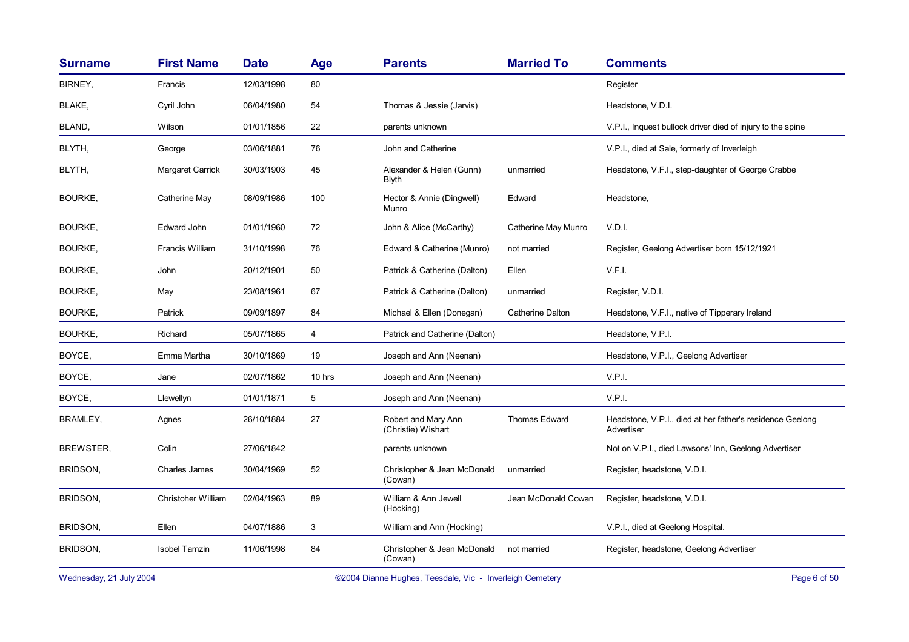| <b>Surname</b>  | <b>First Name</b>    | <b>Date</b> | Age    | <b>Parents</b>                            | <b>Married To</b>    | <b>Comments</b>                                                         |
|-----------------|----------------------|-------------|--------|-------------------------------------------|----------------------|-------------------------------------------------------------------------|
| BIRNEY,         | Francis              | 12/03/1998  | 80     |                                           |                      | Register                                                                |
| <b>BLAKE,</b>   | Cyril John           | 06/04/1980  | 54     | Thomas & Jessie (Jarvis)                  |                      | Headstone, V.D.I.                                                       |
| <b>BLAND,</b>   | Wilson               | 01/01/1856  | 22     | parents unknown                           |                      | V.P.I., Inquest bullock driver died of injury to the spine              |
| BLYTH,          | George               | 03/06/1881  | 76     | John and Catherine                        |                      | V.P.I., died at Sale, formerly of Inverleigh                            |
| BLYTH,          | Margaret Carrick     | 30/03/1903  | 45     | Alexander & Helen (Gunn)<br>Blyth         | unmarried            | Headstone, V.F.I., step-daughter of George Crabbe                       |
| <b>BOURKE,</b>  | Catherine May        | 08/09/1986  | 100    | Hector & Annie (Dingwell)<br>Munro        | Edward               | Headstone,                                                              |
| <b>BOURKE,</b>  | Edward John          | 01/01/1960  | 72     | John & Alice (McCarthy)                   | Catherine May Munro  | V.D.I.                                                                  |
| <b>BOURKE,</b>  | Francis William      | 31/10/1998  | 76     | Edward & Catherine (Munro)                | not married          | Register, Geelong Advertiser born 15/12/1921                            |
| <b>BOURKE,</b>  | John                 | 20/12/1901  | 50     | Patrick & Catherine (Dalton)              | Ellen                | V.F.I.                                                                  |
| <b>BOURKE,</b>  | May                  | 23/08/1961  | 67     | Patrick & Catherine (Dalton)              | unmarried            | Register, V.D.I.                                                        |
| <b>BOURKE,</b>  | Patrick              | 09/09/1897  | 84     | Michael & Ellen (Donegan)                 | Catherine Dalton     | Headstone, V.F.I., native of Tipperary Ireland                          |
| <b>BOURKE,</b>  | Richard              | 05/07/1865  | 4      | Patrick and Catherine (Dalton)            |                      | Headstone, V.P.I.                                                       |
| BOYCE,          | Emma Martha          | 30/10/1869  | 19     | Joseph and Ann (Neenan)                   |                      | Headstone, V.P.I., Geelong Advertiser                                   |
| BOYCE,          | Jane                 | 02/07/1862  | 10 hrs | Joseph and Ann (Neenan)                   |                      | V.P.I.                                                                  |
| BOYCE,          | Llewellyn            | 01/01/1871  | 5      | Joseph and Ann (Neenan)                   |                      | V.P.I.                                                                  |
| <b>BRAMLEY,</b> | Agnes                | 26/10/1884  | 27     | Robert and Mary Ann<br>(Christie) Wishart | <b>Thomas Edward</b> | Headstone, V.P.I., died at her father's residence Geelong<br>Advertiser |
| BREWSTER,       | Colin                | 27/06/1842  |        | parents unknown                           |                      | Not on V.P.I., died Lawsons' Inn, Geelong Advertiser                    |
| Bridson,        | Charles James        | 30/04/1969  | 52     | Christopher & Jean McDonald<br>(Cowan)    | unmarried            | Register, headstone, V.D.I.                                             |
| BRIDSON,        | Christoher William   | 02/04/1963  | 89     | William & Ann Jewell<br>(Hocking)         | Jean McDonald Cowan  | Register, headstone, V.D.I.                                             |
| BRIDSON,        | Ellen                | 04/07/1886  | 3      | William and Ann (Hocking)                 |                      | V.P.I., died at Geelong Hospital.                                       |
| <b>BRIDSON,</b> | <b>Isobel Tamzin</b> | 11/06/1998  | 84     | Christopher & Jean McDonald<br>(Cowan)    | not married          | Register, headstone, Geelong Advertiser                                 |

Wednesday, 21 July 2004 **Dianne Hughes, Teesdale, Vic - Inverleigh Cemetery** Page 6 of 50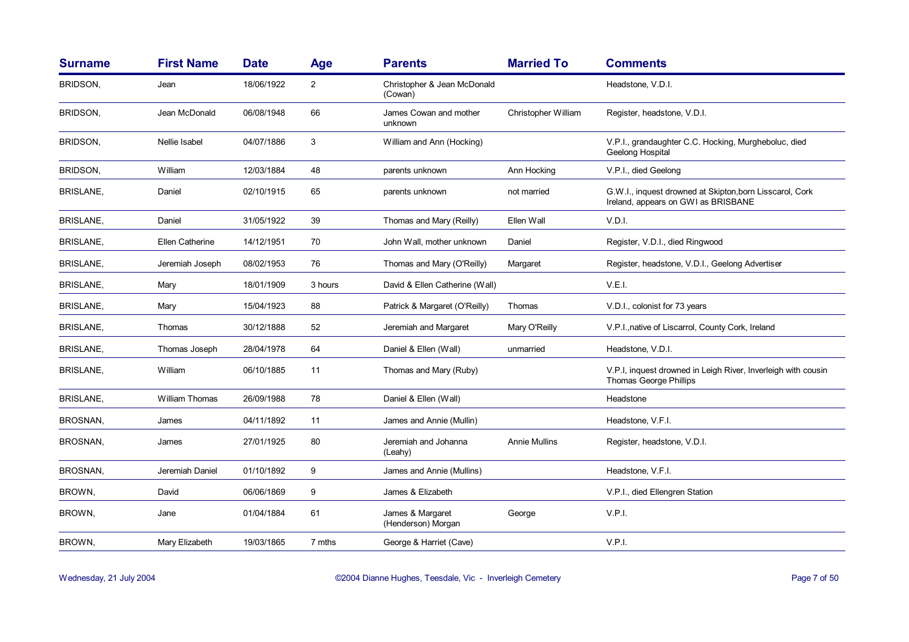| <b>Surname</b>   | <b>First Name</b> | <b>Date</b> | <b>Age</b>     | <b>Parents</b>                         | <b>Married To</b>    | <b>Comments</b>                                                                                 |
|------------------|-------------------|-------------|----------------|----------------------------------------|----------------------|-------------------------------------------------------------------------------------------------|
| <b>BRIDSON,</b>  | Jean              | 18/06/1922  | $\overline{2}$ | Christopher & Jean McDonald<br>(Cowan) |                      | Headstone, V.D.I.                                                                               |
| BRIDSON,         | Jean McDonald     | 06/08/1948  | 66             | James Cowan and mother<br>unknown      | Christopher William  | Register, headstone, V.D.I.                                                                     |
| BRIDSON,         | Nellie Isabel     | 04/07/1886  | 3              | William and Ann (Hocking)              |                      | V.P.I., grandaughter C.C. Hocking, Murgheboluc, died<br>Geelong Hospital                        |
| <b>BRIDSON,</b>  | William           | 12/03/1884  | 48             | parents unknown                        | Ann Hocking          | V.P.I., died Geelong                                                                            |
| <b>BRISLANE,</b> | Daniel            | 02/10/1915  | 65             | parents unknown                        | not married          | G.W.I., inquest drowned at Skipton, born Lisscarol, Cork<br>Ireland, appears on GWI as BRISBANE |
| <b>BRISLANE,</b> | Daniel            | 31/05/1922  | 39             | Thomas and Mary (Reilly)               | Ellen Wall           | V.D.I.                                                                                          |
| <b>BRISLANE,</b> | Ellen Catherine   | 14/12/1951  | 70             | John Wall, mother unknown              | Daniel               | Register, V.D.I., died Ringwood                                                                 |
| <b>BRISLANE,</b> | Jeremiah Joseph   | 08/02/1953  | 76             | Thomas and Mary (O'Reilly)             | Margaret             | Register, headstone, V.D.I., Geelong Advertiser                                                 |
| <b>BRISLANE,</b> | Mary              | 18/01/1909  | 3 hours        | David & Ellen Catherine (Wall)         |                      | V.E.I.                                                                                          |
| <b>BRISLANE,</b> | Mary              | 15/04/1923  | 88             | Patrick & Margaret (O'Reilly)          | Thomas               | V.D.I., colonist for 73 years                                                                   |
| <b>BRISLANE,</b> | Thomas            | 30/12/1888  | 52             | Jeremiah and Margaret                  | Mary O'Reilly        | V.P.I., native of Liscarrol, County Cork, Ireland                                               |
| <b>BRISLANE,</b> | Thomas Joseph     | 28/04/1978  | 64             | Daniel & Ellen (Wall)                  | unmarried            | Headstone, V.D.I.                                                                               |
| <b>BRISLANE,</b> | William           | 06/10/1885  | 11             | Thomas and Mary (Ruby)                 |                      | V.P.I, inquest drowned in Leigh River, Inverleigh with cousin<br>Thomas George Phillips         |
| <b>BRISLANE,</b> | William Thomas    | 26/09/1988  | 78             | Daniel & Ellen (Wall)                  |                      | Headstone                                                                                       |
| BROSNAN,         | James             | 04/11/1892  | 11             | James and Annie (Mullin)               |                      | Headstone, V.F.I.                                                                               |
| BROSNAN,         | James             | 27/01/1925  | 80             | Jeremiah and Johanna<br>(Leahy)        | <b>Annie Mullins</b> | Register, headstone, V.D.I.                                                                     |
| BROSNAN,         | Jeremiah Daniel   | 01/10/1892  | 9              | James and Annie (Mullins)              |                      | Headstone, V.F.I.                                                                               |
| BROWN,           | David             | 06/06/1869  | 9              | James & Elizabeth                      |                      | V.P.I., died Ellengren Station                                                                  |
| BROWN,           | Jane              | 01/04/1884  | 61             | James & Margaret<br>(Henderson) Morgan | George               | V.P.I.                                                                                          |
| BROWN,           | Mary Elizabeth    | 19/03/1865  | 7 mths         | George & Harriet (Cave)                |                      | V.P.I.                                                                                          |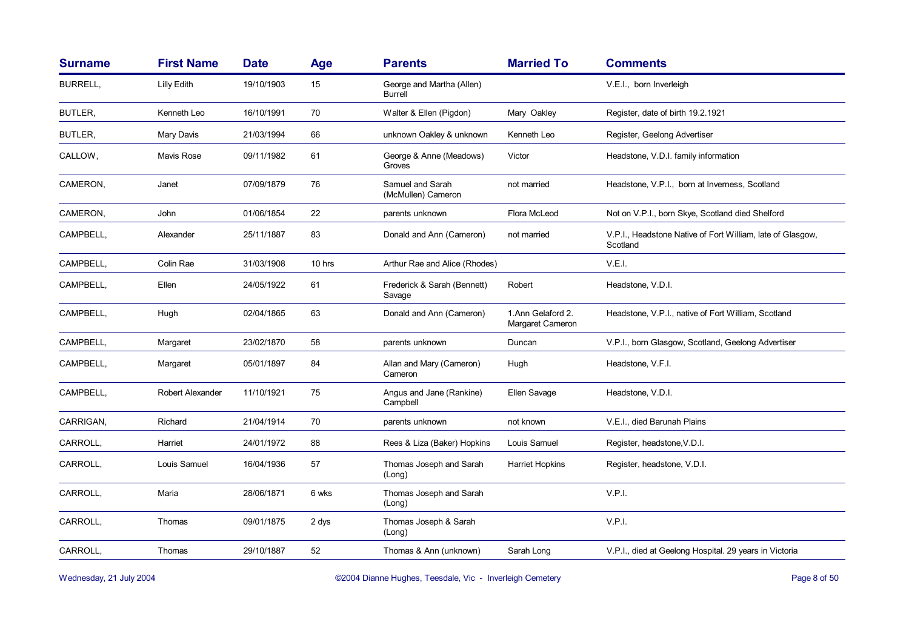| <b>Surname</b> | <b>First Name</b> | <b>Date</b> | <b>Age</b> | <b>Parents</b>                         | <b>Married To</b>                     | <b>Comments</b>                                                        |
|----------------|-------------------|-------------|------------|----------------------------------------|---------------------------------------|------------------------------------------------------------------------|
| BURRELL,       | Lilly Edith       | 19/10/1903  | 15         | George and Martha (Allen)<br>Burrell   |                                       | V.E.I., born Inverleigh                                                |
| BUTLER.        | Kenneth Leo       | 16/10/1991  | 70         | Walter & Ellen (Pigdon)                | Mary Oakley                           | Register, date of birth 19.2.1921                                      |
| BUTLER,        | Mary Davis        | 21/03/1994  | 66         | unknown Oakley & unknown               | Kenneth Leo                           | Register, Geelong Advertiser                                           |
| CALLOW,        | Mavis Rose        | 09/11/1982  | 61         | George & Anne (Meadows)<br>Groves      | Victor                                | Headstone, V.D.I. family information                                   |
| CAMERON,       | Janet             | 07/09/1879  | 76         | Samuel and Sarah<br>(McMullen) Cameron | not married                           | Headstone, V.P.I., born at Inverness, Scotland                         |
| CAMERON,       | John              | 01/06/1854  | 22         | parents unknown                        | Flora McLeod                          | Not on V.P.I., born Skye, Scotland died Shelford                       |
| CAMPBELL,      | Alexander         | 25/11/1887  | 83         | Donald and Ann (Cameron)               | not married                           | V.P.I., Headstone Native of Fort William, late of Glasgow,<br>Scotland |
| CAMPBELL,      | Colin Rae         | 31/03/1908  | 10 hrs     | Arthur Rae and Alice (Rhodes)          |                                       | V.E.I.                                                                 |
| CAMPBELL,      | Ellen             | 24/05/1922  | 61         | Frederick & Sarah (Bennett)<br>Savage  | Robert                                | Headstone, V.D.I.                                                      |
| CAMPBELL,      | Hugh              | 02/04/1865  | 63         | Donald and Ann (Cameron)               | 1.Ann Gelaford 2.<br>Margaret Cameron | Headstone, V.P.I., native of Fort William, Scotland                    |
| CAMPBELL,      | Margaret          | 23/02/1870  | 58         | parents unknown                        | Duncan                                | V.P.I., born Glasgow, Scotland, Geelong Advertiser                     |
| CAMPBELL,      | Margaret          | 05/01/1897  | 84         | Allan and Mary (Cameron)<br>Cameron    | Hugh                                  | Headstone, V.F.I.                                                      |
| CAMPBELL,      | Robert Alexander  | 11/10/1921  | 75         | Angus and Jane (Rankine)<br>Campbell   | Ellen Savage                          | Headstone, V.D.I.                                                      |
| CARRIGAN,      | Richard           | 21/04/1914  | 70         | parents unknown                        | not known                             | V.E.I., died Barunah Plains                                            |
| CARROLL,       | Harriet           | 24/01/1972  | 88         | Rees & Liza (Baker) Hopkins            | Louis Samuel                          | Register, headstone, V.D.I.                                            |
| CARROLL,       | Louis Samuel      | 16/04/1936  | 57         | Thomas Joseph and Sarah<br>(Long)      | Harriet Hopkins                       | Register, headstone, V.D.I.                                            |
| CARROLL,       | Maria             | 28/06/1871  | 6 wks      | Thomas Joseph and Sarah<br>(Long)      |                                       | V.P.I.                                                                 |
| CARROLL,       | Thomas            | 09/01/1875  | 2 dys      | Thomas Joseph & Sarah<br>(Long)        |                                       | V.P.I.                                                                 |
| CARROLL,       | Thomas            | 29/10/1887  | 52         | Thomas & Ann (unknown)                 | Sarah Long                            | V.P.I., died at Geelong Hospital. 29 years in Victoria                 |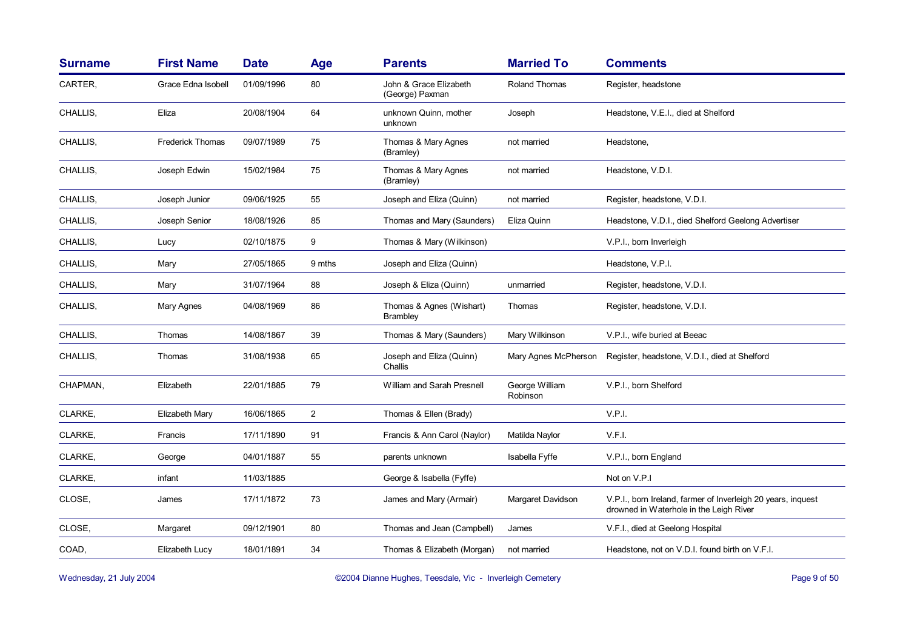| <b>Surname</b> | <b>First Name</b>       | <b>Date</b> | <b>Age</b>     | <b>Parents</b>                              | <b>Married To</b>          | <b>Comments</b>                                                                                         |
|----------------|-------------------------|-------------|----------------|---------------------------------------------|----------------------------|---------------------------------------------------------------------------------------------------------|
| CARTER,        | Grace Edna Isobell      | 01/09/1996  | 80             | John & Grace Elizabeth<br>(George) Paxman   | <b>Roland Thomas</b>       | Register, headstone                                                                                     |
| CHALLIS,       | Eliza                   | 20/08/1904  | 64             | unknown Quinn, mother<br>unknown            | Joseph                     | Headstone, V.E.I., died at Shelford                                                                     |
| CHALLIS,       | <b>Frederick Thomas</b> | 09/07/1989  | 75             | Thomas & Mary Agnes<br>(Bramley)            | not married                | Headstone,                                                                                              |
| CHALLIS,       | Joseph Edwin            | 15/02/1984  | 75             | Thomas & Mary Agnes<br>(Bramley)            | not married                | Headstone, V.D.I.                                                                                       |
| CHALLIS,       | Joseph Junior           | 09/06/1925  | 55             | Joseph and Eliza (Quinn)                    | not married                | Register, headstone, V.D.I.                                                                             |
| CHALLIS,       | Joseph Senior           | 18/08/1926  | 85             | Thomas and Mary (Saunders)                  | Eliza Quinn                | Headstone, V.D.I., died Shelford Geelong Advertiser                                                     |
| CHALLIS,       | Lucy                    | 02/10/1875  | 9              | Thomas & Mary (Wilkinson)                   |                            | V.P.I., born Inverleigh                                                                                 |
| CHALLIS,       | Mary                    | 27/05/1865  | 9 mths         | Joseph and Eliza (Quinn)                    |                            | Headstone, V.P.I.                                                                                       |
| CHALLIS,       | Mary                    | 31/07/1964  | 88             | Joseph & Eliza (Quinn)                      | unmarried                  | Register, headstone, V.D.I.                                                                             |
| CHALLIS,       | Mary Agnes              | 04/08/1969  | 86             | Thomas & Agnes (Wishart)<br><b>Brambley</b> | Thomas                     | Register, headstone, V.D.I.                                                                             |
| CHALLIS,       | Thomas                  | 14/08/1867  | 39             | Thomas & Mary (Saunders)                    | Mary Wilkinson             | V.P.I., wife buried at Beeac                                                                            |
| CHALLIS,       | Thomas                  | 31/08/1938  | 65             | Joseph and Eliza (Quinn)<br>Challis         | Mary Agnes McPherson       | Register, headstone, V.D.I., died at Shelford                                                           |
| CHAPMAN,       | Elizabeth               | 22/01/1885  | 79             | William and Sarah Presnell                  | George William<br>Robinson | V.P.I., born Shelford                                                                                   |
| CLARKE,        | Elizabeth Mary          | 16/06/1865  | $\overline{2}$ | Thomas & Ellen (Brady)                      |                            | V.P.I.                                                                                                  |
| CLARKE,        | Francis                 | 17/11/1890  | 91             | Francis & Ann Carol (Naylor)                | Matilda Naylor             | V.F.I.                                                                                                  |
| CLARKE,        | George                  | 04/01/1887  | 55             | parents unknown                             | Isabella Fyffe             | V.P.I., born England                                                                                    |
| CLARKE,        | infant                  | 11/03/1885  |                | George & Isabella (Fyffe)                   |                            | Not on V.P.I                                                                                            |
| CLOSE,         | James                   | 17/11/1872  | 73             | James and Mary (Armair)                     | Margaret Davidson          | V.P.I., born Ireland, farmer of Inverleigh 20 years, inquest<br>drowned in Waterhole in the Leigh River |
| CLOSE,         | Margaret                | 09/12/1901  | 80             | Thomas and Jean (Campbell)                  | James                      | V.F.I., died at Geelong Hospital                                                                        |
| COAD,          | Elizabeth Lucy          | 18/01/1891  | 34             | Thomas & Elizabeth (Morgan)                 | not married                | Headstone, not on V.D.I. found birth on V.F.I.                                                          |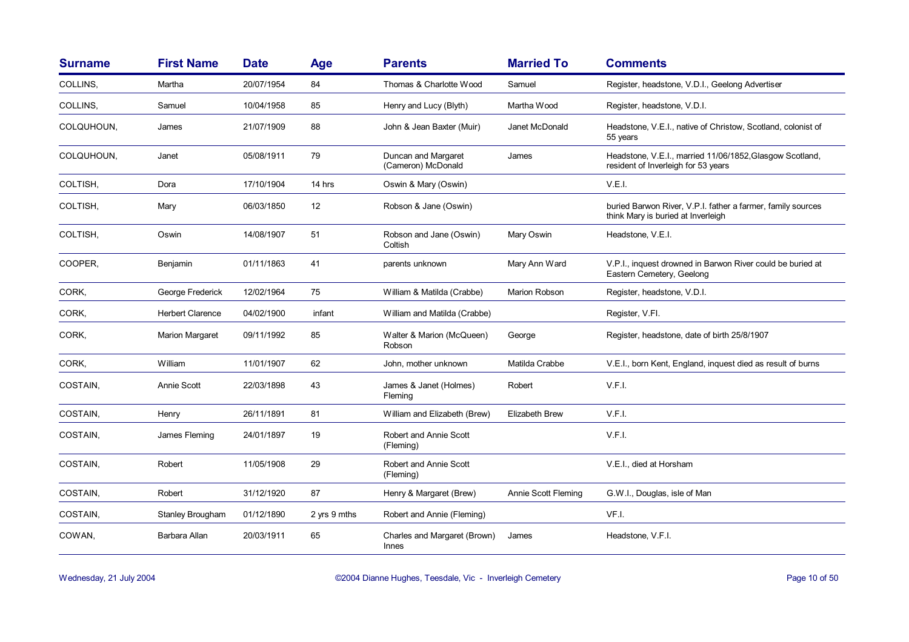| <b>Surname</b> | <b>First Name</b>       | <b>Date</b> | Age          | <b>Parents</b>                               | <b>Married To</b>    | <b>Comments</b>                                                                                   |
|----------------|-------------------------|-------------|--------------|----------------------------------------------|----------------------|---------------------------------------------------------------------------------------------------|
| COLLINS,       | Martha                  | 20/07/1954  | 84           | Thomas & Charlotte Wood                      | Samuel               | Register, headstone, V.D.I., Geelong Advertiser                                                   |
| COLLINS,       | Samuel                  | 10/04/1958  | 85           | Henry and Lucy (Blyth)                       | Martha Wood          | Register, headstone, V.D.I.                                                                       |
| COLQUHOUN,     | James                   | 21/07/1909  | 88           | John & Jean Baxter (Muir)                    | Janet McDonald       | Headstone, V.E.I., native of Christow, Scotland, colonist of<br>55 years                          |
| COLQUHOUN,     | Janet                   | 05/08/1911  | 79           | Duncan and Margaret<br>(Cameron) McDonald    | James                | Headstone, V.E.I., married 11/06/1852, Glasgow Scotland,<br>resident of Inverleigh for 53 years   |
| COLTISH,       | Dora                    | 17/10/1904  | 14 hrs       | Oswin & Mary (Oswin)                         |                      | V.E.I.                                                                                            |
| COLTISH,       | Mary                    | 06/03/1850  | 12           | Robson & Jane (Oswin)                        |                      | buried Barwon River, V.P.I. father a farmer, family sources<br>think Mary is buried at Inverleigh |
| COLTISH,       | Oswin                   | 14/08/1907  | 51           | Robson and Jane (Oswin)<br>Coltish           | Mary Oswin           | Headstone, V.E.I.                                                                                 |
| COOPER,        | Benjamin                | 01/11/1863  | 41           | parents unknown                              | Mary Ann Ward        | V.P.I., inquest drowned in Barwon River could be buried at<br>Eastern Cemetery, Geelong           |
| CORK,          | George Frederick        | 12/02/1964  | 75           | William & Matilda (Crabbe)                   | <b>Marion Robson</b> | Register, headstone, V.D.I.                                                                       |
| CORK,          | <b>Herbert Clarence</b> | 04/02/1900  | infant       | William and Matilda (Crabbe)                 |                      | Register, V.FI.                                                                                   |
| CORK,          | Marion Margaret         | 09/11/1992  | 85           | Walter & Marion (McQueen)<br>Robson          | George               | Register, headstone, date of birth 25/8/1907                                                      |
| CORK,          | William                 | 11/01/1907  | 62           | John, mother unknown                         | Matilda Crabbe       | V.E.I., born Kent, England, inquest died as result of burns                                       |
| COSTAIN,       | Annie Scott             | 22/03/1898  | 43           | James & Janet (Holmes)<br>Fleming            | Robert               | V.F.I.                                                                                            |
| COSTAIN,       | Henry                   | 26/11/1891  | 81           | William and Elizabeth (Brew)                 | Elizabeth Brew       | V.F.I.                                                                                            |
| COSTAIN,       | James Fleming           | 24/01/1897  | 19           | Robert and Annie Scott<br>(Fleming)          |                      | V.F.I.                                                                                            |
| COSTAIN,       | Robert                  | 11/05/1908  | 29           | Robert and Annie Scott<br>(Fleming)          |                      | V.E.I., died at Horsham                                                                           |
| COSTAIN,       | Robert                  | 31/12/1920  | 87           | Henry & Margaret (Brew)                      | Annie Scott Fleming  | G.W.I., Douglas, isle of Man                                                                      |
| COSTAIN,       | Stanley Brougham        | 01/12/1890  | 2 yrs 9 mths | Robert and Annie (Fleming)                   |                      | VF.I.                                                                                             |
| COWAN,         | Barbara Allan           | 20/03/1911  | 65           | Charles and Margaret (Brown)<br><b>Innes</b> | James                | Headstone, V.F.I.                                                                                 |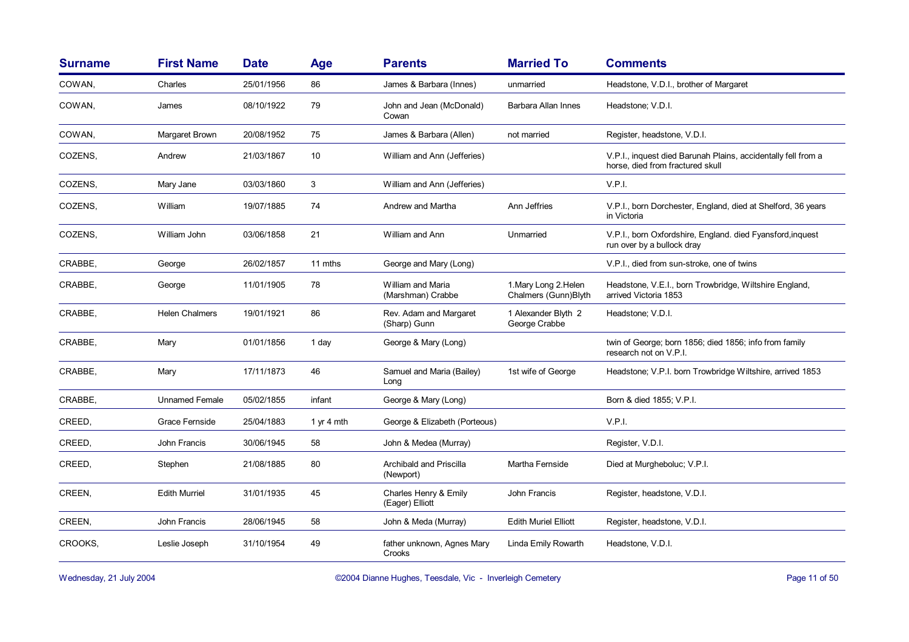| <b>Surname</b> | <b>First Name</b>     | <b>Date</b> | Age        | <b>Parents</b>                           | <b>Married To</b>                             | <b>Comments</b>                                                                                   |
|----------------|-----------------------|-------------|------------|------------------------------------------|-----------------------------------------------|---------------------------------------------------------------------------------------------------|
| COWAN,         | Charles               | 25/01/1956  | 86         | James & Barbara (Innes)                  | unmarried                                     | Headstone, V.D.I., brother of Margaret                                                            |
| COWAN,         | James                 | 08/10/1922  | 79         | John and Jean (McDonald)<br>Cowan        | Barbara Allan Innes                           | Headstone; V.D.I.                                                                                 |
| COWAN,         | Margaret Brown        | 20/08/1952  | 75         | James & Barbara (Allen)                  | not married                                   | Register, headstone, V.D.I.                                                                       |
| COZENS,        | Andrew                | 21/03/1867  | 10         | William and Ann (Jefferies)              |                                               | V.P.I., inquest died Barunah Plains, accidentally fell from a<br>horse, died from fractured skull |
| COZENS,        | Mary Jane             | 03/03/1860  | 3          | William and Ann (Jefferies)              |                                               | V.P.I.                                                                                            |
| COZENS,        | William               | 19/07/1885  | 74         | Andrew and Martha                        | Ann Jeffries                                  | V.P.I., born Dorchester, England, died at Shelford, 36 years<br>in Victoria                       |
| COZENS.        | William John          | 03/06/1858  | 21         | William and Ann                          | Unmarried                                     | V.P.I., born Oxfordshire, England. died Fyansford, inquest<br>run over by a bullock dray          |
| CRABBE.        | George                | 26/02/1857  | 11 mths    | George and Mary (Long)                   |                                               | V.P.I., died from sun-stroke, one of twins                                                        |
| CRABBE.        | George                | 11/01/1905  | 78         | William and Maria<br>(Marshman) Crabbe   | 1. Mary Long 2. Helen<br>Chalmers (Gunn)Blyth | Headstone, V.E.I., born Trowbridge, Wiltshire England,<br>arrived Victoria 1853                   |
| CRABBE,        | <b>Helen Chalmers</b> | 19/01/1921  | 86         | Rev. Adam and Margaret<br>(Sharp) Gunn   | 1 Alexander Blyth 2<br>George Crabbe          | Headstone; V.D.I.                                                                                 |
| CRABBE,        | Mary                  | 01/01/1856  | 1 day      | George & Mary (Long)                     |                                               | twin of George; born 1856; died 1856; info from family<br>research not on V.P.I.                  |
| CRABBE.        | Mary                  | 17/11/1873  | 46         | Samuel and Maria (Bailey)<br>Long        | 1st wife of George                            | Headstone; V.P.I. born Trowbridge Wiltshire, arrived 1853                                         |
| CRABBE,        | <b>Unnamed Female</b> | 05/02/1855  | infant     | George & Mary (Long)                     |                                               | Born & died 1855; V.P.I.                                                                          |
| CREED,         | Grace Fernside        | 25/04/1883  | 1 yr 4 mth | George & Elizabeth (Porteous)            |                                               | V.P.I.                                                                                            |
| CREED,         | John Francis          | 30/06/1945  | 58         | John & Medea (Murray)                    |                                               | Register, V.D.I.                                                                                  |
| CREED,         | Stephen               | 21/08/1885  | 80         | Archibald and Priscilla<br>(Newport)     | Martha Fernside                               | Died at Murgheboluc; V.P.I.                                                                       |
| CREEN,         | <b>Edith Murriel</b>  | 31/01/1935  | 45         | Charles Henry & Emily<br>(Eager) Elliott | John Francis                                  | Register, headstone, V.D.I.                                                                       |
| CREEN,         | John Francis          | 28/06/1945  | 58         | John & Meda (Murray)                     | <b>Edith Muriel Elliott</b>                   | Register, headstone, V.D.I.                                                                       |
| CROOKS,        | Leslie Joseph         | 31/10/1954  | 49         | father unknown, Agnes Mary<br>Crooks     | Linda Emily Rowarth                           | Headstone, V.D.I.                                                                                 |

Wednesday, 21 July 2004 **Dianne Hughes, Teesdale, Vic - Inverleigh Cemetery** Page 11 of 50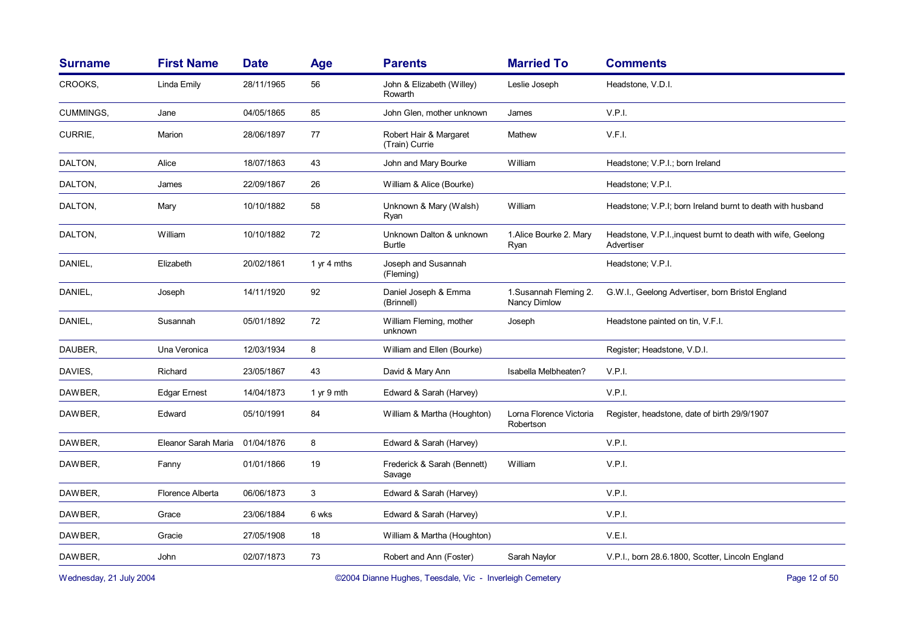| <b>Surname</b> | <b>First Name</b>   | <b>Date</b> | Age         | <b>Parents</b>                            | <b>Married To</b>                      | <b>Comments</b>                                                            |
|----------------|---------------------|-------------|-------------|-------------------------------------------|----------------------------------------|----------------------------------------------------------------------------|
| CROOKS,        | Linda Emily         | 28/11/1965  | 56          | John & Elizabeth (Willey)<br>Rowarth      | Leslie Joseph                          | Headstone, V.D.I.                                                          |
| CUMMINGS,      | Jane                | 04/05/1865  | 85          | John Glen, mother unknown                 | James                                  | V.P.I.                                                                     |
| <b>CURRIE.</b> | Marion              | 28/06/1897  | 77          | Robert Hair & Margaret<br>(Train) Currie  | Mathew                                 | V.F.I.                                                                     |
| DALTON,        | Alice               | 18/07/1863  | 43          | John and Mary Bourke                      | William                                | Headstone: V.P.I.; born Ireland                                            |
| DALTON,        | James               | 22/09/1867  | 26          | William & Alice (Bourke)                  |                                        | Headstone; V.P.I.                                                          |
| DALTON,        | Mary                | 10/10/1882  | 58          | Unknown & Mary (Walsh)<br>Ryan            | William                                | Headstone; V.P.I; born Ireland burnt to death with husband                 |
| DALTON,        | William             | 10/10/1882  | 72          | Unknown Dalton & unknown<br><b>Burtle</b> | 1. Alice Bourke 2. Mary<br>Ryan        | Headstone, V.P.I., inquest burnt to death with wife, Geelong<br>Advertiser |
| DANIEL,        | Elizabeth           | 20/02/1861  | 1 yr 4 mths | Joseph and Susannah<br>(Fleming)          |                                        | Headstone; V.P.I.                                                          |
| DANIEL,        | Joseph              | 14/11/1920  | 92          | Daniel Joseph & Emma<br>(Brinnell)        | 1. Susannah Fleming 2.<br>Nancy Dimlow | G.W.I., Geelong Advertiser, born Bristol England                           |
| DANIEL,        | Susannah            | 05/01/1892  | 72          | William Fleming, mother<br>unknown        | Joseph                                 | Headstone painted on tin, V.F.I.                                           |
| DAUBER,        | Una Veronica        | 12/03/1934  | 8           | William and Ellen (Bourke)                |                                        | Register; Headstone, V.D.I.                                                |
| DAVIES,        | Richard             | 23/05/1867  | 43          | David & Mary Ann                          | Isabella Melbheaten?                   | V.P.I.                                                                     |
| DAWBER,        | <b>Edgar Ernest</b> | 14/04/1873  | 1 yr 9 mth  | Edward & Sarah (Harvey)                   |                                        | V.P.I.                                                                     |
| DAWBER,        | Edward              | 05/10/1991  | 84          | William & Martha (Houghton)               | Lorna Florence Victoria<br>Robertson   | Register, headstone, date of birth 29/9/1907                               |
| DAWBER,        | Eleanor Sarah Maria | 01/04/1876  | 8           | Edward & Sarah (Harvey)                   |                                        | V.P.I.                                                                     |
| DAWBER,        | Fanny               | 01/01/1866  | 19          | Frederick & Sarah (Bennett)<br>Savage     | William                                | V.P.I.                                                                     |
| DAWBER,        | Florence Alberta    | 06/06/1873  | 3           | Edward & Sarah (Harvey)                   |                                        | V.P.I.                                                                     |
| DAWBER,        | Grace               | 23/06/1884  | 6 wks       | Edward & Sarah (Harvey)                   |                                        | V.P.I.                                                                     |
| DAWBER,        | Gracie              | 27/05/1908  | 18          | William & Martha (Houghton)               |                                        | V.E.I.                                                                     |
| DAWBER,        | John                | 02/07/1873  | 73          | Robert and Ann (Foster)                   | Sarah Naylor                           | V.P.I., born 28.6.1800, Scotter, Lincoln England                           |
|                |                     |             |             |                                           |                                        |                                                                            |

Wednesday, 21 July 2004 **Dianne Hughes, Teesdale, Vic - Inverleigh Cemetery** Page 12 of 50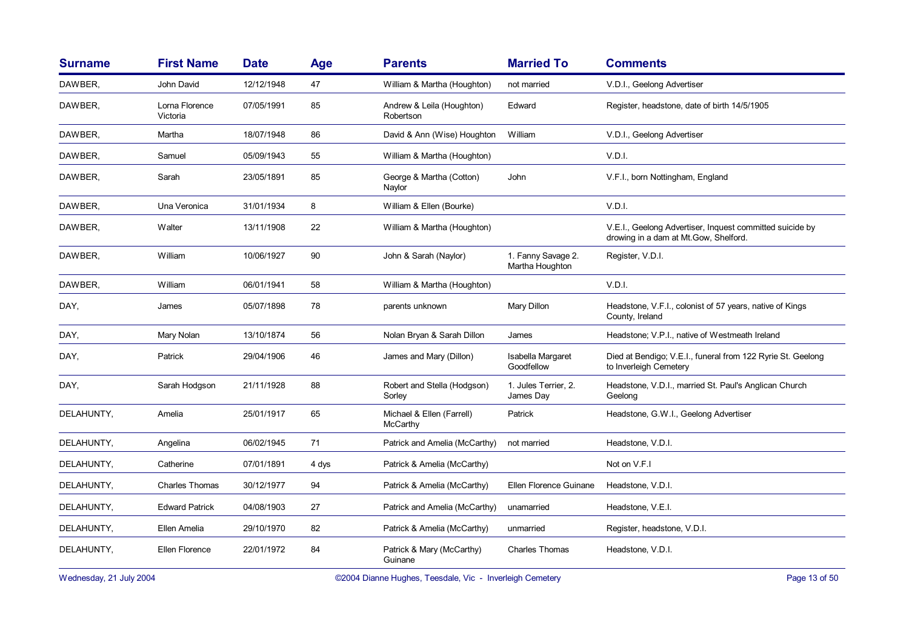| <b>Surname</b> | <b>First Name</b>          | <b>Date</b> | Age   | <b>Parents</b>                         | <b>Married To</b>                     | <b>Comments</b>                                                                                   |
|----------------|----------------------------|-------------|-------|----------------------------------------|---------------------------------------|---------------------------------------------------------------------------------------------------|
| DAWBER,        | John David                 | 12/12/1948  | 47    | William & Martha (Houghton)            | not married                           | V.D.I., Geelong Advertiser                                                                        |
| DAWBER,        | Lorna Florence<br>Victoria | 07/05/1991  | 85    | Andrew & Leila (Houghton)<br>Robertson | Edward                                | Register, headstone, date of birth 14/5/1905                                                      |
| DAWBER,        | Martha                     | 18/07/1948  | 86    | David & Ann (Wise) Houghton            | William                               | V.D.I., Geelong Advertiser                                                                        |
| DAWBER,        | Samuel                     | 05/09/1943  | 55    | William & Martha (Houghton)            |                                       | V.D.I.                                                                                            |
| DAWBER,        | Sarah                      | 23/05/1891  | 85    | George & Martha (Cotton)<br>Naylor     | John                                  | V.F.I., born Nottingham, England                                                                  |
| DAWBER,        | Una Veronica               | 31/01/1934  | 8     | William & Ellen (Bourke)               |                                       | V.D.I.                                                                                            |
| DAWBER,        | Walter                     | 13/11/1908  | 22    | William & Martha (Houghton)            |                                       | V.E.I., Geelong Advertiser, Inquest committed suicide by<br>drowing in a dam at Mt.Gow, Shelford. |
| DAWBER,        | William                    | 10/06/1927  | 90    | John & Sarah (Naylor)                  | 1. Fanny Savage 2.<br>Martha Houghton | Register, V.D.I.                                                                                  |
| DAWBER,        | William                    | 06/01/1941  | 58    | William & Martha (Houghton)            |                                       | V.D.I.                                                                                            |
| DAY,           | James                      | 05/07/1898  | 78    | parents unknown                        | Mary Dillon                           | Headstone, V.F.I., colonist of 57 years, native of Kings<br>County, Ireland                       |
| DAY,           | Mary Nolan                 | 13/10/1874  | 56    | Nolan Bryan & Sarah Dillon             | James                                 | Headstone; V.P.I., native of Westmeath Ireland                                                    |
| DAY,           | Patrick                    | 29/04/1906  | 46    | James and Mary (Dillon)                | Isabella Margaret<br>Goodfellow       | Died at Bendigo; V.E.I., funeral from 122 Ryrie St. Geelong<br>to Inverleigh Cemetery             |
| DAY,           | Sarah Hodgson              | 21/11/1928  | 88    | Robert and Stella (Hodgson)<br>Sorley  | 1. Jules Terrier, 2.<br>James Day     | Headstone, V.D.I., married St. Paul's Anglican Church<br>Geelong                                  |
| DELAHUNTY,     | Amelia                     | 25/01/1917  | 65    | Michael & Ellen (Farrell)<br>McCarthy  | Patrick                               | Headstone, G.W.I., Geelong Advertiser                                                             |
| DELAHUNTY,     | Angelina                   | 06/02/1945  | 71    | Patrick and Amelia (McCarthy)          | not married                           | Headstone, V.D.I.                                                                                 |
| DELAHUNTY,     | Catherine                  | 07/01/1891  | 4 dys | Patrick & Amelia (McCarthy)            |                                       | Not on V.F.I                                                                                      |
| DELAHUNTY,     | <b>Charles Thomas</b>      | 30/12/1977  | 94    | Patrick & Amelia (McCarthy)            | Ellen Florence Guinane                | Headstone, V.D.I.                                                                                 |
| DELAHUNTY,     | <b>Edward Patrick</b>      | 04/08/1903  | 27    | Patrick and Amelia (McCarthy)          | unamarried                            | Headstone, V.E.I.                                                                                 |
| DELAHUNTY,     | Ellen Amelia               | 29/10/1970  | 82    | Patrick & Amelia (McCarthy)            | unmarried                             | Register, headstone, V.D.I.                                                                       |
| DELAHUNTY,     | Ellen Florence             | 22/01/1972  | 84    | Patrick & Mary (McCarthy)<br>Guinane   | <b>Charles Thomas</b>                 | Headstone, V.D.I.                                                                                 |

Wednesday, 21 July 2004 **Dianne Hughes, Teesdale, Vic - Inverleigh Cemetery** Page 13 of 50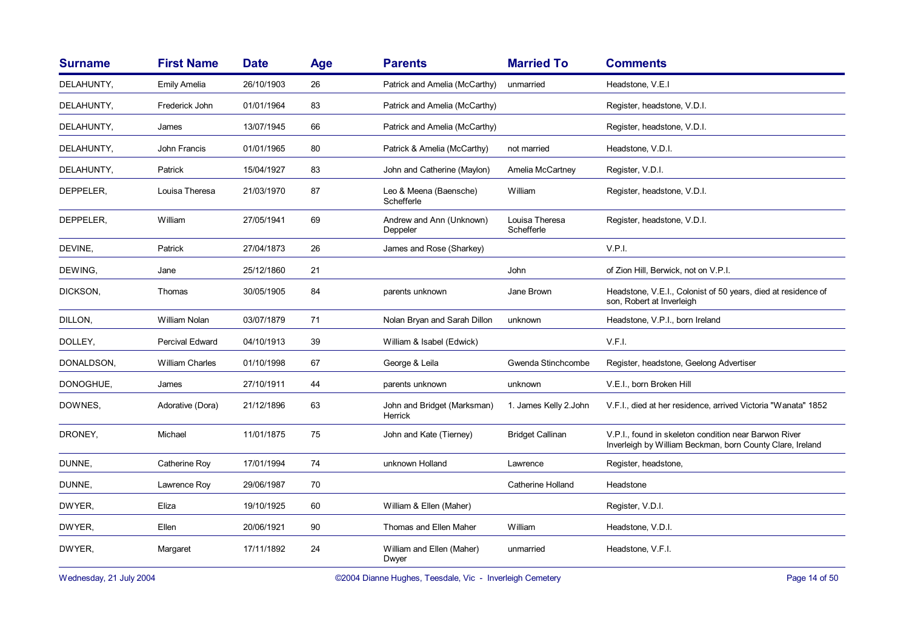| <b>Surname</b> | <b>First Name</b>      | <b>Date</b> | <b>Age</b> | <b>Parents</b>                         | <b>Married To</b>            | <b>Comments</b>                                                                                                    |
|----------------|------------------------|-------------|------------|----------------------------------------|------------------------------|--------------------------------------------------------------------------------------------------------------------|
| DELAHUNTY,     | <b>Emily Amelia</b>    | 26/10/1903  | 26         | Patrick and Amelia (McCarthy)          | unmarried                    | Headstone, V.E.I                                                                                                   |
| DELAHUNTY,     | Frederick John         | 01/01/1964  | 83         | Patrick and Amelia (McCarthy)          |                              | Register, headstone, V.D.I.                                                                                        |
| DELAHUNTY,     | James                  | 13/07/1945  | 66         | Patrick and Amelia (McCarthy)          |                              | Register, headstone, V.D.I.                                                                                        |
| DELAHUNTY,     | John Francis           | 01/01/1965  | 80         | Patrick & Amelia (McCarthy)            | not married                  | Headstone, V.D.I.                                                                                                  |
| DELAHUNTY,     | Patrick                | 15/04/1927  | 83         | John and Catherine (Maylon)            | Amelia McCartney             | Register, V.D.I.                                                                                                   |
| DEPPELER,      | Louisa Theresa         | 21/03/1970  | 87         | Leo & Meena (Baensche)<br>Schefferle   | William                      | Register, headstone, V.D.I.                                                                                        |
| DEPPELER,      | William                | 27/05/1941  | 69         | Andrew and Ann (Unknown)<br>Deppeler   | Louisa Theresa<br>Schefferle | Register, headstone, V.D.I.                                                                                        |
| DEVINE.        | Patrick                | 27/04/1873  | 26         | James and Rose (Sharkey)               |                              | V.P.I.                                                                                                             |
| DEWING,        | Jane                   | 25/12/1860  | 21         |                                        | John                         | of Zion Hill, Berwick, not on V.P.I.                                                                               |
| DICKSON,       | Thomas                 | 30/05/1905  | 84         | parents unknown                        | Jane Brown                   | Headstone, V.E.I., Colonist of 50 years, died at residence of<br>son, Robert at Inverleigh                         |
| DILLON,        | William Nolan          | 03/07/1879  | 71         | Nolan Bryan and Sarah Dillon           | unknown                      | Headstone, V.P.I., born Ireland                                                                                    |
| DOLLEY,        | Percival Edward        | 04/10/1913  | 39         | William & Isabel (Edwick)              |                              | V.F.I.                                                                                                             |
| DONALDSON,     | <b>William Charles</b> | 01/10/1998  | 67         | George & Leila                         | Gwenda Stinchcombe           | Register, headstone, Geelong Advertiser                                                                            |
| DONOGHUE,      | James                  | 27/10/1911  | 44         | parents unknown                        | unknown                      | V.E.I., born Broken Hill                                                                                           |
| DOWNES,        | Adorative (Dora)       | 21/12/1896  | 63         | John and Bridget (Marksman)<br>Herrick | 1. James Kelly 2. John       | V.F.I., died at her residence, arrived Victoria "Wanata" 1852                                                      |
| DRONEY,        | Michael                | 11/01/1875  | 75         | John and Kate (Tierney)                | <b>Bridget Callinan</b>      | V.P.I., found in skeleton condition near Barwon River<br>Inverleigh by William Beckman, born County Clare, Ireland |
| DUNNE,         | Catherine Roy          | 17/01/1994  | 74         | unknown Holland                        | Lawrence                     | Register, headstone,                                                                                               |
| DUNNE,         | Lawrence Roy           | 29/06/1987  | 70         |                                        | <b>Catherine Holland</b>     | Headstone                                                                                                          |
| DWYER,         | Eliza                  | 19/10/1925  | 60         | William & Ellen (Maher)                |                              | Register, V.D.I.                                                                                                   |
| DWYER,         | Ellen                  | 20/06/1921  | 90         | Thomas and Ellen Maher                 | William                      | Headstone, V.D.I.                                                                                                  |
| DWYER,         | Margaret               | 17/11/1892  | 24         | William and Ellen (Maher)<br>Dwyer     | unmarried                    | Headstone, V.F.I.                                                                                                  |

Wednesday, 21 July 2004 **Dianne Hughes, Teesdale, Vic - Inverleigh Cemetery** Page 14 of 50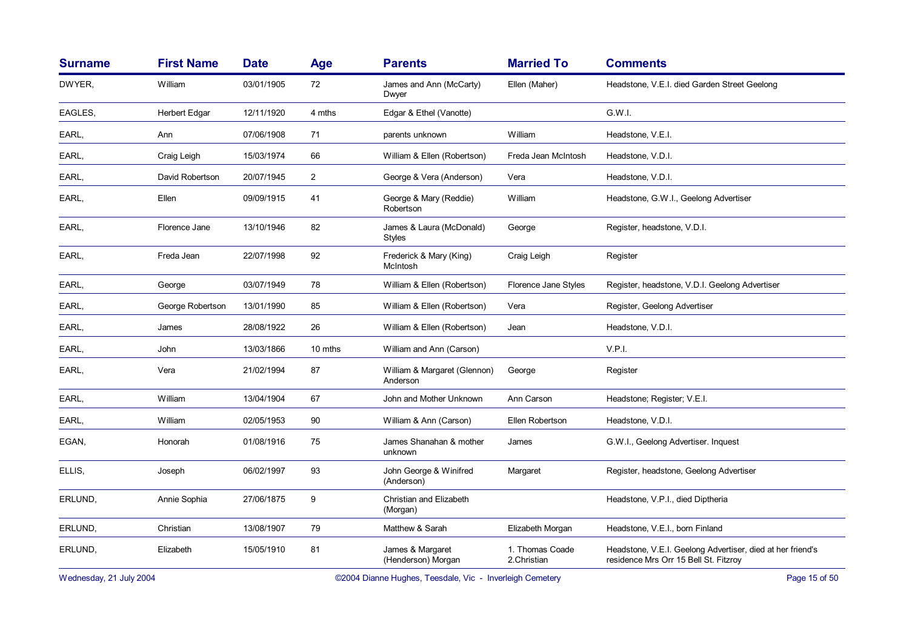| <b>Surname</b> | <b>First Name</b>    | <b>Date</b> | Age            | <b>Parents</b>                            | <b>Married To</b>              | <b>Comments</b>                                                                                     |
|----------------|----------------------|-------------|----------------|-------------------------------------------|--------------------------------|-----------------------------------------------------------------------------------------------------|
| DWYER,         | William              | 03/01/1905  | 72             | James and Ann (McCarty)<br>Dwyer          | Ellen (Maher)                  | Headstone, V.E.I. died Garden Street Geelong                                                        |
| EAGLES,        | <b>Herbert Edgar</b> | 12/11/1920  | 4 mths         | Edgar & Ethel (Vanotte)                   |                                | G.W.I.                                                                                              |
| EARL,          | Ann                  | 07/06/1908  | 71             | parents unknown                           | William                        | Headstone, V.E.I.                                                                                   |
| EARL,          | Craig Leigh          | 15/03/1974  | 66             | William & Ellen (Robertson)               | Freda Jean McIntosh            | Headstone, V.D.I.                                                                                   |
| EARL,          | David Robertson      | 20/07/1945  | $\overline{2}$ | George & Vera (Anderson)                  | Vera                           | Headstone, V.D.I.                                                                                   |
| EARL,          | Ellen                | 09/09/1915  | 41             | George & Mary (Reddie)<br>Robertson       | William                        | Headstone, G.W.I., Geelong Advertiser                                                               |
| EARL,          | Florence Jane        | 13/10/1946  | 82             | James & Laura (McDonald)<br><b>Styles</b> | George                         | Register, headstone, V.D.I.                                                                         |
| EARL,          | Freda Jean           | 22/07/1998  | 92             | Frederick & Mary (King)<br>McIntosh       | Craig Leigh                    | Register                                                                                            |
| EARL,          | George               | 03/07/1949  | 78             | William & Ellen (Robertson)               | Florence Jane Styles           | Register, headstone, V.D.I. Geelong Advertiser                                                      |
| EARL,          | George Robertson     | 13/01/1990  | 85             | William & Ellen (Robertson)               | Vera                           | Register, Geelong Advertiser                                                                        |
| EARL,          | James                | 28/08/1922  | 26             | William & Ellen (Robertson)               | Jean                           | Headstone, V.D.I.                                                                                   |
| EARL,          | John                 | 13/03/1866  | 10 mths        | William and Ann (Carson)                  |                                | V.P.I.                                                                                              |
| EARL,          | Vera                 | 21/02/1994  | 87             | William & Margaret (Glennon)<br>Anderson  | George                         | Register                                                                                            |
| EARL,          | William              | 13/04/1904  | 67             | John and Mother Unknown                   | Ann Carson                     | Headstone; Register; V.E.I.                                                                         |
| EARL,          | William              | 02/05/1953  | 90             | William & Ann (Carson)                    | Ellen Robertson                | Headstone, V.D.I.                                                                                   |
| EGAN,          | Honorah              | 01/08/1916  | 75             | James Shanahan & mother<br>unknown        | James                          | G.W.I., Geelong Advertiser. Inquest                                                                 |
| ELLIS,         | Joseph               | 06/02/1997  | 93             | John George & Winifred<br>(Anderson)      | Margaret                       | Register, headstone, Geelong Advertiser                                                             |
| ERLUND,        | Annie Sophia         | 27/06/1875  | 9              | Christian and Elizabeth<br>(Morgan)       |                                | Headstone, V.P.I., died Diptheria                                                                   |
| ERLUND,        | Christian            | 13/08/1907  | 79             | Matthew & Sarah                           | Elizabeth Morgan               | Headstone, V.E.I., born Finland                                                                     |
| ERLUND,        | Elizabeth            | 15/05/1910  | 81             | James & Margaret<br>(Henderson) Morgan    | 1. Thomas Coade<br>2.Christian | Headstone, V.E.I. Geelong Advertiser, died at her friend's<br>residence Mrs Orr 15 Bell St. Fitzroy |

Wednesday, 21 July 2004 **Dianne Hughes, Teesdale, Vic - Inverleigh Cemetery** Page 15 of 50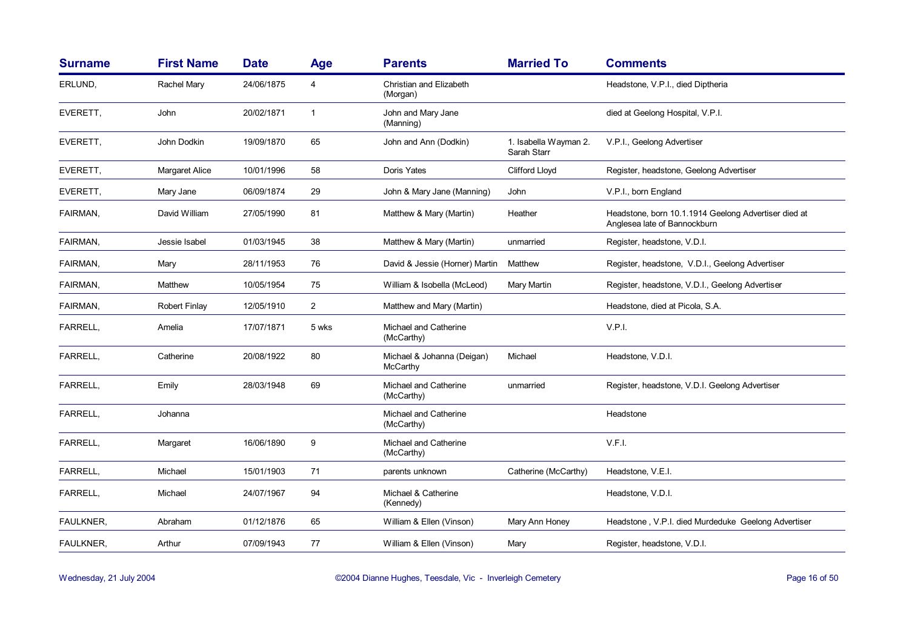| <b>Surname</b>   | <b>First Name</b>     | <b>Date</b> | <b>Age</b>     | <b>Parents</b>                         | <b>Married To</b>                    | <b>Comments</b>                                                                      |
|------------------|-----------------------|-------------|----------------|----------------------------------------|--------------------------------------|--------------------------------------------------------------------------------------|
| ERLUND,          | Rachel Mary           | 24/06/1875  | 4              | Christian and Elizabeth<br>(Morgan)    |                                      | Headstone, V.P.I., died Diptheria                                                    |
| EVERETT,         | John                  | 20/02/1871  | $\mathbf{1}$   | John and Mary Jane<br>(Manning)        |                                      | died at Geelong Hospital, V.P.I.                                                     |
| EVERETT,         | John Dodkin           | 19/09/1870  | 65             | John and Ann (Dodkin)                  | 1. Isabella Wayman 2.<br>Sarah Starr | V.P.I., Geelong Advertiser                                                           |
| EVERETT,         | <b>Margaret Alice</b> | 10/01/1996  | 58             | Doris Yates                            | <b>Clifford Lloyd</b>                | Register, headstone, Geelong Advertiser                                              |
| EVERETT,         | Mary Jane             | 06/09/1874  | 29             | John & Mary Jane (Manning)             | John                                 | V.P.I., born England                                                                 |
| FAIRMAN,         | David William         | 27/05/1990  | 81             | Matthew & Mary (Martin)                | Heather                              | Headstone, born 10.1.1914 Geelong Advertiser died at<br>Anglesea late of Bannockburn |
| FAIRMAN,         | Jessie Isabel         | 01/03/1945  | 38             | Matthew & Mary (Martin)                | unmarried                            | Register, headstone, V.D.I.                                                          |
| FAIRMAN,         | Mary                  | 28/11/1953  | 76             | David & Jessie (Horner) Martin         | Matthew                              | Register, headstone, V.D.I., Geelong Advertiser                                      |
| FAIRMAN,         | Matthew               | 10/05/1954  | 75             | William & Isobella (McLeod)            | Mary Martin                          | Register, headstone, V.D.I., Geelong Advertiser                                      |
| FAIRMAN,         | <b>Robert Finlay</b>  | 12/05/1910  | $\overline{2}$ | Matthew and Mary (Martin)              |                                      | Headstone, died at Picola, S.A.                                                      |
| FARRELL,         | Amelia                | 17/07/1871  | 5 wks          | Michael and Catherine<br>(McCarthy)    |                                      | V.P.I.                                                                               |
| FARRELL,         | Catherine             | 20/08/1922  | 80             | Michael & Johanna (Deigan)<br>McCarthy | Michael                              | Headstone, V.D.I.                                                                    |
| FARRELL,         | Emily                 | 28/03/1948  | 69             | Michael and Catherine<br>(McCarthy)    | unmarried                            | Register, headstone, V.D.I. Geelong Advertiser                                       |
| FARRELL,         | Johanna               |             |                | Michael and Catherine<br>(McCarthy)    |                                      | Headstone                                                                            |
| FARRELL,         | Margaret              | 16/06/1890  | 9              | Michael and Catherine<br>(McCarthy)    |                                      | V.F.I.                                                                               |
| FARRELL,         | Michael               | 15/01/1903  | 71             | parents unknown                        | Catherine (McCarthy)                 | Headstone, V.E.I.                                                                    |
| FARRELL,         | Michael               | 24/07/1967  | 94             | Michael & Catherine<br>(Kennedy)       |                                      | Headstone, V.D.I.                                                                    |
| <b>FAULKNER,</b> | Abraham               | 01/12/1876  | 65             | William & Ellen (Vinson)               | Mary Ann Honey                       | Headstone, V.P.I. died Murdeduke Geelong Advertiser                                  |
| FAULKNER,        | Arthur                | 07/09/1943  | 77             | William & Ellen (Vinson)               | Mary                                 | Register, headstone, V.D.I.                                                          |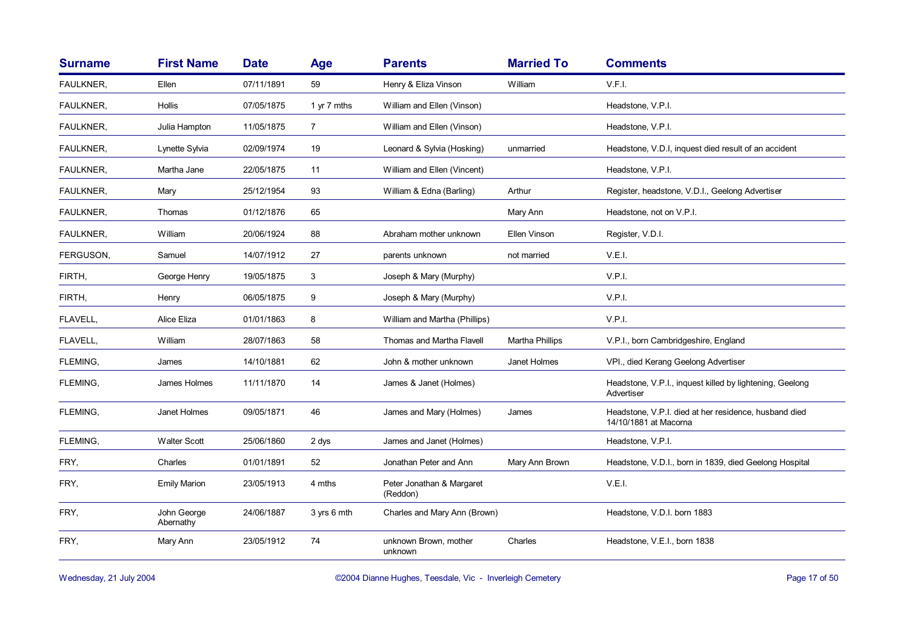| <b>First Name</b>        | <b>Date</b> | Age            | <b>Parents</b>                        | <b>Married To</b> | <b>Comments</b>                                                                |
|--------------------------|-------------|----------------|---------------------------------------|-------------------|--------------------------------------------------------------------------------|
| Ellen                    | 07/11/1891  | 59             | Henry & Eliza Vinson                  | William           | V.F.I.                                                                         |
| Hollis                   | 07/05/1875  | 1 yr 7 mths    | William and Ellen (Vinson)            |                   | Headstone, V.P.I.                                                              |
| Julia Hampton            | 11/05/1875  | $\overline{7}$ | William and Ellen (Vinson)            |                   | Headstone, V.P.I.                                                              |
| Lynette Sylvia           | 02/09/1974  | 19             | Leonard & Sylvia (Hosking)            | unmarried         | Headstone, V.D.I, inquest died result of an accident                           |
| Martha Jane              | 22/05/1875  | 11             | William and Ellen (Vincent)           |                   | Headstone, V.P.I.                                                              |
| Mary                     | 25/12/1954  | 93             | William & Edna (Barling)              | Arthur            | Register, headstone, V.D.I., Geelong Advertiser                                |
| Thomas                   | 01/12/1876  | 65             |                                       | Mary Ann          | Headstone, not on V.P.I.                                                       |
| William                  | 20/06/1924  | 88             | Abraham mother unknown                | Ellen Vinson      | Register, V.D.I.                                                               |
| Samuel                   | 14/07/1912  | 27             | parents unknown                       | not married       | V.E.I.                                                                         |
| George Henry             | 19/05/1875  | 3              | Joseph & Mary (Murphy)                |                   | V.P.I.                                                                         |
| Henry                    | 06/05/1875  | 9              | Joseph & Mary (Murphy)                |                   | V.P.I.                                                                         |
| Alice Eliza              | 01/01/1863  | 8              | William and Martha (Phillips)         |                   | V.P.I.                                                                         |
| William                  | 28/07/1863  | 58             | Thomas and Martha Flavell             | Martha Phillips   | V.P.I., born Cambridgeshire, England                                           |
| James                    | 14/10/1881  | 62             | John & mother unknown                 | Janet Holmes      | VPI., died Kerang Geelong Advertiser                                           |
| James Holmes             | 11/11/1870  | 14             | James & Janet (Holmes)                |                   | Headstone, V.P.I., inquest killed by lightening, Geelong<br>Advertiser         |
| Janet Holmes             | 09/05/1871  | 46             | James and Mary (Holmes)               | James             | Headstone, V.P.I. died at her residence, husband died<br>14/10/1881 at Macorna |
| <b>Walter Scott</b>      | 25/06/1860  | 2 dys          | James and Janet (Holmes)              |                   | Headstone, V.P.I.                                                              |
| Charles                  | 01/01/1891  | 52             | Jonathan Peter and Ann                | Mary Ann Brown    | Headstone, V.D.I., born in 1839, died Geelong Hospital                         |
| <b>Emily Marion</b>      | 23/05/1913  | 4 mths         | Peter Jonathan & Margaret<br>(Reddon) |                   | V.E.I.                                                                         |
| John George<br>Abernathy | 24/06/1887  | 3 yrs 6 mth    | Charles and Mary Ann (Brown)          |                   | Headstone, V.D.I. born 1883                                                    |
| Mary Ann                 | 23/05/1912  | 74             | unknown Brown, mother<br>unknown      | Charles           | Headstone, V.E.I., born 1838                                                   |
|                          |             |                |                                       |                   |                                                                                |

Wednesday, 21 July 2004 **Dianne Hughes, Teesdale, Vic - Inverleigh Cemetery** Page 17 of 50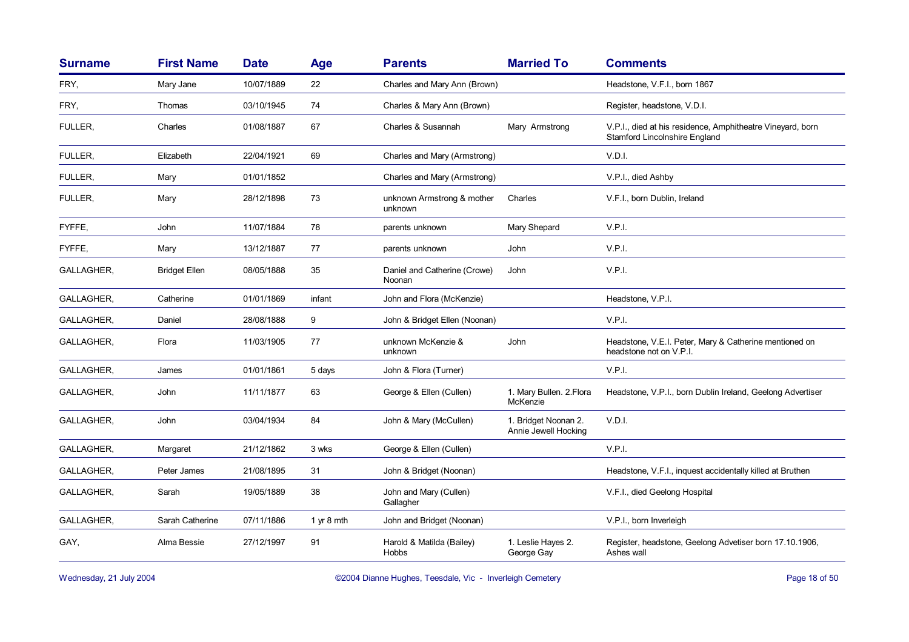| <b>Surname</b> | <b>First Name</b>    | <b>Date</b> | Age        | <b>Parents</b>                         | <b>Married To</b>                            | <b>Comments</b>                                                                                    |
|----------------|----------------------|-------------|------------|----------------------------------------|----------------------------------------------|----------------------------------------------------------------------------------------------------|
| FRY,           | Mary Jane            | 10/07/1889  | 22         | Charles and Mary Ann (Brown)           |                                              | Headstone, V.F.I., born 1867                                                                       |
| FRY,           | Thomas               | 03/10/1945  | 74         | Charles & Mary Ann (Brown)             |                                              | Register, headstone, V.D.I.                                                                        |
| FULLER.        | Charles              | 01/08/1887  | 67         | Charles & Susannah                     | Mary Armstrong                               | V.P.I., died at his residence, Amphitheatre Vineyard, born<br><b>Stamford Lincolnshire England</b> |
| FULLER,        | Elizabeth            | 22/04/1921  | 69         | Charles and Mary (Armstrong)           |                                              | V.D.I.                                                                                             |
| FULLER,        | Mary                 | 01/01/1852  |            | Charles and Mary (Armstrong)           |                                              | V.P.I., died Ashby                                                                                 |
| FULLER,        | Mary                 | 28/12/1898  | 73         | unknown Armstrong & mother<br>unknown  | Charles                                      | V.F.I., born Dublin, Ireland                                                                       |
| FYFFE,         | John                 | 11/07/1884  | 78         | parents unknown                        | Mary Shepard                                 | V.P.I.                                                                                             |
| FYFFE.         | Mary                 | 13/12/1887  | 77         | parents unknown                        | <b>John</b>                                  | V.P.I.                                                                                             |
| GALLAGHER,     | <b>Bridget Ellen</b> | 08/05/1888  | 35         | Daniel and Catherine (Crowe)<br>Noonan | John                                         | V.P.I.                                                                                             |
| GALLAGHER,     | Catherine            | 01/01/1869  | infant     | John and Flora (McKenzie)              |                                              | Headstone, V.P.I.                                                                                  |
| GALLAGHER,     | Daniel               | 28/08/1888  | 9          | John & Bridget Ellen (Noonan)          |                                              | V.P.I.                                                                                             |
| GALLAGHER,     | Flora                | 11/03/1905  | 77         | unknown McKenzie &<br>unknown          | John                                         | Headstone, V.E.I. Peter, Mary & Catherine mentioned on<br>headstone not on V.P.I.                  |
| GALLAGHER,     | James                | 01/01/1861  | 5 days     | John & Flora (Turner)                  |                                              | V.P.I.                                                                                             |
| GALLAGHER,     | John                 | 11/11/1877  | 63         | George & Ellen (Cullen)                | 1. Mary Bullen. 2. Flora<br>McKenzie         | Headstone, V.P.I., born Dublin Ireland, Geelong Advertiser                                         |
| GALLAGHER,     | John                 | 03/04/1934  | 84         | John & Mary (McCullen)                 | 1. Bridget Noonan 2.<br>Annie Jewell Hocking | V.D.I.                                                                                             |
| GALLAGHER,     | Margaret             | 21/12/1862  | 3 wks      | George & Ellen (Cullen)                |                                              | V.P.I.                                                                                             |
| GALLAGHER,     | Peter James          | 21/08/1895  | 31         | John & Bridget (Noonan)                |                                              | Headstone, V.F.I., inquest accidentally killed at Bruthen                                          |
| GALLAGHER,     | Sarah                | 19/05/1889  | 38         | John and Mary (Cullen)<br>Gallagher    |                                              | V.F.I., died Geelong Hospital                                                                      |
| GALLAGHER,     | Sarah Catherine      | 07/11/1886  | 1 yr 8 mth | John and Bridget (Noonan)              |                                              | V.P.I., born Inverleigh                                                                            |
| GAY,           | Alma Bessie          | 27/12/1997  | 91         | Harold & Matilda (Bailey)<br>Hobbs     | 1. Leslie Hayes 2.<br>George Gay             | Register, headstone, Geelong Advetiser born 17.10.1906,<br>Ashes wall                              |

Wednesday, 21 July 2004 **Dianne Hughes, Teesdale, Vic - Inverleigh Cemetery** Page 18 of 50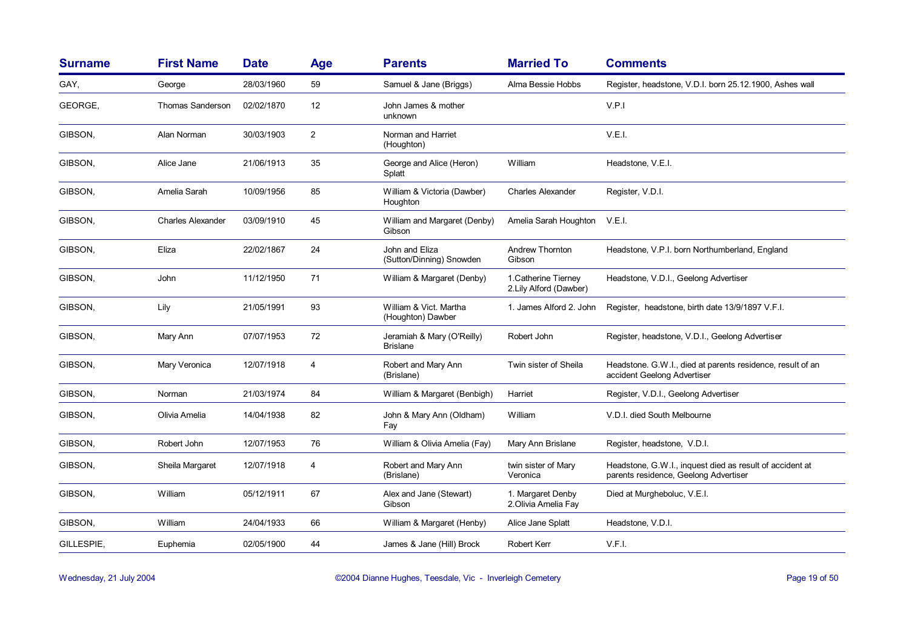| <b>Surname</b> | <b>First Name</b>        | <b>Date</b> | Age            | <b>Parents</b>                                | <b>Married To</b>                               | <b>Comments</b>                                                                                   |
|----------------|--------------------------|-------------|----------------|-----------------------------------------------|-------------------------------------------------|---------------------------------------------------------------------------------------------------|
| GAY,           | George                   | 28/03/1960  | 59             | Samuel & Jane (Briggs)                        | Alma Bessie Hobbs                               | Register, headstone, V.D.I. born 25.12.1900, Ashes wall                                           |
| GEORGE,        | <b>Thomas Sanderson</b>  | 02/02/1870  | 12             | John James & mother<br>unknown                |                                                 | V.P.I                                                                                             |
| GIBSON,        | Alan Norman              | 30/03/1903  | $\overline{2}$ | Norman and Harriet<br>(Houghton)              |                                                 | V.E.I.                                                                                            |
| GIBSON,        | Alice Jane               | 21/06/1913  | 35             | George and Alice (Heron)<br>Splatt            | William                                         | Headstone, V.E.I.                                                                                 |
| GIBSON,        | Amelia Sarah             | 10/09/1956  | 85             | William & Victoria (Dawber)<br>Houghton       | <b>Charles Alexander</b>                        | Register, V.D.I.                                                                                  |
| GIBSON,        | <b>Charles Alexander</b> | 03/09/1910  | 45             | William and Margaret (Denby)<br>Gibson        | Amelia Sarah Houghton V.E.I.                    |                                                                                                   |
| GIBSON,        | Eliza                    | 22/02/1867  | 24             | John and Eliza<br>(Sutton/Dinning) Snowden    | Andrew Thornton<br>Gibson                       | Headstone, V.P.I. born Northumberland, England                                                    |
| GIBSON,        | John                     | 11/12/1950  | 71             | William & Margaret (Denby)                    | 1. Catherine Tierney<br>2. Lily Alford (Dawber) | Headstone, V.D.I., Geelong Advertiser                                                             |
| GIBSON,        | Lily                     | 21/05/1991  | 93             | William & Vict. Martha<br>(Houghton) Dawber   | 1. James Alford 2. John                         | Register, headstone, birth date 13/9/1897 V.F.I.                                                  |
| GIBSON,        | Mary Ann                 | 07/07/1953  | 72             | Jeramiah & Mary (O'Reilly)<br><b>Brislane</b> | Robert John                                     | Register, headstone, V.D.I., Geelong Advertiser                                                   |
| GIBSON,        | Mary Veronica            | 12/07/1918  | 4              | Robert and Mary Ann<br>(Brislane)             | Twin sister of Sheila                           | Headstone. G.W.I., died at parents residence, result of an<br>accident Geelong Advertiser         |
| GIBSON,        | Norman                   | 21/03/1974  | 84             | William & Margaret (Benbigh)                  | Harriet                                         | Register, V.D.I., Geelong Advertiser                                                              |
| GIBSON,        | Olivia Amelia            | 14/04/1938  | 82             | John & Mary Ann (Oldham)<br>Fay               | William                                         | V.D.I. died South Melbourne                                                                       |
| GIBSON,        | Robert John              | 12/07/1953  | 76             | William & Olivia Amelia (Fay)                 | Mary Ann Brislane                               | Register, headstone, V.D.I.                                                                       |
| GIBSON,        | Sheila Margaret          | 12/07/1918  | 4              | Robert and Mary Ann<br>(Brislane)             | twin sister of Mary<br>Veronica                 | Headstone, G.W.I., inquest died as result of accident at<br>parents residence, Geelong Advertiser |
| GIBSON,        | William                  | 05/12/1911  | 67             | Alex and Jane (Stewart)<br>Gibson             | 1. Margaret Denby<br>2. Olivia Amelia Fay       | Died at Murgheboluc, V.E.I.                                                                       |
| GIBSON,        | William                  | 24/04/1933  | 66             | William & Margaret (Henby)                    | Alice Jane Splatt                               | Headstone, V.D.I.                                                                                 |
| GILLESPIE,     | Euphemia                 | 02/05/1900  | 44             | James & Jane (Hill) Brock                     | <b>Robert Kerr</b>                              | V.F.I.                                                                                            |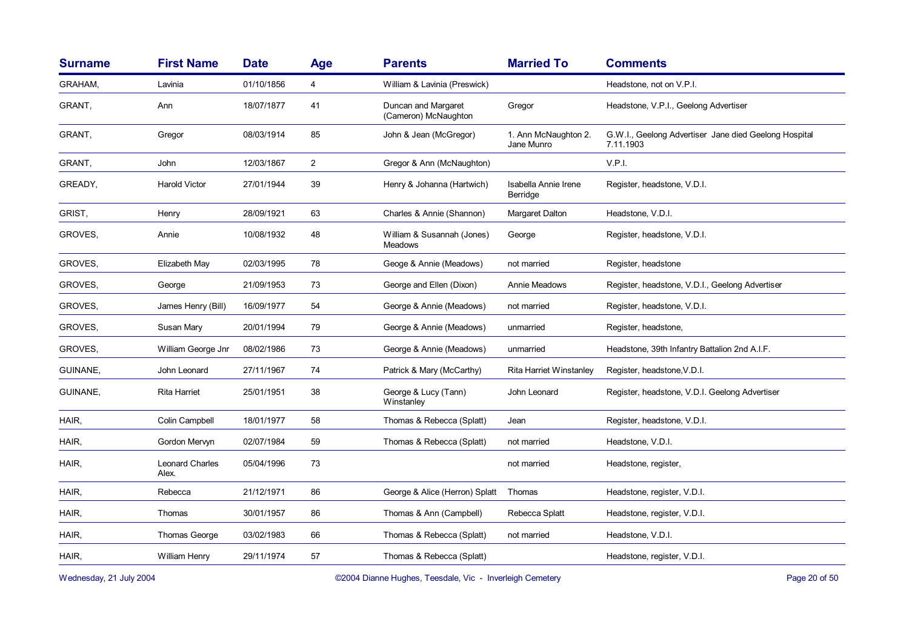| <b>Surname</b> | <b>First Name</b>               | <b>Date</b> | Age            | <b>Parents</b>                               | <b>Married To</b>                  | <b>Comments</b>                                                    |
|----------------|---------------------------------|-------------|----------------|----------------------------------------------|------------------------------------|--------------------------------------------------------------------|
| <b>GRAHAM.</b> | Lavinia                         | 01/10/1856  | 4              | William & Lavinia (Preswick)                 |                                    | Headstone, not on V.P.I.                                           |
| GRANT,         | Ann                             | 18/07/1877  | 41             | Duncan and Margaret<br>(Cameron) McNaughton  | Gregor                             | Headstone, V.P.I., Geelong Advertiser                              |
| GRANT,         | Gregor                          | 08/03/1914  | 85             | John & Jean (McGregor)                       | 1. Ann McNaughton 2.<br>Jane Munro | G.W.I., Geelong Advertiser Jane died Geelong Hospital<br>7.11.1903 |
| GRANT,         | John                            | 12/03/1867  | $\overline{2}$ | Gregor & Ann (McNaughton)                    |                                    | V.P.I.                                                             |
| GREADY,        | <b>Harold Victor</b>            | 27/01/1944  | 39             | Henry & Johanna (Hartwich)                   | Isabella Annie Irene<br>Berridge   | Register, headstone, V.D.I.                                        |
| GRIST.         | Henry                           | 28/09/1921  | 63             | Charles & Annie (Shannon)                    | Margaret Dalton                    | Headstone, V.D.I.                                                  |
| GROVES,        | Annie                           | 10/08/1932  | 48             | William & Susannah (Jones)<br><b>Meadows</b> | George                             | Register, headstone, V.D.I.                                        |
| GROVES,        | Elizabeth May                   | 02/03/1995  | 78             | Geoge & Annie (Meadows)                      | not married                        | Register, headstone                                                |
| GROVES,        | George                          | 21/09/1953  | 73             | George and Ellen (Dixon)                     | Annie Meadows                      | Register, headstone, V.D.I., Geelong Advertiser                    |
| GROVES,        | James Henry (Bill)              | 16/09/1977  | 54             | George & Annie (Meadows)                     | not married                        | Register, headstone, V.D.I.                                        |
| GROVES,        | Susan Mary                      | 20/01/1994  | 79             | George & Annie (Meadows)                     | unmarried                          | Register, headstone,                                               |
| GROVES,        | William George Jnr              | 08/02/1986  | 73             | George & Annie (Meadows)                     | unmarried                          | Headstone, 39th Infantry Battalion 2nd A.I.F.                      |
| GUINANE,       | John Leonard                    | 27/11/1967  | 74             | Patrick & Mary (McCarthy)                    | <b>Rita Harriet Winstanley</b>     | Register, headstone, V.D.I.                                        |
| GUINANE,       | <b>Rita Harriet</b>             | 25/01/1951  | 38             | George & Lucy (Tann)<br>Winstanley           | John Leonard                       | Register, headstone, V.D.I. Geelong Advertiser                     |
| HAIR,          | Colin Campbell                  | 18/01/1977  | 58             | Thomas & Rebecca (Splatt)                    | Jean                               | Register, headstone, V.D.I.                                        |
| HAIR,          | Gordon Mervyn                   | 02/07/1984  | 59             | Thomas & Rebecca (Splatt)                    | not married                        | Headstone, V.D.I.                                                  |
| HAIR,          | <b>Leonard Charles</b><br>Alex. | 05/04/1996  | 73             |                                              | not married                        | Headstone, register,                                               |
| HAIR,          | Rebecca                         | 21/12/1971  | 86             | George & Alice (Herron) Splatt               | Thomas                             | Headstone, register, V.D.I.                                        |
| HAIR,          | Thomas                          | 30/01/1957  | 86             | Thomas & Ann (Campbell)                      | Rebecca Splatt                     | Headstone, register, V.D.I.                                        |
| HAIR,          | <b>Thomas George</b>            | 03/02/1983  | 66             | Thomas & Rebecca (Splatt)                    | not married                        | Headstone, V.D.I.                                                  |
| HAIR,          | William Henry                   | 29/11/1974  | 57             | Thomas & Rebecca (Splatt)                    |                                    | Headstone, register, V.D.I.                                        |
|                |                                 |             |                |                                              |                                    |                                                                    |

Wednesday, 21 July 2004 **Dianne Hughes, Teesdale, Vic - Inverleigh Cemetery** Page 20 of 50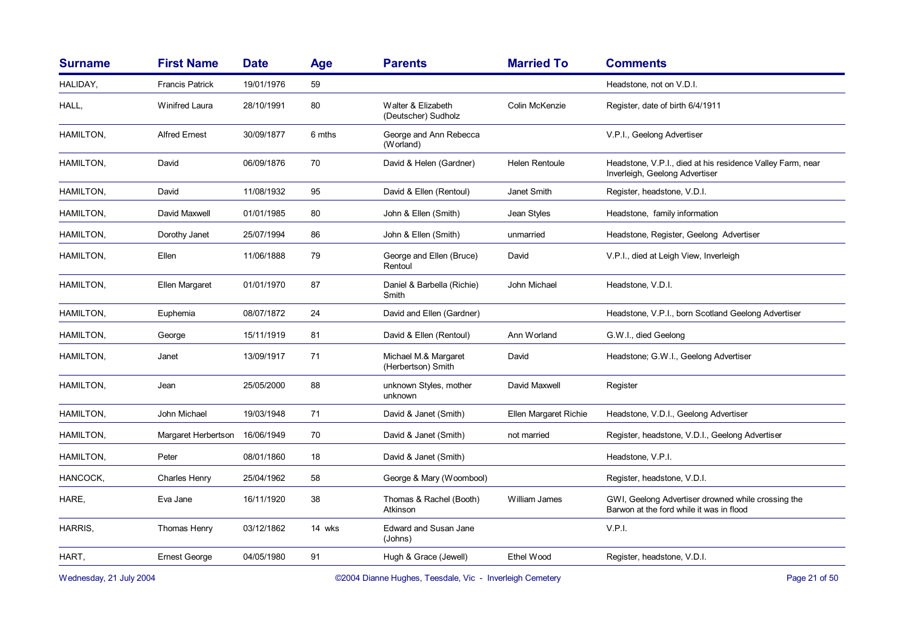| <b>Surname</b>          | <b>First Name</b>      | <b>Date</b>   | Age    | <b>Parents</b>                             | <b>Married To</b>     | <b>Comments</b>                                                                                |
|-------------------------|------------------------|---------------|--------|--------------------------------------------|-----------------------|------------------------------------------------------------------------------------------------|
| HALIDAY,                | <b>Francis Patrick</b> | 19/01/1976    | 59     |                                            |                       | Headstone, not on V.D.I.                                                                       |
| HALL,                   | <b>Winifred Laura</b>  | 28/10/1991    | 80     | Walter & Elizabeth<br>(Deutscher) Sudholz  | Colin McKenzie        | Register, date of birth 6/4/1911                                                               |
| <b>HAMILTON,</b>        | <b>Alfred Ernest</b>   | 30/09/1877    | 6 mths | George and Ann Rebecca<br>(Worland)        |                       | V.P.I., Geelong Advertiser                                                                     |
| <b>HAMILTON,</b>        | David                  | 06/09/1876    | 70     | David & Helen (Gardner)                    | Helen Rentoule        | Headstone, V.P.I., died at his residence Valley Farm, near<br>Inverleigh, Geelong Advertiser   |
| HAMILTON,               | David                  | 11/08/1932    | 95     | David & Ellen (Rentoul)                    | Janet Smith           | Register, headstone, V.D.I.                                                                    |
| HAMILTON,               | David Maxwell          | 01/01/1985    | 80     | John & Ellen (Smith)                       | Jean Styles           | Headstone, family information                                                                  |
| <b>HAMILTON,</b>        | Dorothy Janet          | 25/07/1994    | 86     | John & Ellen (Smith)                       | unmarried             | Headstone, Register, Geelong Advertiser                                                        |
| HAMILTON,               | Ellen                  | 11/06/1888    | 79     | George and Ellen (Bruce)<br>Rentoul        | David                 | V.P.I., died at Leigh View, Inverleigh                                                         |
| <b>HAMILTON,</b>        | Ellen Margaret         | 01/01/1970    | 87     | Daniel & Barbella (Richie)<br>Smith        | John Michael          | Headstone, V.D.I.                                                                              |
| <b>HAMILTON,</b>        | Euphemia               | 08/07/1872    | 24     | David and Ellen (Gardner)                  |                       | Headstone, V.P.I., born Scotland Geelong Advertiser                                            |
| HAMILTON,               | George                 | 15/11/1919    | 81     | David & Ellen (Rentoul)                    | Ann Worland           | G.W.I., died Geelong                                                                           |
| HAMILTON,               | Janet                  | 13/09/1917    | 71     | Michael M.& Margaret<br>(Herbertson) Smith | David                 | Headstone; G.W.I., Geelong Advertiser                                                          |
| HAMILTON,               | Jean                   | 25/05/2000    | 88     | unknown Styles, mother<br>unknown          | David Maxwell         | Register                                                                                       |
| HAMILTON,               | John Michael           | 19/03/1948    | 71     | David & Janet (Smith)                      | Ellen Margaret Richie | Headstone, V.D.I., Geelong Advertiser                                                          |
| HAMILTON,               | Margaret Herbertson    | 16/06/1949    | 70     | David & Janet (Smith)                      | not married           | Register, headstone, V.D.I., Geelong Advertiser                                                |
| HAMILTON,               | Peter                  | 08/01/1860    | 18     | David & Janet (Smith)                      |                       | Headstone, V.P.I.                                                                              |
| HANCOCK,                | Charles Henry          | 25/04/1962    | 58     | George & Mary (Woombool)                   |                       | Register, headstone, V.D.I.                                                                    |
| HARE,                   | Eva Jane               | 16/11/1920    | 38     | Thomas & Rachel (Booth)<br>Atkinson        | William James         | GWI, Geelong Advertiser drowned while crossing the<br>Barwon at the ford while it was in flood |
| HARRIS,                 | Thomas Henry           | 03/12/1862    | 14 wks | <b>Edward and Susan Jane</b><br>(Johns)    |                       | V.P.I.                                                                                         |
| HART,                   | <b>Ernest George</b>   | 04/05/1980    | 91     | Hugh & Grace (Jewell)                      | Ethel Wood            | Register, headstone, V.D.I.                                                                    |
| Wednesday, 21 July 2004 |                        | Page 21 of 50 |        |                                            |                       |                                                                                                |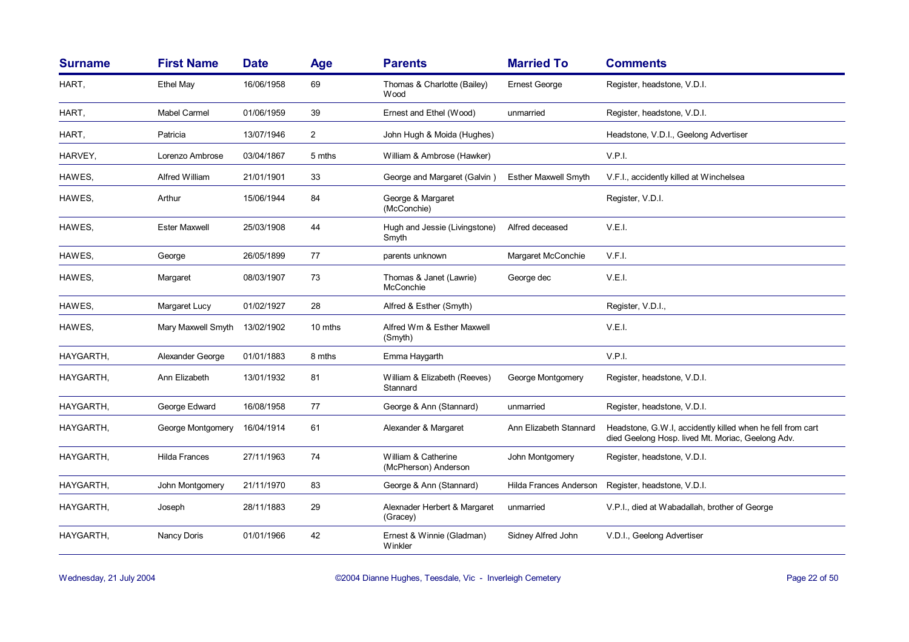| <b>Surname</b> | <b>First Name</b>    | <b>Date</b> | <b>Age</b>     | <b>Parents</b>                              | <b>Married To</b>      | <b>Comments</b>                                                                                                 |
|----------------|----------------------|-------------|----------------|---------------------------------------------|------------------------|-----------------------------------------------------------------------------------------------------------------|
| HART,          | Ethel May            | 16/06/1958  | 69             | Thomas & Charlotte (Bailey)<br><b>Wood</b>  | <b>Ernest George</b>   | Register, headstone, V.D.I.                                                                                     |
| HART,          | Mabel Carmel         | 01/06/1959  | 39             | Ernest and Ethel (Wood)                     | unmarried              | Register, headstone, V.D.I.                                                                                     |
| HART,          | Patricia             | 13/07/1946  | $\overline{2}$ | John Hugh & Moida (Hughes)                  |                        | Headstone, V.D.I., Geelong Advertiser                                                                           |
| HARVEY,        | Lorenzo Ambrose      | 03/04/1867  | 5 mths         | William & Ambrose (Hawker)                  |                        | V.P.I.                                                                                                          |
| HAWES,         | Alfred William       | 21/01/1901  | 33             | George and Margaret (Galvin)                | Esther Maxwell Smyth   | V.F.I., accidently killed at Winchelsea                                                                         |
| HAWES,         | Arthur               | 15/06/1944  | 84             | George & Margaret<br>(McConchie)            |                        | Register, V.D.I.                                                                                                |
| HAWES,         | <b>Ester Maxwell</b> | 25/03/1908  | 44             | Hugh and Jessie (Livingstone)<br>Smyth      | Alfred deceased        | V.E.I.                                                                                                          |
| HAWES,         | George               | 26/05/1899  | 77             | parents unknown                             | Margaret McConchie     | V.F.I.                                                                                                          |
| HAWES,         | Margaret             | 08/03/1907  | 73             | Thomas & Janet (Lawrie)<br>McConchie        | George dec             | V.E.I.                                                                                                          |
| HAWES,         | Margaret Lucy        | 01/02/1927  | 28             | Alfred & Esther (Smyth)                     |                        | Register, V.D.I.,                                                                                               |
| HAWES,         | Mary Maxwell Smyth   | 13/02/1902  | 10 mths        | Alfred Wm & Esther Maxwell<br>(Smyth)       |                        | V.E.I.                                                                                                          |
| HAYGARTH,      | Alexander George     | 01/01/1883  | 8 mths         | Emma Haygarth                               |                        | V.P.I.                                                                                                          |
| HAYGARTH,      | Ann Elizabeth        | 13/01/1932  | 81             | William & Elizabeth (Reeves)<br>Stannard    | George Montgomery      | Register, headstone, V.D.I.                                                                                     |
| HAYGARTH,      | George Edward        | 16/08/1958  | 77             | George & Ann (Stannard)                     | unmarried              | Register, headstone, V.D.I.                                                                                     |
| HAYGARTH,      | George Montgomery    | 16/04/1914  | 61             | Alexander & Margaret                        | Ann Elizabeth Stannard | Headstone, G.W.I, accidently killed when he fell from cart<br>died Geelong Hosp. lived Mt. Moriac, Geelong Adv. |
| HAYGARTH,      | <b>Hilda Frances</b> | 27/11/1963  | 74             | William & Catherine<br>(McPherson) Anderson | John Montgomery        | Register, headstone, V.D.I.                                                                                     |
| HAYGARTH,      | John Montgomery      | 21/11/1970  | 83             | George & Ann (Stannard)                     | Hilda Frances Anderson | Register, headstone, V.D.I.                                                                                     |
| HAYGARTH,      | Joseph               | 28/11/1883  | 29             | Alexnader Herbert & Margaret<br>(Gracey)    | unmarried              | V.P.I., died at Wabadallah, brother of George                                                                   |
| HAYGARTH,      | Nancy Doris          | 01/01/1966  | 42             | Ernest & Winnie (Gladman)<br>Winkler        | Sidney Alfred John     | V.D.I., Geelong Advertiser                                                                                      |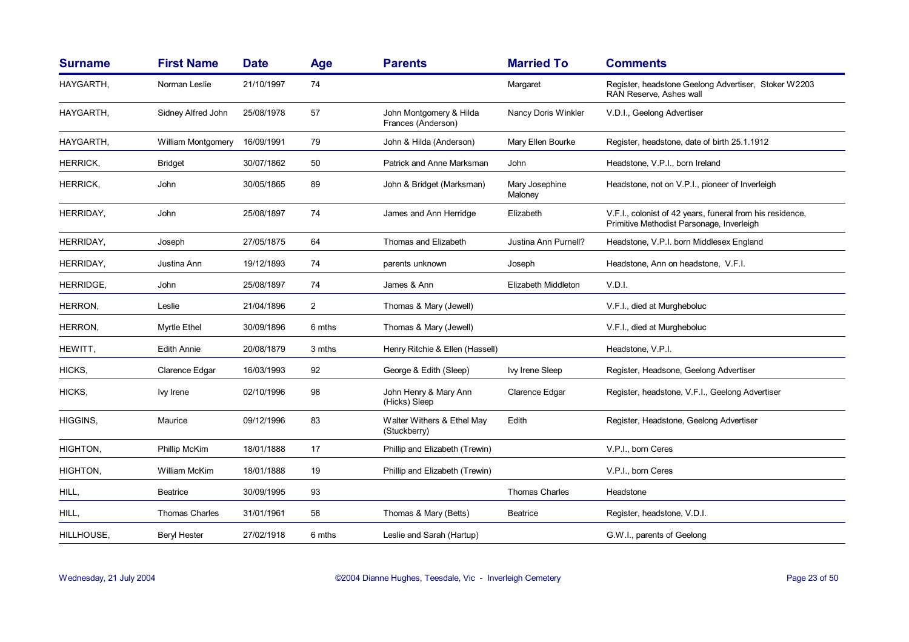| <b>Surname</b>  | <b>First Name</b>     | <b>Date</b> | Age            | <b>Parents</b>                                | <b>Married To</b>         | <b>Comments</b>                                                                                        |
|-----------------|-----------------------|-------------|----------------|-----------------------------------------------|---------------------------|--------------------------------------------------------------------------------------------------------|
| HAYGARTH.       | Norman Leslie         | 21/10/1997  | 74             |                                               | Margaret                  | Register, headstone Geelong Advertiser, Stoker W2203<br>RAN Reserve, Ashes wall                        |
| HAYGARTH,       | Sidney Alfred John    | 25/08/1978  | 57             | John Montgomery & Hilda<br>Frances (Anderson) | Nancy Doris Winkler       | V.D.I., Geelong Advertiser                                                                             |
| HAYGARTH,       | William Montgomery    | 16/09/1991  | 79             | John & Hilda (Anderson)                       | Mary Ellen Bourke         | Register, headstone, date of birth 25.1.1912                                                           |
| <b>HERRICK,</b> | <b>Bridget</b>        | 30/07/1862  | 50             | Patrick and Anne Marksman                     | John                      | Headstone, V.P.I., born Ireland                                                                        |
| <b>HERRICK,</b> | John                  | 30/05/1865  | 89             | John & Bridget (Marksman)                     | Mary Josephine<br>Maloney | Headstone, not on V.P.I., pioneer of Inverleigh                                                        |
| HERRIDAY,       | John                  | 25/08/1897  | 74             | James and Ann Herridge                        | Elizabeth                 | V.F.I., colonist of 42 years, funeral from his residence,<br>Primitive Methodist Parsonage, Inverleigh |
| HERRIDAY,       | Joseph                | 27/05/1875  | 64             | Thomas and Elizabeth                          | Justina Ann Purnell?      | Headstone, V.P.I. born Middlesex England                                                               |
| HERRIDAY,       | Justina Ann           | 19/12/1893  | 74             | parents unknown                               | Joseph                    | Headstone, Ann on headstone, V.F.I.                                                                    |
| HERRIDGE.       | John                  | 25/08/1897  | 74             | James & Ann                                   | Elizabeth Middleton       | V.D.I.                                                                                                 |
| HERRON,         | Leslie                | 21/04/1896  | $\overline{2}$ | Thomas & Mary (Jewell)                        |                           | V.F.I., died at Murgheboluc                                                                            |
| HERRON,         | <b>Myrtle Ethel</b>   | 30/09/1896  | 6 mths         | Thomas & Mary (Jewell)                        |                           | V.F.I., died at Murgheboluc                                                                            |
| HEWITT,         | <b>Edith Annie</b>    | 20/08/1879  | 3 mths         | Henry Ritchie & Ellen (Hassell)               |                           | Headstone, V.P.I.                                                                                      |
| HICKS,          | Clarence Edgar        | 16/03/1993  | 92             | George & Edith (Sleep)                        | Ivy Irene Sleep           | Register, Headsone, Geelong Advertiser                                                                 |
| HICKS,          | Ivy Irene             | 02/10/1996  | 98             | John Henry & Mary Ann<br>(Hicks) Sleep        | Clarence Edgar            | Register, headstone, V.F.I., Geelong Advertiser                                                        |
| HIGGINS,        | Maurice               | 09/12/1996  | 83             | Walter Withers & Ethel May<br>(Stuckberry)    | Edith                     | Register, Headstone, Geelong Advertiser                                                                |
| HIGHTON,        | Phillip McKim         | 18/01/1888  | 17             | Phillip and Elizabeth (Trewin)                |                           | V.P.I., born Ceres                                                                                     |
| HIGHTON,        | <b>William McKim</b>  | 18/01/1888  | 19             | Phillip and Elizabeth (Trewin)                |                           | V.P.I., born Ceres                                                                                     |
| HILL,           | <b>Beatrice</b>       | 30/09/1995  | 93             |                                               | Thomas Charles            | Headstone                                                                                              |
| HILL,           | <b>Thomas Charles</b> | 31/01/1961  | 58             | Thomas & Mary (Betts)                         | Beatrice                  | Register, headstone, V.D.I.                                                                            |
| HILLHOUSE.      | <b>Beryl Hester</b>   | 27/02/1918  | 6 mths         | Leslie and Sarah (Hartup)                     |                           | G.W.I., parents of Geelong                                                                             |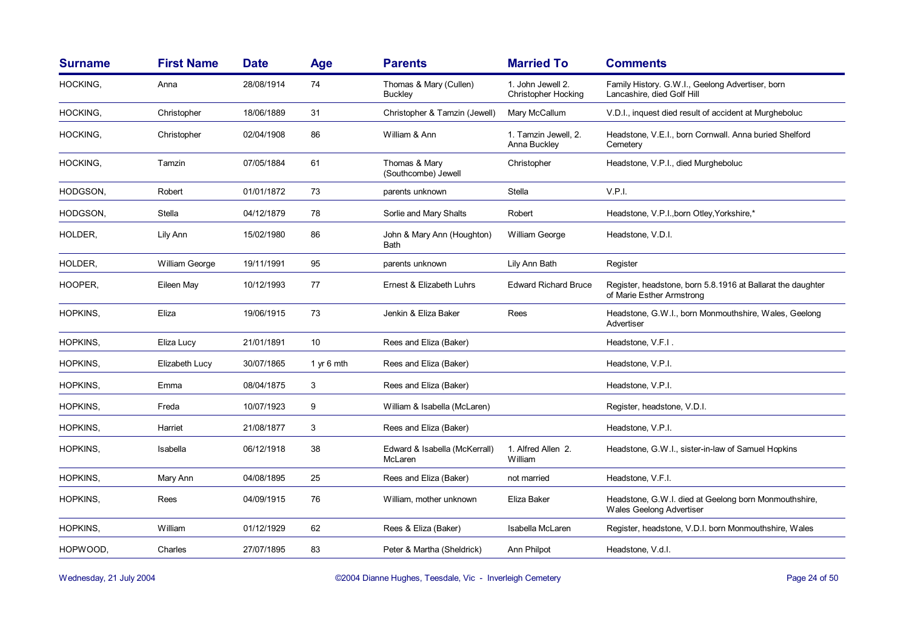| <b>First Name</b>     | <b>Date</b> | <b>Age</b> | <b>Parents</b>                           | <b>Married To</b>                               | <b>Comments</b>                                                                          |
|-----------------------|-------------|------------|------------------------------------------|-------------------------------------------------|------------------------------------------------------------------------------------------|
| Anna                  | 28/08/1914  | 74         | Thomas & Mary (Cullen)<br><b>Buckley</b> | 1. John Jewell 2.<br><b>Christopher Hocking</b> | Family History. G.W.I., Geelong Advertiser, born<br>Lancashire, died Golf Hill           |
| Christopher           | 18/06/1889  | 31         | Christopher & Tamzin (Jewell)            | Mary McCallum                                   | V.D.I., inquest died result of accident at Murgheboluc                                   |
| Christopher           | 02/04/1908  | 86         | William & Ann                            | 1. Tamzin Jewell, 2.<br>Anna Buckley            | Headstone, V.E.I., born Cornwall. Anna buried Shelford<br>Cemetery                       |
| Tamzin                | 07/05/1884  | 61         | Thomas & Mary<br>(Southcombe) Jewell     | Christopher                                     | Headstone, V.P.I., died Murgheboluc                                                      |
| Robert                | 01/01/1872  | 73         | parents unknown                          | Stella                                          | V.P.I.                                                                                   |
| Stella                | 04/12/1879  | 78         | Sorlie and Mary Shalts                   | Robert                                          | Headstone, V.P.I., born Otley, Yorkshire,*                                               |
| Lily Ann              | 15/02/1980  | 86         | John & Mary Ann (Houghton)<br>Bath       | William George                                  | Headstone, V.D.I.                                                                        |
| <b>William George</b> | 19/11/1991  | 95         | parents unknown                          | Lily Ann Bath                                   | Register                                                                                 |
| Eileen May            | 10/12/1993  | 77         | Ernest & Elizabeth Luhrs                 | <b>Edward Richard Bruce</b>                     | Register, headstone, born 5.8.1916 at Ballarat the daughter<br>of Marie Esther Armstrong |
| Eliza                 | 19/06/1915  | 73         | Jenkin & Eliza Baker                     | Rees                                            | Headstone, G.W.I., born Monmouthshire, Wales, Geelong<br>Advertiser                      |
| Eliza Lucy            | 21/01/1891  | 10         | Rees and Eliza (Baker)                   |                                                 | Headstone, V.F.I.                                                                        |
| Elizabeth Lucy        | 30/07/1865  | 1 yr 6 mth | Rees and Eliza (Baker)                   |                                                 | Headstone, V.P.I.                                                                        |
| Emma                  | 08/04/1875  | 3          | Rees and Eliza (Baker)                   |                                                 | Headstone, V.P.I.                                                                        |
| Freda                 | 10/07/1923  | 9          | William & Isabella (McLaren)             |                                                 | Register, headstone, V.D.I.                                                              |
| Harriet               | 21/08/1877  | 3          | Rees and Eliza (Baker)                   |                                                 | Headstone, V.P.I.                                                                        |
| Isabella              | 06/12/1918  | 38         | Edward & Isabella (McKerrall)<br>McLaren | 1. Alfred Allen 2.<br>William                   | Headstone, G.W.I., sister-in-law of Samuel Hopkins                                       |
| Mary Ann              | 04/08/1895  | 25         | Rees and Eliza (Baker)                   | not married                                     | Headstone, V.F.I.                                                                        |
| Rees                  | 04/09/1915  | 76         | William, mother unknown                  | Eliza Baker                                     | Headstone, G.W.I. died at Geelong born Monmouthshire,<br>Wales Geelong Advertiser        |
| William               | 01/12/1929  | 62         | Rees & Eliza (Baker)                     | Isabella McLaren                                | Register, headstone, V.D.I. born Monmouthshire, Wales                                    |
| Charles               | 27/07/1895  | 83         | Peter & Martha (Sheldrick)               | Ann Philpot                                     | Headstone, V.d.I.                                                                        |
|                       |             |            |                                          |                                                 |                                                                                          |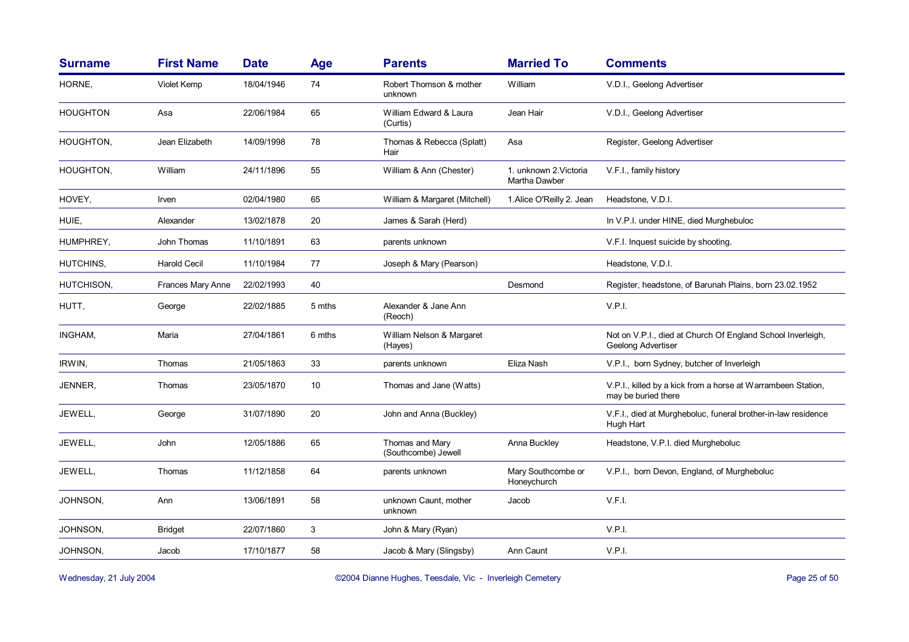| <b>Surname</b>  | <b>First Name</b> | <b>Date</b> | Age    | <b>Parents</b>                         | <b>Married To</b>                       | <b>Comments</b>                                                                     |
|-----------------|-------------------|-------------|--------|----------------------------------------|-----------------------------------------|-------------------------------------------------------------------------------------|
| HORNE,          | Violet Kemp       | 18/04/1946  | 74     | Robert Thomson & mother<br>unknown     | William                                 | V.D.I., Geelong Advertiser                                                          |
| <b>HOUGHTON</b> | Asa               | 22/06/1984  | 65     | William Edward & Laura<br>(Curtis)     | Jean Hair                               | V.D.I., Geelong Advertiser                                                          |
| HOUGHTON,       | Jean Elizabeth    | 14/09/1998  | 78     | Thomas & Rebecca (Splatt)<br>Hair      | Asa                                     | Register, Geelong Advertiser                                                        |
| HOUGHTON,       | William           | 24/11/1896  | 55     | William & Ann (Chester)                | 1. unknown 2. Victoria<br>Martha Dawber | V.F.I., family history                                                              |
| HOVEY,          | <b>Irven</b>      | 02/04/1980  | 65     | William & Margaret (Mitchell)          | 1. Alice O'Reilly 2. Jean               | Headstone, V.D.I.                                                                   |
| HUIE,           | Alexander         | 13/02/1878  | 20     | James & Sarah (Herd)                   |                                         | In V.P.I. under HINE, died Murghebuloc                                              |
| HUMPHREY,       | John Thomas       | 11/10/1891  | 63     | parents unknown                        |                                         | V.F.I. Inquest suicide by shooting.                                                 |
| HUTCHINS,       | Harold Cecil      | 11/10/1984  | 77     | Joseph & Mary (Pearson)                |                                         | Headstone, V.D.I.                                                                   |
| HUTCHISON.      | Frances Mary Anne | 22/02/1993  | 40     |                                        | Desmond                                 | Register, headstone, of Barunah Plains, born 23.02.1952                             |
| HUTT,           | George            | 22/02/1885  | 5 mths | Alexander & Jane Ann<br>(Reoch)        |                                         | V.P.I.                                                                              |
| INGHAM,         | Maria             | 27/04/1861  | 6 mths | William Nelson & Margaret<br>(Hayes)   |                                         | Not on V.P.I., died at Church Of England School Inverleigh,<br>Geelong Advertiser   |
| IRWIN,          | Thomas            | 21/05/1863  | 33     | parents unknown                        | Eliza Nash                              | V.P.I., born Sydney, butcher of Inverleigh                                          |
| JENNER,         | Thomas            | 23/05/1870  | 10     | Thomas and Jane (Watts)                |                                         | V.P.I., killed by a kick from a horse at Warrambeen Station,<br>may be buried there |
| JEWELL,         | George            | 31/07/1890  | 20     | John and Anna (Buckley)                |                                         | V.F.I., died at Murgheboluc, funeral brother-in-law residence<br>Hugh Hart          |
| JEWELL,         | John              | 12/05/1886  | 65     | Thomas and Mary<br>(Southcombe) Jewell | Anna Buckley                            | Headstone, V.P.I. died Murgheboluc                                                  |
| JEWELL,         | Thomas            | 11/12/1858  | 64     | parents unknown                        | Mary Southcombe or<br>Honeychurch       | V.P.I., born Devon, England, of Murgheboluc                                         |
| JOHNSON.        | Ann               | 13/06/1891  | 58     | unknown Caunt, mother<br>unknown       | Jacob                                   | V.F.I.                                                                              |
| JOHNSON,        | <b>Bridget</b>    | 22/07/1860  | 3      | John & Mary (Ryan)                     |                                         | V.P.I.                                                                              |
| JOHNSON,        | Jacob             | 17/10/1877  | 58     | Jacob & Mary (Slingsby)                | Ann Caunt                               | V.P.I.                                                                              |

Wednesday, 21 July 2004 **Dianne Hughes, Teesdale, Vic - Inverleigh Cemetery** Page 25 of 50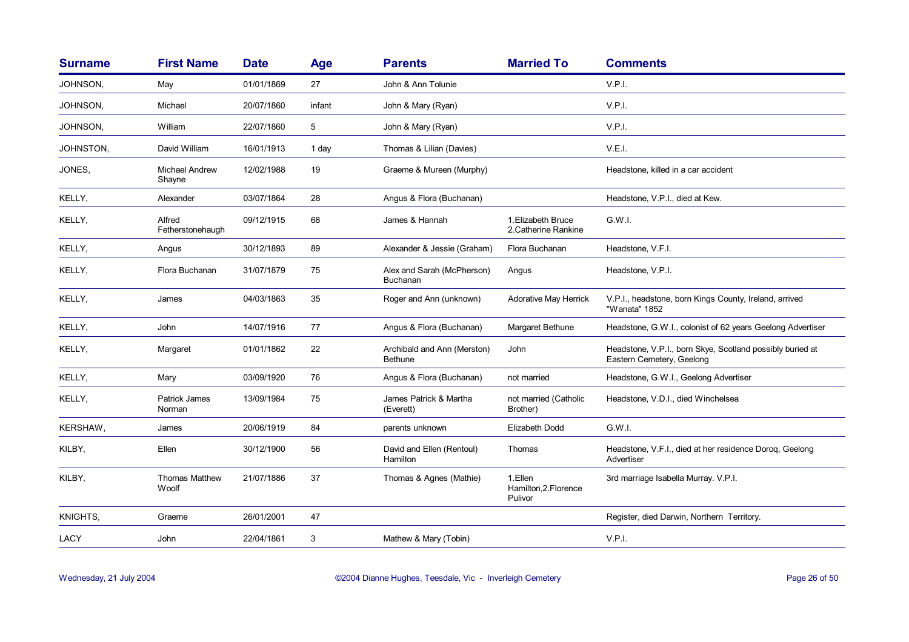| <b>Surname</b> | <b>First Name</b>               | <b>Date</b> | <b>Age</b> | <b>Parents</b>                                | <b>Married To</b>                           | <b>Comments</b>                                                                        |
|----------------|---------------------------------|-------------|------------|-----------------------------------------------|---------------------------------------------|----------------------------------------------------------------------------------------|
| JOHNSON,       | May                             | 01/01/1869  | 27         | John & Ann Tolunie                            |                                             | V.P.I.                                                                                 |
| JOHNSON,       | Michael                         | 20/07/1860  | infant     | John & Mary (Ryan)                            |                                             | V.P.I.                                                                                 |
| JOHNSON,       | William                         | 22/07/1860  | 5          | John & Mary (Ryan)                            |                                             | V.P.I.                                                                                 |
| JOHNSTON,      | David William                   | 16/01/1913  | 1 day      | Thomas & Lilian (Davies)                      |                                             | V.E.I.                                                                                 |
| JONES,         | <b>Michael Andrew</b><br>Shayne | 12/02/1988  | 19         | Graeme & Mureen (Murphy)                      |                                             | Headstone, killed in a car accident                                                    |
| KELLY,         | Alexander                       | 03/07/1864  | 28         | Angus & Flora (Buchanan)                      |                                             | Headstone, V.P.I., died at Kew.                                                        |
| KELLY,         | Alfred<br>Fetherstonehaugh      | 09/12/1915  | 68         | James & Hannah                                | 1. Elizabeth Bruce<br>2. Catherine Rankine  | G.W.I.                                                                                 |
| KELLY,         | Angus                           | 30/12/1893  | 89         | Alexander & Jessie (Graham)                   | Flora Buchanan                              | Headstone, V.F.I.                                                                      |
| KELLY,         | Flora Buchanan                  | 31/07/1879  | 75         | Alex and Sarah (McPherson)<br>Buchanan        | Angus                                       | Headstone, V.P.I.                                                                      |
| KELLY,         | James                           | 04/03/1863  | 35         | Roger and Ann (unknown)                       | <b>Adorative May Herrick</b>                | V.P.I., headstone, born Kings County, Ireland, arrived<br>"Wanata" 1852                |
| KELLY,         | John                            | 14/07/1916  | 77         | Angus & Flora (Buchanan)                      | Margaret Bethune                            | Headstone, G.W.I., colonist of 62 years Geelong Advertiser                             |
| KELLY,         | Margaret                        | 01/01/1862  | 22         | Archibald and Ann (Merston)<br><b>Bethune</b> | John                                        | Headstone, V.P.I., born Skye, Scotland possibly buried at<br>Eastern Cemetery, Geelong |
| KELLY,         | Mary                            | 03/09/1920  | 76         | Angus & Flora (Buchanan)                      | not married                                 | Headstone, G.W.I., Geelong Advertiser                                                  |
| KELLY,         | <b>Patrick James</b><br>Norman  | 13/09/1984  | 75         | James Patrick & Martha<br>(Everett)           | not married (Catholic<br>Brother)           | Headstone, V.D.I., died Winchelsea                                                     |
| KERSHAW,       | James                           | 20/06/1919  | 84         | parents unknown                               | Elizabeth Dodd                              | G.W.I.                                                                                 |
| KILBY,         | Ellen                           | 30/12/1900  | 56         | David and Ellen (Rentoul)<br>Hamilton         | Thomas                                      | Headstone, V.F.I., died at her residence Doroq, Geelong<br>Advertiser                  |
| KILBY,         | <b>Thomas Matthew</b><br>Woolf  | 21/07/1886  | 37         | Thomas & Agnes (Mathie)                       | 1.Ellen<br>Hamilton, 2. Florence<br>Pulivor | 3rd marriage Isabella Murray. V.P.I.                                                   |
| KNIGHTS,       | Graeme                          | 26/01/2001  | 47         |                                               |                                             | Register, died Darwin, Northern Territory.                                             |
| LACY           | John                            | 22/04/1861  | 3          | Mathew & Mary (Tobin)                         |                                             | V.P.I.                                                                                 |
|                |                                 |             |            |                                               |                                             |                                                                                        |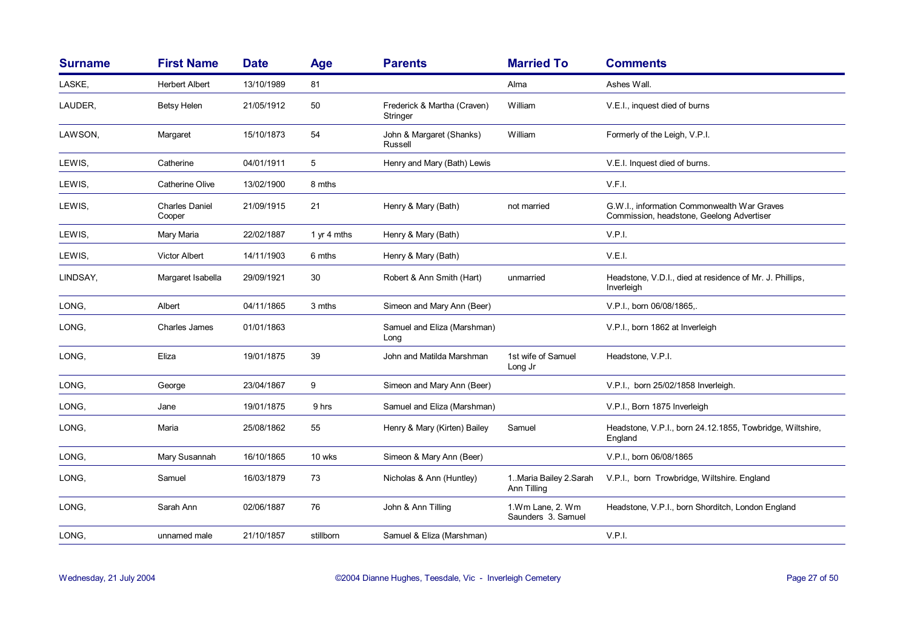| <b>Surname</b> | <b>First Name</b>               | <b>Date</b> | <b>Age</b>  | <b>Parents</b>                          | <b>Married To</b>                       | <b>Comments</b>                                                                          |
|----------------|---------------------------------|-------------|-------------|-----------------------------------------|-----------------------------------------|------------------------------------------------------------------------------------------|
| LASKE,         | <b>Herbert Albert</b>           | 13/10/1989  | 81          |                                         | Alma                                    | Ashes Wall.                                                                              |
| LAUDER,        | <b>Betsy Helen</b>              | 21/05/1912  | 50          | Frederick & Martha (Craven)<br>Stringer | William                                 | V.E.I., inquest died of burns                                                            |
| LAWSON,        | Margaret                        | 15/10/1873  | 54          | John & Margaret (Shanks)<br>Russell     | William                                 | Formerly of the Leigh, V.P.I.                                                            |
| LEWIS,         | Catherine                       | 04/01/1911  | 5           | Henry and Mary (Bath) Lewis             |                                         | V.E.I. Inquest died of burns.                                                            |
| LEWIS,         | <b>Catherine Olive</b>          | 13/02/1900  | 8 mths      |                                         |                                         | V.F.I.                                                                                   |
| LEWIS,         | <b>Charles Daniel</b><br>Cooper | 21/09/1915  | 21          | Henry & Mary (Bath)                     | not married                             | G.W.I., information Commonwealth War Graves<br>Commission, headstone, Geelong Advertiser |
| LEWIS,         | Mary Maria                      | 22/02/1887  | 1 yr 4 mths | Henry & Mary (Bath)                     |                                         | V.P.I.                                                                                   |
| LEWIS,         | <b>Victor Albert</b>            | 14/11/1903  | 6 mths      | Henry & Mary (Bath)                     |                                         | V.E.I.                                                                                   |
| LINDSAY,       | Margaret Isabella               | 29/09/1921  | 30          | Robert & Ann Smith (Hart)               | unmarried                               | Headstone, V.D.I., died at residence of Mr. J. Phillips,<br>Inverleigh                   |
| LONG,          | Albert                          | 04/11/1865  | 3 mths      | Simeon and Mary Ann (Beer)              |                                         | V.P.I., born 06/08/1865,.                                                                |
| LONG,          | Charles James                   | 01/01/1863  |             | Samuel and Eliza (Marshman)<br>Long     |                                         | V.P.I., born 1862 at Inverleigh                                                          |
| LONG,          | Eliza                           | 19/01/1875  | 39          | John and Matilda Marshman               | 1st wife of Samuel<br>Long Jr           | Headstone, V.P.I.                                                                        |
| LONG,          | George                          | 23/04/1867  | 9           | Simeon and Mary Ann (Beer)              |                                         | V.P.I., born 25/02/1858 Inverleigh.                                                      |
| LONG.          | Jane                            | 19/01/1875  | 9 hrs       | Samuel and Eliza (Marshman)             |                                         | V.P.I., Born 1875 Inverleigh                                                             |
| LONG,          | Maria                           | 25/08/1862  | 55          | Henry & Mary (Kirten) Bailey            | Samuel                                  | Headstone, V.P.I., born 24.12.1855, Towbridge, Wiltshire,<br>England                     |
| LONG,          | Mary Susannah                   | 16/10/1865  | 10 wks      | Simeon & Mary Ann (Beer)                |                                         | V.P.I., born 06/08/1865                                                                  |
| LONG,          | Samuel                          | 16/03/1879  | 73          | Nicholas & Ann (Huntley)                | 1. Maria Bailey 2. Sarah<br>Ann Tilling | V.P.I., born Trowbridge, Wiltshire. England                                              |
| LONG.          | Sarah Ann                       | 02/06/1887  | 76          | John & Ann Tilling                      | 1.Wm Lane, 2. Wm<br>Saunders 3. Samuel  | Headstone, V.P.I., born Shorditch, London England                                        |
| LONG.          | unnamed male                    | 21/10/1857  | stillborn   | Samuel & Eliza (Marshman)               |                                         | V.P.I.                                                                                   |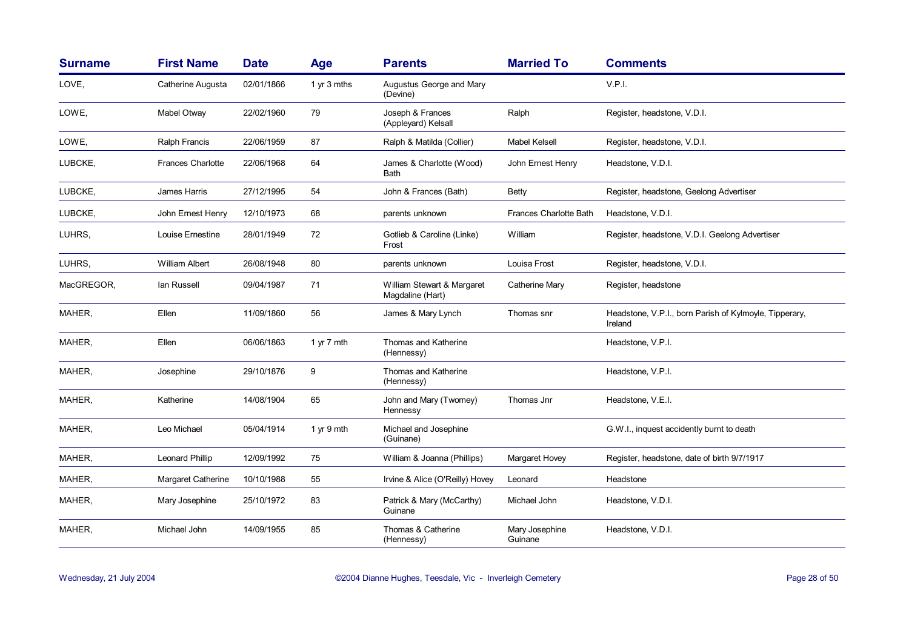| <b>Surname</b> | <b>First Name</b>        | <b>Date</b> | <b>Age</b>  | <b>Parents</b>                                 | <b>Married To</b>             | <b>Comments</b>                                                   |
|----------------|--------------------------|-------------|-------------|------------------------------------------------|-------------------------------|-------------------------------------------------------------------|
| LOVE,          | Catherine Augusta        | 02/01/1866  | 1 yr 3 mths | Augustus George and Mary<br>(Devine)           |                               | V.P.I.                                                            |
| LOWE,          | Mabel Otway              | 22/02/1960  | 79          | Joseph & Frances<br>(Appleyard) Kelsall        | Ralph                         | Register, headstone, V.D.I.                                       |
| LOWE,          | Ralph Francis            | 22/06/1959  | 87          | Ralph & Matilda (Collier)                      | <b>Mabel Kelsell</b>          | Register, headstone, V.D.I.                                       |
| LUBCKE,        | <b>Frances Charlotte</b> | 22/06/1968  | 64          | James & Charlotte (Wood)<br>Bath               | John Ernest Henry             | Headstone, V.D.I.                                                 |
| LUBCKE,        | James Harris             | 27/12/1995  | 54          | John & Frances (Bath)                          | <b>Betty</b>                  | Register, headstone, Geelong Advertiser                           |
| LUBCKE,        | John Ernest Henry        | 12/10/1973  | 68          | parents unknown                                | <b>Frances Charlotte Bath</b> | Headstone, V.D.I.                                                 |
| LUHRS,         | Louise Ernestine         | 28/01/1949  | 72          | Gotlieb & Caroline (Linke)<br>Frost            | William                       | Register, headstone, V.D.I. Geelong Advertiser                    |
| LUHRS.         | <b>William Albert</b>    | 26/08/1948  | 80          | parents unknown                                | Louisa Frost                  | Register, headstone, V.D.I.                                       |
| MacGREGOR,     | lan Russell              | 09/04/1987  | 71          | William Stewart & Margaret<br>Magdaline (Hart) | Catherine Mary                | Register, headstone                                               |
| MAHER,         | Ellen                    | 11/09/1860  | 56          | James & Mary Lynch                             | Thomas snr                    | Headstone, V.P.I., born Parish of Kylmoyle, Tipperary,<br>Ireland |
| MAHER,         | Ellen                    | 06/06/1863  | 1 yr 7 mth  | Thomas and Katherine<br>(Hennessy)             |                               | Headstone, V.P.I.                                                 |
| MAHER,         | Josephine                | 29/10/1876  | 9           | Thomas and Katherine<br>(Hennessy)             |                               | Headstone, V.P.I.                                                 |
| MAHER,         | Katherine                | 14/08/1904  | 65          | John and Mary (Twomey)<br>Hennessy             | Thomas Jnr                    | Headstone, V.E.I.                                                 |
| MAHER,         | Leo Michael              | 05/04/1914  | 1 yr 9 mth  | Michael and Josephine<br>(Guinane)             |                               | G.W.I., inquest accidently burnt to death                         |
| MAHER,         | Leonard Phillip          | 12/09/1992  | 75          | William & Joanna (Phillips)                    | Margaret Hovey                | Register, headstone, date of birth 9/7/1917                       |
| MAHER,         | Margaret Catherine       | 10/10/1988  | 55          | Irvine & Alice (O'Reilly) Hovey                | Leonard                       | Headstone                                                         |
| MAHER,         | Mary Josephine           | 25/10/1972  | 83          | Patrick & Mary (McCarthy)<br>Guinane           | Michael John                  | Headstone, V.D.I.                                                 |
| MAHER,         | Michael John             | 14/09/1955  | 85          | Thomas & Catherine<br>(Hennessy)               | Mary Josephine<br>Guinane     | Headstone, V.D.I.                                                 |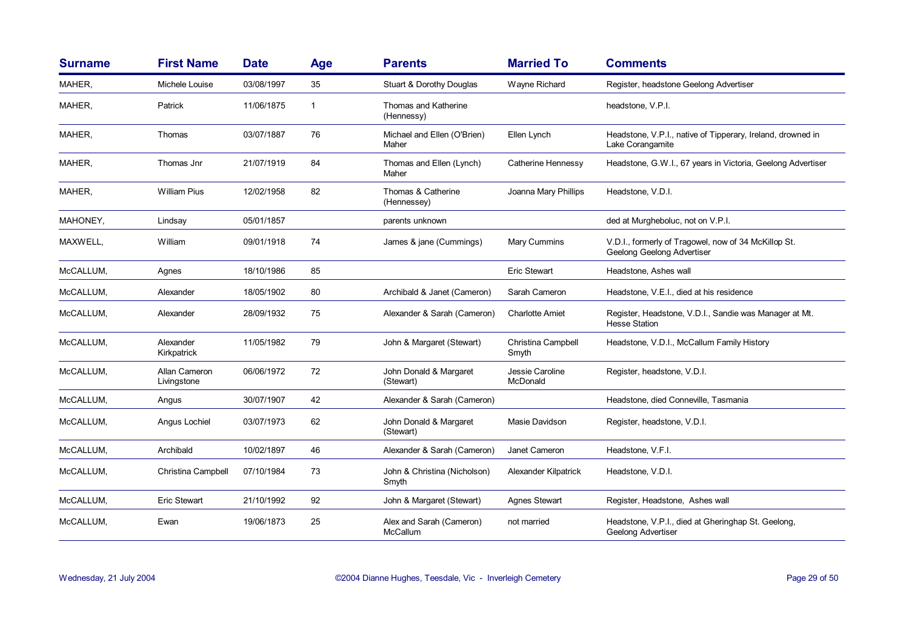| <b>Surname</b> | <b>First Name</b>            | <b>Date</b> | <b>Age</b> | <b>Parents</b>                        | <b>Married To</b>           | <b>Comments</b>                                                                    |
|----------------|------------------------------|-------------|------------|---------------------------------------|-----------------------------|------------------------------------------------------------------------------------|
| MAHER,         | Michele Louise               | 03/08/1997  | 35         | Stuart & Dorothy Douglas              | Wayne Richard               | Register, headstone Geelong Advertiser                                             |
| MAHER,         | Patrick                      | 11/06/1875  | 1          | Thomas and Katherine<br>(Hennessy)    |                             | headstone, V.P.I.                                                                  |
| MAHER,         | Thomas                       | 03/07/1887  | 76         | Michael and Ellen (O'Brien)<br>Maher  | Ellen Lynch                 | Headstone, V.P.I., native of Tipperary, Ireland, drowned in<br>Lake Corangamite    |
| MAHER,         | Thomas Jnr                   | 21/07/1919  | 84         | Thomas and Ellen (Lynch)<br>Maher     | Catherine Hennessy          | Headstone, G.W.I., 67 years in Victoria, Geelong Advertiser                        |
| MAHER,         | <b>William Pius</b>          | 12/02/1958  | 82         | Thomas & Catherine<br>(Hennessey)     | Joanna Mary Phillips        | Headstone, V.D.I.                                                                  |
| MAHONEY,       | Lindsay                      | 05/01/1857  |            | parents unknown                       |                             | ded at Murgheboluc, not on V.P.I.                                                  |
| MAXWELL.       | William                      | 09/01/1918  | 74         | James & jane (Cummings)               | Mary Cummins                | V.D.I., formerly of Tragowel, now of 34 McKillop St.<br>Geelong Geelong Advertiser |
| McCALLUM,      | Agnes                        | 18/10/1986  | 85         |                                       | <b>Eric Stewart</b>         | Headstone, Ashes wall                                                              |
| McCALLUM,      | Alexander                    | 18/05/1902  | 80         | Archibald & Janet (Cameron)           | Sarah Cameron               | Headstone, V.E.I., died at his residence                                           |
| McCALLUM,      | Alexander                    | 28/09/1932  | 75         | Alexander & Sarah (Cameron)           | <b>Charlotte Amiet</b>      | Register, Headstone, V.D.I., Sandie was Manager at Mt.<br><b>Hesse Station</b>     |
| McCALLUM,      | Alexander<br>Kirkpatrick     | 11/05/1982  | 79         | John & Margaret (Stewart)             | Christina Campbell<br>Smyth | Headstone, V.D.I., McCallum Family History                                         |
| McCALLUM,      | Allan Cameron<br>Livingstone | 06/06/1972  | 72         | John Donald & Margaret<br>(Stewart)   | Jessie Caroline<br>McDonald | Register, headstone, V.D.I.                                                        |
| McCALLUM,      | Angus                        | 30/07/1907  | 42         | Alexander & Sarah (Cameron)           |                             | Headstone, died Conneville, Tasmania                                               |
| McCALLUM,      | Angus Lochiel                | 03/07/1973  | 62         | John Donald & Margaret<br>(Stewart)   | Masie Davidson              | Register, headstone, V.D.I.                                                        |
| McCALLUM,      | Archibald                    | 10/02/1897  | 46         | Alexander & Sarah (Cameron)           | Janet Cameron               | Headstone, V.F.I.                                                                  |
| McCALLUM,      | Christina Campbell           | 07/10/1984  | 73         | John & Christina (Nicholson)<br>Smyth | Alexander Kilpatrick        | Headstone, V.D.I.                                                                  |
| McCALLUM,      | <b>Eric Stewart</b>          | 21/10/1992  | 92         | John & Margaret (Stewart)             | <b>Agnes Stewart</b>        | Register, Headstone, Ashes wall                                                    |
| McCALLUM,      | Ewan                         | 19/06/1873  | 25         | Alex and Sarah (Cameron)<br>McCallum  | not married                 | Headstone, V.P.I., died at Gheringhap St. Geelong,<br>Geelong Advertiser           |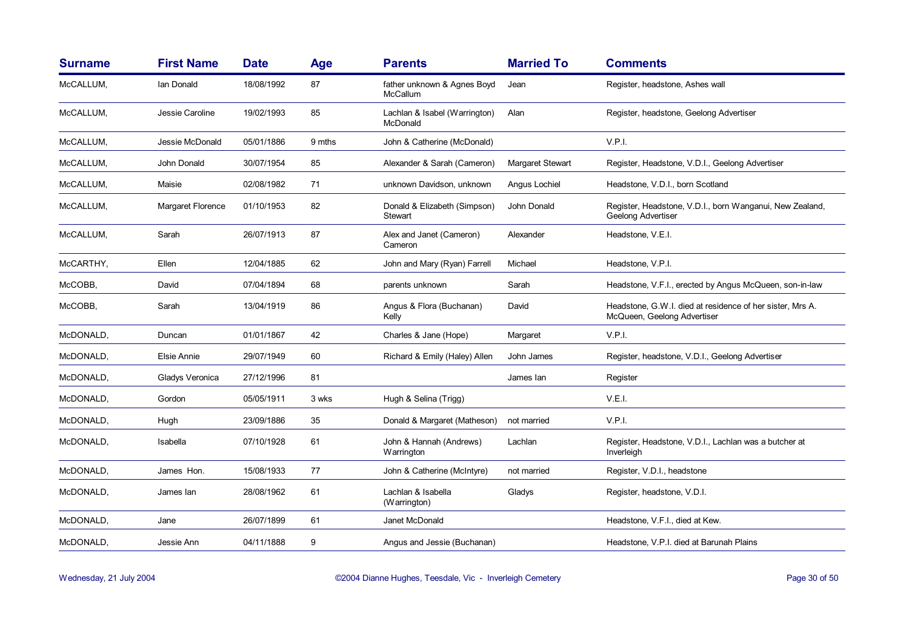| <b>Surname</b> | <b>First Name</b> | <b>Date</b> | <b>Age</b> | <b>Parents</b>                                 | <b>Married To</b>       | <b>Comments</b>                                                                          |
|----------------|-------------------|-------------|------------|------------------------------------------------|-------------------------|------------------------------------------------------------------------------------------|
| McCALLUM,      | Ian Donald        | 18/08/1992  | 87         | father unknown & Agnes Boyd<br><b>McCallum</b> | Jean                    | Register, headstone, Ashes wall                                                          |
| McCALLUM,      | Jessie Caroline   | 19/02/1993  | 85         | Lachlan & Isabel (Warrington)<br>McDonald      | Alan                    | Register, headstone, Geelong Advertiser                                                  |
| McCALLUM,      | Jessie McDonald   | 05/01/1886  | 9 mths     | John & Catherine (McDonald)                    |                         | V.P.I.                                                                                   |
| McCALLUM,      | John Donald       | 30/07/1954  | 85         | Alexander & Sarah (Cameron)                    | <b>Margaret Stewart</b> | Register, Headstone, V.D.I., Geelong Advertiser                                          |
| McCALLUM,      | Maisie            | 02/08/1982  | 71         | unknown Davidson, unknown                      | Angus Lochiel           | Headstone, V.D.I., born Scotland                                                         |
| McCALLUM,      | Margaret Florence | 01/10/1953  | 82         | Donald & Elizabeth (Simpson)<br>Stewart        | John Donald             | Register, Headstone, V.D.I., born Wanganui, New Zealand,<br>Geelong Advertiser           |
| McCALLUM,      | Sarah             | 26/07/1913  | 87         | Alex and Janet (Cameron)<br>Cameron            | Alexander               | Headstone, V.E.I.                                                                        |
| McCARTHY,      | Ellen             | 12/04/1885  | 62         | John and Mary (Ryan) Farrell                   | Michael                 | Headstone, V.P.I.                                                                        |
| McCOBB,        | David             | 07/04/1894  | 68         | parents unknown                                | Sarah                   | Headstone, V.F.I., erected by Angus McQueen, son-in-law                                  |
| McCOBB,        | Sarah             | 13/04/1919  | 86         | Angus & Flora (Buchanan)<br>Kelly              | David                   | Headstone, G.W.I. died at residence of her sister, Mrs A.<br>McQueen, Geelong Advertiser |
| McDONALD,      | Duncan            | 01/01/1867  | 42         | Charles & Jane (Hope)                          | Margaret                | V.P.I.                                                                                   |
| McDONALD,      | Elsie Annie       | 29/07/1949  | 60         | Richard & Emily (Haley) Allen                  | John James              | Register, headstone, V.D.I., Geelong Advertiser                                          |
| McDONALD.      | Gladys Veronica   | 27/12/1996  | 81         |                                                | James lan               | Register                                                                                 |
| McDONALD,      | Gordon            | 05/05/1911  | 3 wks      | Hugh & Selina (Trigg)                          |                         | V.E.I.                                                                                   |
| McDONALD,      | Hugh              | 23/09/1886  | 35         | Donald & Margaret (Matheson)                   | not married             | V.P.I.                                                                                   |
| McDONALD,      | Isabella          | 07/10/1928  | 61         | John & Hannah (Andrews)<br>Warrington          | Lachlan                 | Register, Headstone, V.D.I., Lachlan was a butcher at<br>Inverleigh                      |
| McDONALD,      | James Hon.        | 15/08/1933  | 77         | John & Catherine (McIntyre)                    | not married             | Register, V.D.I., headstone                                                              |
| McDONALD,      | James lan         | 28/08/1962  | 61         | Lachlan & Isabella<br>(Warrington)             | Gladys                  | Register, headstone, V.D.I.                                                              |
| McDONALD,      | Jane              | 26/07/1899  | 61         | Janet McDonald                                 |                         | Headstone, V.F.I., died at Kew.                                                          |
| McDONALD,      | Jessie Ann        | 04/11/1888  | 9          | Angus and Jessie (Buchanan)                    |                         | Headstone, V.P.I. died at Barunah Plains                                                 |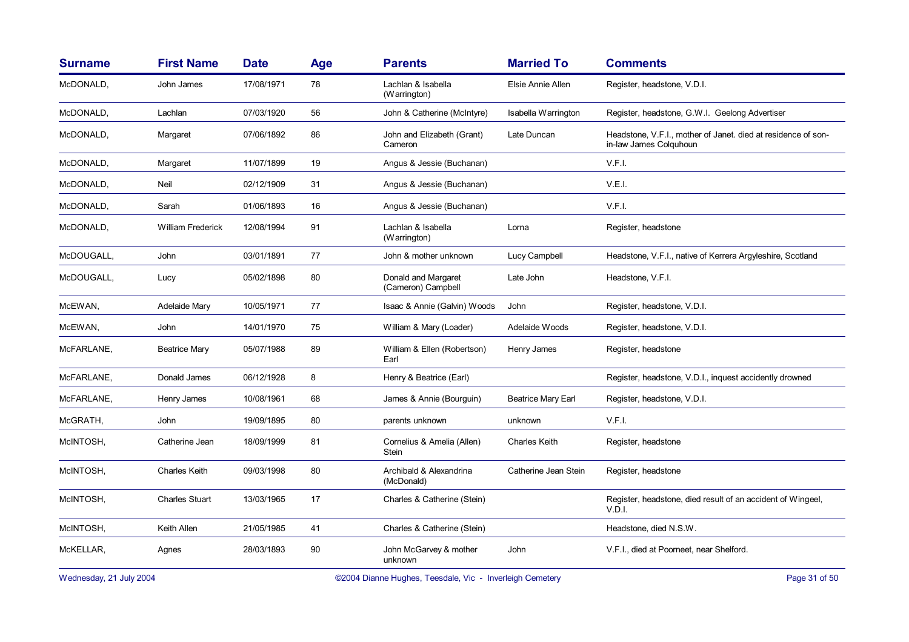| <b>Surname</b> | <b>First Name</b>     | <b>Date</b> | <b>Age</b> | <b>Parents</b>                             | <b>Married To</b>         | <b>Comments</b>                                                                         |
|----------------|-----------------------|-------------|------------|--------------------------------------------|---------------------------|-----------------------------------------------------------------------------------------|
| McDONALD,      | John James            | 17/08/1971  | 78         | Lachlan & Isabella<br>(Warrington)         | Elsie Annie Allen         | Register, headstone, V.D.I.                                                             |
| McDONALD,      | Lachlan               | 07/03/1920  | 56         | John & Catherine (McIntyre)                | Isabella Warrington       | Register, headstone, G.W.I. Geelong Advertiser                                          |
| McDONALD,      | Margaret              | 07/06/1892  | 86         | John and Elizabeth (Grant)<br>Cameron      | Late Duncan               | Headstone, V.F.I., mother of Janet. died at residence of son-<br>in-law James Colquhoun |
| McDONALD,      | Margaret              | 11/07/1899  | 19         | Angus & Jessie (Buchanan)                  |                           | V.F.I.                                                                                  |
| McDONALD,      | Neil                  | 02/12/1909  | 31         | Angus & Jessie (Buchanan)                  |                           | V.E.I.                                                                                  |
| McDONALD.      | Sarah                 | 01/06/1893  | 16         | Angus & Jessie (Buchanan)                  |                           | V.F.I.                                                                                  |
| McDONALD,      | William Frederick     | 12/08/1994  | 91         | Lachlan & Isabella<br>(Warrington)         | Lorna                     | Register, headstone                                                                     |
| McDOUGALL,     | John                  | 03/01/1891  | 77         | John & mother unknown                      | Lucy Campbell             | Headstone, V.F.I., native of Kerrera Argyleshire, Scotland                              |
| McDOUGALL,     | Lucy                  | 05/02/1898  | 80         | Donald and Margaret<br>(Cameron) Campbell  | Late John                 | Headstone, V.F.I.                                                                       |
| McEWAN,        | Adelaide Mary         | 10/05/1971  | 77         | Isaac & Annie (Galvin) Woods               | John                      | Register, headstone, V.D.I.                                                             |
| McEWAN,        | John                  | 14/01/1970  | 75         | William & Mary (Loader)                    | Adelaide Woods            | Register, headstone, V.D.I.                                                             |
| McFARLANE,     | <b>Beatrice Mary</b>  | 05/07/1988  | 89         | William & Ellen (Robertson)<br>Earl        | Henry James               | Register, headstone                                                                     |
| McFARLANE,     | Donald James          | 06/12/1928  | 8          | Henry & Beatrice (Earl)                    |                           | Register, headstone, V.D.I., inquest accidently drowned                                 |
| McFARLANE,     | Henry James           | 10/08/1961  | 68         | James & Annie (Bourguin)                   | <b>Beatrice Mary Earl</b> | Register, headstone, V.D.I.                                                             |
| McGRATH,       | John                  | 19/09/1895  | 80         | parents unknown                            | unknown                   | V.F.I.                                                                                  |
| McINTOSH,      | Catherine Jean        | 18/09/1999  | 81         | Cornelius & Amelia (Allen)<br><b>Stein</b> | <b>Charles Keith</b>      | Register, headstone                                                                     |
| McINTOSH,      | <b>Charles Keith</b>  | 09/03/1998  | 80         | Archibald & Alexandrina<br>(McDonald)      | Catherine Jean Stein      | Register, headstone                                                                     |
| McINTOSH,      | <b>Charles Stuart</b> | 13/03/1965  | 17         | Charles & Catherine (Stein)                |                           | Register, headstone, died result of an accident of Wingeel,<br>V.D.I.                   |
| McINTOSH,      | Keith Allen           | 21/05/1985  | 41         | Charles & Catherine (Stein)                |                           | Headstone, died N.S.W.                                                                  |
| McKELLAR,      | Agnes                 | 28/03/1893  | 90         | John McGarvey & mother<br>unknown          | John                      | V.F.I., died at Poorneet, near Shelford.                                                |

Wednesday, 21 July 2004 **Dianne Hughes, Teesdale, Vic - Inverleigh Cemetery** Page 31 of 50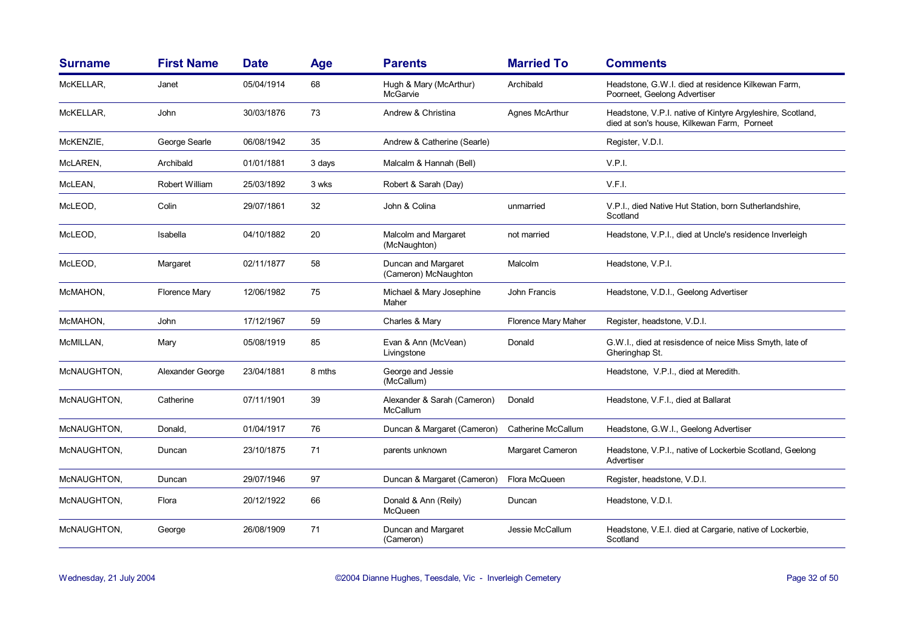| <b>Surname</b> | <b>First Name</b>    | <b>Date</b> | Age    | <b>Parents</b>                              | <b>Married To</b>   | <b>Comments</b>                                                                                           |
|----------------|----------------------|-------------|--------|---------------------------------------------|---------------------|-----------------------------------------------------------------------------------------------------------|
| McKELLAR,      | Janet                | 05/04/1914  | 68     | Hugh & Mary (McArthur)<br>McGarvie          | Archibald           | Headstone, G.W.I. died at residence Kilkewan Farm,<br>Poorneet, Geelong Advertiser                        |
| McKELLAR,      | John                 | 30/03/1876  | 73     | Andrew & Christina                          | Agnes McArthur      | Headstone, V.P.I. native of Kintyre Argyleshire, Scotland,<br>died at son's house, Kilkewan Farm, Porneet |
| McKENZIE,      | George Searle        | 06/08/1942  | 35     | Andrew & Catherine (Searle)                 |                     | Register, V.D.I.                                                                                          |
| McLAREN,       | Archibald            | 01/01/1881  | 3 days | Malcalm & Hannah (Bell)                     |                     | V.P.I.                                                                                                    |
| McLEAN,        | Robert William       | 25/03/1892  | 3 wks  | Robert & Sarah (Day)                        |                     | V.F.I.                                                                                                    |
| McLEOD,        | Colin                | 29/07/1861  | 32     | John & Colina                               | unmarried           | V.P.I., died Native Hut Station, born Sutherlandshire,<br>Scotland                                        |
| McLEOD,        | Isabella             | 04/10/1882  | 20     | Malcolm and Margaret<br>(McNaughton)        | not married         | Headstone, V.P.I., died at Uncle's residence Inverleigh                                                   |
| McLEOD,        | Margaret             | 02/11/1877  | 58     | Duncan and Margaret<br>(Cameron) McNaughton | Malcolm             | Headstone, V.P.I.                                                                                         |
| McMAHON,       | <b>Florence Mary</b> | 12/06/1982  | 75     | Michael & Mary Josephine<br>Maher           | John Francis        | Headstone, V.D.I., Geelong Advertiser                                                                     |
| McMAHON,       | John                 | 17/12/1967  | 59     | Charles & Mary                              | Florence Mary Maher | Register, headstone, V.D.I.                                                                               |
| McMILLAN,      | Mary                 | 05/08/1919  | 85     | Evan & Ann (McVean)<br>Livingstone          | Donald              | G.W.I., died at resisdence of neice Miss Smyth, late of<br>Gheringhap St.                                 |
| McNAUGHTON,    | Alexander George     | 23/04/1881  | 8 mths | George and Jessie<br>(McCallum)             |                     | Headstone, V.P.I., died at Meredith.                                                                      |
| McNAUGHTON,    | Catherine            | 07/11/1901  | 39     | Alexander & Sarah (Cameron)<br>McCallum     | Donald              | Headstone, V.F.I., died at Ballarat                                                                       |
| McNAUGHTON,    | Donald,              | 01/04/1917  | 76     | Duncan & Margaret (Cameron)                 | Catherine McCallum  | Headstone, G.W.I., Geelong Advertiser                                                                     |
| McNAUGHTON,    | Duncan               | 23/10/1875  | 71     | parents unknown                             | Margaret Cameron    | Headstone, V.P.I., native of Lockerbie Scotland, Geelong<br>Advertiser                                    |
| McNAUGHTON,    | Duncan               | 29/07/1946  | 97     | Duncan & Margaret (Cameron)                 | Flora McQueen       | Register, headstone, V.D.I.                                                                               |
| McNAUGHTON,    | Flora                | 20/12/1922  | 66     | Donald & Ann (Reily)<br>McQueen             | Duncan              | Headstone, V.D.I.                                                                                         |
| McNAUGHTON,    | George               | 26/08/1909  | 71     | Duncan and Margaret<br>(Cameron)            | Jessie McCallum     | Headstone, V.E.I. died at Cargarie, native of Lockerbie,<br>Scotland                                      |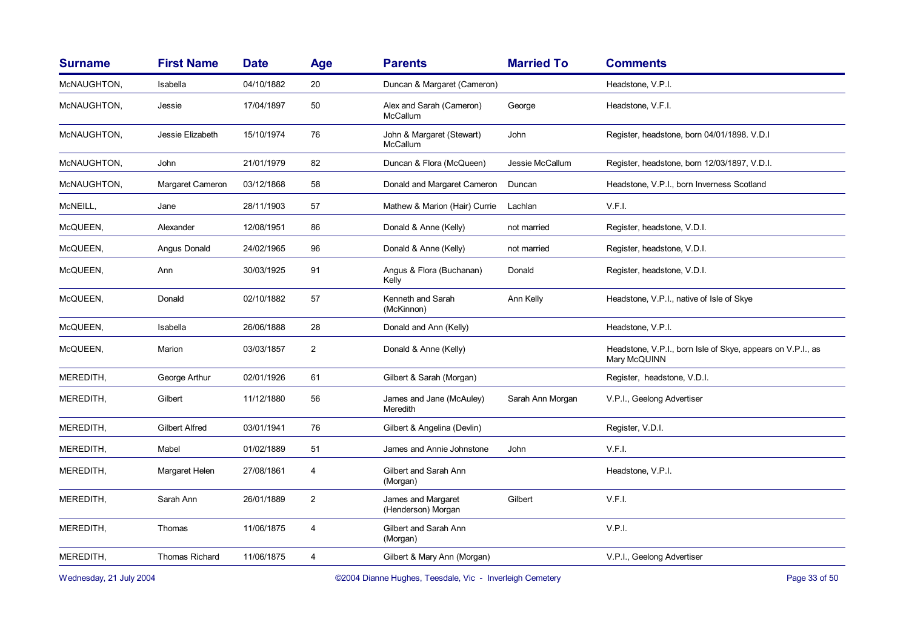| <b>Surname</b> | <b>First Name</b>     | <b>Date</b> | Age            | <b>Parents</b>                              | <b>Married To</b> | <b>Comments</b>                                                             |
|----------------|-----------------------|-------------|----------------|---------------------------------------------|-------------------|-----------------------------------------------------------------------------|
| McNAUGHTON,    | Isabella              | 04/10/1882  | 20             | Duncan & Margaret (Cameron)                 |                   | Headstone, V.P.I.                                                           |
| McNAUGHTON,    | Jessie                | 17/04/1897  | 50             | Alex and Sarah (Cameron)<br>McCallum        | George            | Headstone, V.F.I.                                                           |
| McNAUGHTON,    | Jessie Elizabeth      | 15/10/1974  | 76             | John & Margaret (Stewart)<br>McCallum       | John              | Register, headstone, born 04/01/1898. V.D.I                                 |
| McNAUGHTON,    | John                  | 21/01/1979  | 82             | Duncan & Flora (McQueen)                    | Jessie McCallum   | Register, headstone, born 12/03/1897, V.D.I.                                |
| McNAUGHTON,    | Margaret Cameron      | 03/12/1868  | 58             | Donald and Margaret Cameron                 | Duncan            | Headstone, V.P.I., born Inverness Scotland                                  |
| McNEILL,       | Jane                  | 28/11/1903  | 57             | Mathew & Marion (Hair) Currie               | Lachlan           | V.F.I.                                                                      |
| McQUEEN,       | Alexander             | 12/08/1951  | 86             | Donald & Anne (Kelly)                       | not married       | Register, headstone, V.D.I.                                                 |
| McQUEEN,       | Angus Donald          | 24/02/1965  | 96             | Donald & Anne (Kelly)                       | not married       | Register, headstone, V.D.I.                                                 |
| McQUEEN,       | Ann                   | 30/03/1925  | 91             | Angus & Flora (Buchanan)<br>Kelly           | Donald            | Register, headstone, V.D.I.                                                 |
| McQUEEN,       | Donald                | 02/10/1882  | 57             | Kenneth and Sarah<br>(McKinnon)             | Ann Kelly         | Headstone, V.P.I., native of Isle of Skye                                   |
| McQUEEN,       | Isabella              | 26/06/1888  | 28             | Donald and Ann (Kelly)                      |                   | Headstone, V.P.I.                                                           |
| McQUEEN,       | Marion                | 03/03/1857  | $\overline{2}$ | Donald & Anne (Kelly)                       |                   | Headstone, V.P.I., born Isle of Skye, appears on V.P.I., as<br>Mary McQUINN |
| MEREDITH,      | George Arthur         | 02/01/1926  | 61             | Gilbert & Sarah (Morgan)                    |                   | Register, headstone, V.D.I.                                                 |
| MEREDITH,      | Gilbert               | 11/12/1880  | 56             | James and Jane (McAuley)<br><b>Meredith</b> | Sarah Ann Morgan  | V.P.I., Geelong Advertiser                                                  |
| MEREDITH,      | <b>Gilbert Alfred</b> | 03/01/1941  | 76             | Gilbert & Angelina (Devlin)                 |                   | Register, V.D.I.                                                            |
| MEREDITH.      | Mabel                 | 01/02/1889  | 51             | James and Annie Johnstone                   | John              | V.F.I.                                                                      |
| MEREDITH,      | Margaret Helen        | 27/08/1861  | 4              | Gilbert and Sarah Ann<br>(Morgan)           |                   | Headstone, V.P.I.                                                           |
| MEREDITH,      | Sarah Ann             | 26/01/1889  | $\overline{2}$ | James and Margaret<br>(Henderson) Morgan    | Gilbert           | V.F.I.                                                                      |
| MEREDITH,      | Thomas                | 11/06/1875  | 4              | Gilbert and Sarah Ann<br>(Morgan)           |                   | V.P.I.                                                                      |
| MEREDITH,      | <b>Thomas Richard</b> | 11/06/1875  | 4              | Gilbert & Mary Ann (Morgan)                 |                   | V.P.I., Geelong Advertiser                                                  |
|                |                       |             |                |                                             |                   |                                                                             |

Wednesday, 21 July 2004 **Dianne Hughes, Teesdale, Vic - Inverleigh Cemetery** Page 33 of 50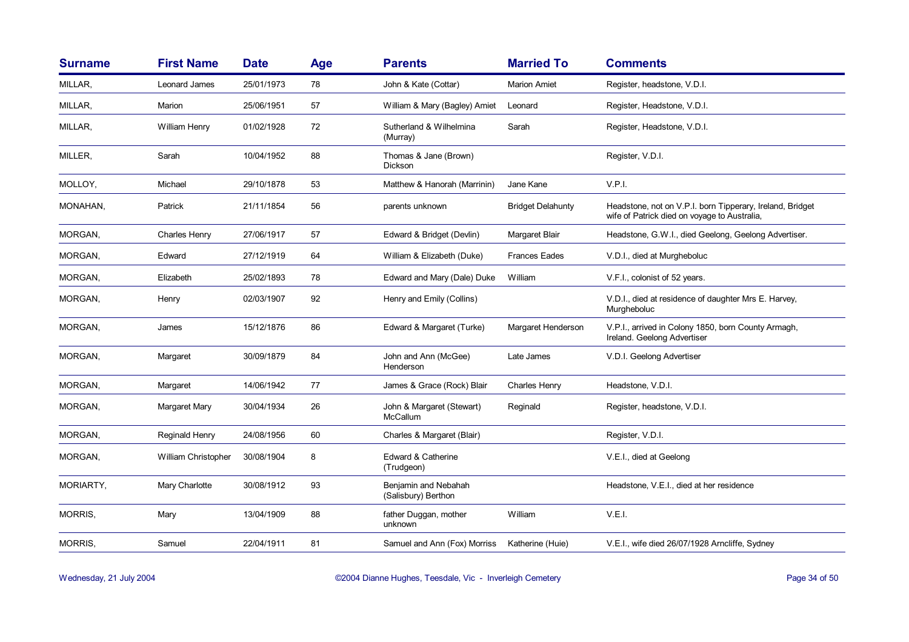| <b>Surname</b> | <b>First Name</b>    | <b>Date</b> | <b>Age</b> | <b>Parents</b>                              | <b>Married To</b>        | <b>Comments</b>                                                                                           |
|----------------|----------------------|-------------|------------|---------------------------------------------|--------------------------|-----------------------------------------------------------------------------------------------------------|
| MILLAR,        | Leonard James        | 25/01/1973  | 78         | John & Kate (Cottar)                        | <b>Marion Amiet</b>      | Register, headstone, V.D.I.                                                                               |
| MILLAR,        | Marion               | 25/06/1951  | 57         | William & Mary (Bagley) Amiet               | Leonard                  | Register, Headstone, V.D.I.                                                                               |
| MILLAR,        | William Henry        | 01/02/1928  | 72         | Sutherland & Wilhelmina<br>(Murray)         | Sarah                    | Register, Headstone, V.D.I.                                                                               |
| MILLER,        | Sarah                | 10/04/1952  | 88         | Thomas & Jane (Brown)<br>Dickson            |                          | Register, V.D.I.                                                                                          |
| MOLLOY,        | Michael              | 29/10/1878  | 53         | Matthew & Hanorah (Marrinin)                | Jane Kane                | V.P.I.                                                                                                    |
| MONAHAN,       | Patrick              | 21/11/1854  | 56         | parents unknown                             | <b>Bridget Delahunty</b> | Headstone, not on V.P.I. born Tipperary, Ireland, Bridget<br>wife of Patrick died on voyage to Australia, |
| MORGAN,        | <b>Charles Henry</b> | 27/06/1917  | 57         | Edward & Bridget (Devlin)                   | Margaret Blair           | Headstone, G.W.I., died Geelong, Geelong Advertiser.                                                      |
| MORGAN,        | Edward               | 27/12/1919  | 64         | William & Elizabeth (Duke)                  | <b>Frances Eades</b>     | V.D.I., died at Murgheboluc                                                                               |
| MORGAN,        | Elizabeth            | 25/02/1893  | 78         | Edward and Mary (Dale) Duke                 | William                  | V.F.I., colonist of 52 years.                                                                             |
| MORGAN,        | Henry                | 02/03/1907  | 92         | Henry and Emily (Collins)                   |                          | V.D.I., died at residence of daughter Mrs E. Harvey,<br>Murgheboluc                                       |
| MORGAN,        | James                | 15/12/1876  | 86         | Edward & Margaret (Turke)                   | Margaret Henderson       | V.P.I., arrived in Colony 1850, born County Armagh,<br>Ireland. Geelong Advertiser                        |
| MORGAN,        | Margaret             | 30/09/1879  | 84         | John and Ann (McGee)<br>Henderson           | Late James               | V.D.I. Geelong Advertiser                                                                                 |
| MORGAN,        | Margaret             | 14/06/1942  | 77         | James & Grace (Rock) Blair                  | Charles Henry            | Headstone, V.D.I.                                                                                         |
| MORGAN,        | Margaret Mary        | 30/04/1934  | 26         | John & Margaret (Stewart)<br>McCallum       | Reginald                 | Register, headstone, V.D.I.                                                                               |
| MORGAN,        | Reginald Henry       | 24/08/1956  | 60         | Charles & Margaret (Blair)                  |                          | Register, V.D.I.                                                                                          |
| MORGAN,        | William Christopher  | 30/08/1904  | 8          | Edward & Catherine<br>(Trudgeon)            |                          | V.E.I., died at Geelong                                                                                   |
| MORIARTY,      | Mary Charlotte       | 30/08/1912  | 93         | Benjamin and Nebahah<br>(Salisbury) Berthon |                          | Headstone, V.E.I., died at her residence                                                                  |
| MORRIS,        | Mary                 | 13/04/1909  | 88         | father Duggan, mother<br>unknown            | William                  | V.E.I.                                                                                                    |
| MORRIS,        | Samuel               | 22/04/1911  | 81         | Samuel and Ann (Fox) Morriss                | Katherine (Huie)         | V.E.I., wife died 26/07/1928 Arncliffe, Sydney                                                            |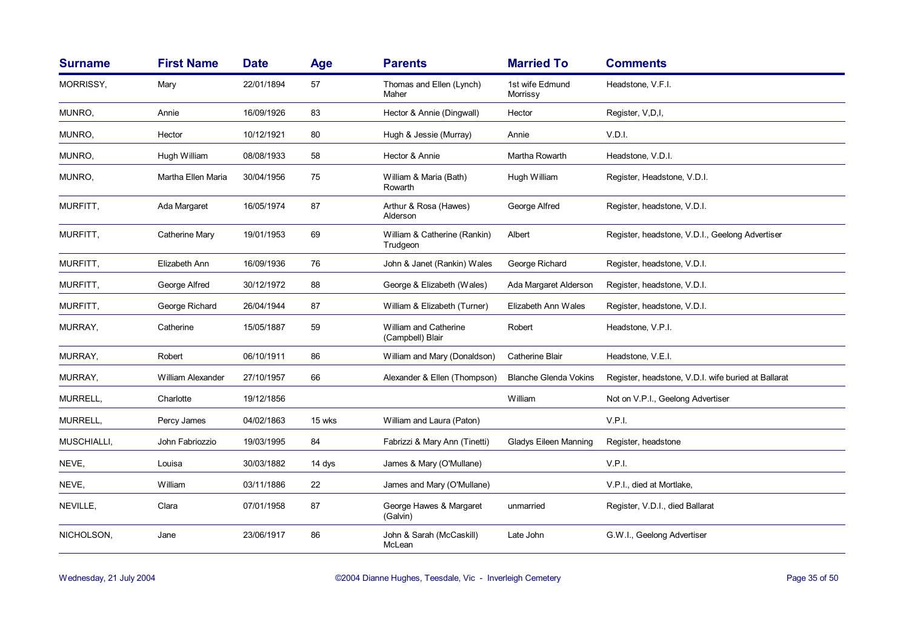| <b>Surname</b> | <b>First Name</b>  | <b>Date</b> | Age    | <b>Parents</b>                            | <b>Married To</b>            | <b>Comments</b>                                     |
|----------------|--------------------|-------------|--------|-------------------------------------------|------------------------------|-----------------------------------------------------|
| MORRISSY,      | Mary               | 22/01/1894  | 57     | Thomas and Ellen (Lynch)<br>Maher         | 1st wife Edmund<br>Morrissy  | Headstone, V.F.I.                                   |
| MUNRO.         | Annie              | 16/09/1926  | 83     | Hector & Annie (Dingwall)                 | Hector                       | Register, V,D,I,                                    |
| MUNRO,         | Hector             | 10/12/1921  | 80     | Hugh & Jessie (Murray)                    | Annie                        | V.D.I.                                              |
| MUNRO,         | Hugh William       | 08/08/1933  | 58     | Hector & Annie                            | Martha Rowarth               | Headstone, V.D.I.                                   |
| MUNRO.         | Martha Ellen Maria | 30/04/1956  | 75     | William & Maria (Bath)<br>Rowarth         | Hugh William                 | Register, Headstone, V.D.I.                         |
| MURFITT,       | Ada Margaret       | 16/05/1974  | 87     | Arthur & Rosa (Hawes)<br>Alderson         | George Alfred                | Register, headstone, V.D.I.                         |
| MURFITT,       | Catherine Mary     | 19/01/1953  | 69     | William & Catherine (Rankin)<br>Trudgeon  | Albert                       | Register, headstone, V.D.I., Geelong Advertiser     |
| MURFITT,       | Elizabeth Ann      | 16/09/1936  | 76     | John & Janet (Rankin) Wales               | George Richard               | Register, headstone, V.D.I.                         |
| MURFITT,       | George Alfred      | 30/12/1972  | 88     | George & Elizabeth (Wales)                | Ada Margaret Alderson        | Register, headstone, V.D.I.                         |
| MURFITT,       | George Richard     | 26/04/1944  | 87     | William & Elizabeth (Turner)              | Elizabeth Ann Wales          | Register, headstone, V.D.I.                         |
| MURRAY,        | Catherine          | 15/05/1887  | 59     | William and Catherine<br>(Campbell) Blair | Robert                       | Headstone, V.P.I.                                   |
| MURRAY,        | Robert             | 06/10/1911  | 86     | William and Mary (Donaldson)              | <b>Catherine Blair</b>       | Headstone, V.E.I.                                   |
| MURRAY,        | William Alexander  | 27/10/1957  | 66     | Alexander & Ellen (Thompson)              | <b>Blanche Glenda Vokins</b> | Register, headstone, V.D.I. wife buried at Ballarat |
| MURRELL,       | Charlotte          | 19/12/1856  |        |                                           | William                      | Not on V.P.I., Geelong Advertiser                   |
| MURRELL,       | Percy James        | 04/02/1863  | 15 wks | William and Laura (Paton)                 |                              | V.P.I.                                              |
| MUSCHIALLI,    | John Fabriozzio    | 19/03/1995  | 84     | Fabrizzi & Mary Ann (Tinetti)             | <b>Gladys Eileen Manning</b> | Register, headstone                                 |
| NEVE,          | Louisa             | 30/03/1882  | 14 dys | James & Mary (O'Mullane)                  |                              | V.P.I.                                              |
| NEVE,          | William            | 03/11/1886  | 22     | James and Mary (O'Mullane)                |                              | V.P.I., died at Mortlake,                           |
| NEVILLE,       | Clara              | 07/01/1958  | 87     | George Hawes & Margaret<br>(Galvin)       | unmarried                    | Register, V.D.I., died Ballarat                     |
| NICHOLSON,     | Jane               | 23/06/1917  | 86     | John & Sarah (McCaskill)<br>McLean        | Late John                    | G.W.I., Geelong Advertiser                          |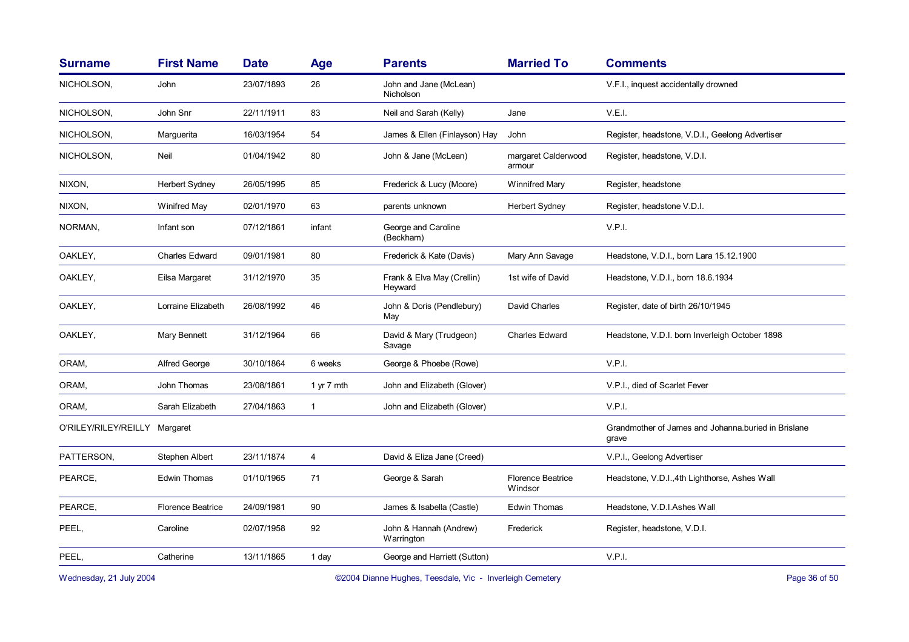| <b>Surname</b>                                                                      | <b>First Name</b>        | <b>Date</b> | Age            | <b>Parents</b>                        | <b>Married To</b>                   | <b>Comments</b>                                              |
|-------------------------------------------------------------------------------------|--------------------------|-------------|----------------|---------------------------------------|-------------------------------------|--------------------------------------------------------------|
| NICHOLSON,                                                                          | John                     | 23/07/1893  | 26             | John and Jane (McLean)<br>Nicholson   |                                     | V.F.I., inquest accidentally drowned                         |
| NICHOLSON,                                                                          | John Snr                 | 22/11/1911  | 83             | Neil and Sarah (Kelly)                | Jane                                | V.E.I.                                                       |
| NICHOLSON,                                                                          | Marguerita               | 16/03/1954  | 54             | James & Ellen (Finlayson) Hay         | John                                | Register, headstone, V.D.I., Geelong Advertiser              |
| NICHOLSON,                                                                          | Neil                     | 01/04/1942  | 80             | John & Jane (McLean)                  | margaret Calderwood<br>armour       | Register, headstone, V.D.I.                                  |
| NIXON,                                                                              | <b>Herbert Sydney</b>    | 26/05/1995  | 85             | Frederick & Lucy (Moore)              | Winnifred Mary                      | Register, headstone                                          |
| NIXON,                                                                              | Winifred May             | 02/01/1970  | 63             | parents unknown                       | <b>Herbert Sydney</b>               | Register, headstone V.D.I.                                   |
| NORMAN,                                                                             | Infant son               | 07/12/1861  | infant         | George and Caroline<br>(Beckham)      |                                     | V.P.I.                                                       |
| OAKLEY,                                                                             | <b>Charles Edward</b>    | 09/01/1981  | 80             | Frederick & Kate (Davis)              | Mary Ann Savage                     | Headstone, V.D.I., born Lara 15.12.1900                      |
| OAKLEY,                                                                             | Eilsa Margaret           | 31/12/1970  | 35             | Frank & Elva May (Crellin)<br>Heyward | 1st wife of David                   | Headstone, V.D.I., born 18.6.1934                            |
| OAKLEY,                                                                             | Lorraine Elizabeth       | 26/08/1992  | 46             | John & Doris (Pendlebury)<br>May      | David Charles                       | Register, date of birth 26/10/1945                           |
| OAKLEY,                                                                             | Mary Bennett             | 31/12/1964  | 66             | David & Mary (Trudgeon)<br>Savage     | <b>Charles Edward</b>               | Headstone, V.D.I. born Inverleigh October 1898               |
| ORAM,                                                                               | <b>Alfred George</b>     | 30/10/1864  | 6 weeks        | George & Phoebe (Rowe)                |                                     | V.P.I.                                                       |
| ORAM,                                                                               | John Thomas              | 23/08/1861  | 1 yr 7 mth     | John and Elizabeth (Glover)           |                                     | V.P.I., died of Scarlet Fever                                |
| ORAM,                                                                               | Sarah Elizabeth          | 27/04/1863  | $\mathbf{1}$   | John and Elizabeth (Glover)           |                                     | V.P.I.                                                       |
| O'RILEY/RILEY/REILLY Margaret                                                       |                          |             |                |                                       |                                     | Grandmother of James and Johanna buried in Brislane<br>grave |
| PATTERSON,                                                                          | Stephen Albert           | 23/11/1874  | $\overline{4}$ | David & Eliza Jane (Creed)            |                                     | V.P.I., Geelong Advertiser                                   |
| PEARCE,                                                                             | Edwin Thomas             | 01/10/1965  | 71             | George & Sarah                        | <b>Florence Beatrice</b><br>Windsor | Headstone, V.D.I., 4th Lighthorse, Ashes Wall                |
| PEARCE,                                                                             | <b>Florence Beatrice</b> | 24/09/1981  | 90             | James & Isabella (Castle)             | <b>Edwin Thomas</b>                 | Headstone, V.D.I.Ashes Wall                                  |
| PEEL,                                                                               | Caroline                 | 02/07/1958  | 92             | John & Hannah (Andrew)<br>Warrington  | Frederick                           | Register, headstone, V.D.I.                                  |
| PEEL,                                                                               | Catherine                | 13/11/1865  | 1 day          | George and Harriett (Sutton)          |                                     | V.P.I.                                                       |
| Wednesday, 21 July 2004<br>©2004 Dianne Hughes, Teesdale, Vic - Inverleigh Cemetery |                          |             |                |                                       |                                     | Page 36 of 50                                                |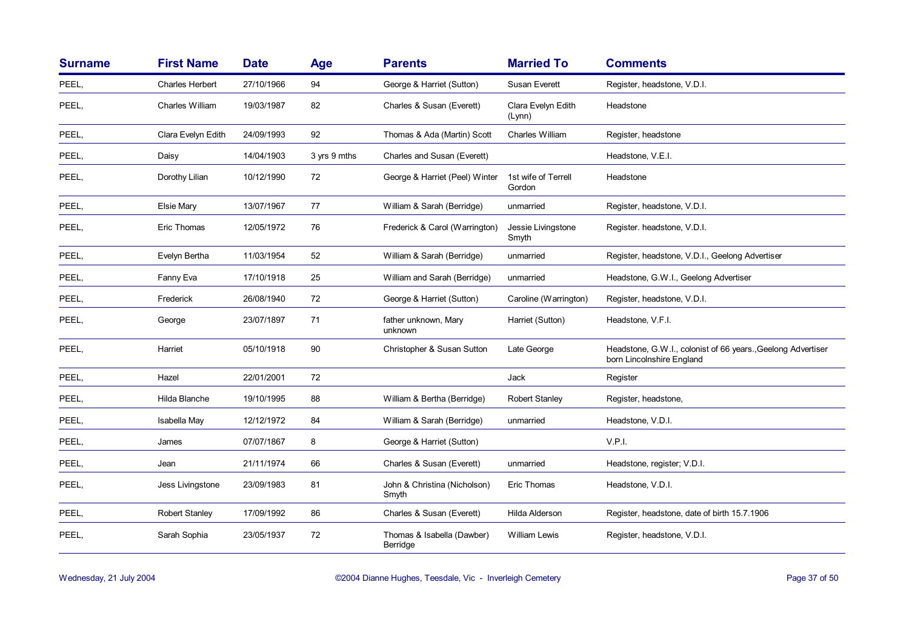| <b>Surname</b> | <b>First Name</b>      | <b>Date</b> | Age          | <b>Parents</b>                         | <b>Married To</b>             | <b>Comments</b>                                                                           |
|----------------|------------------------|-------------|--------------|----------------------------------------|-------------------------------|-------------------------------------------------------------------------------------------|
| PEEL,          | <b>Charles Herbert</b> | 27/10/1966  | 94           | George & Harriet (Sutton)              | Susan Everett                 | Register, headstone, V.D.I.                                                               |
| PEEL,          | Charles William        | 19/03/1987  | 82           | Charles & Susan (Everett)              | Clara Evelyn Edith<br>(Lynn)  | Headstone                                                                                 |
| PEEL,          | Clara Evelyn Edith     | 24/09/1993  | 92           | Thomas & Ada (Martin) Scott            | Charles William               | Register, headstone                                                                       |
| PEEL,          | Daisy                  | 14/04/1903  | 3 yrs 9 mths | Charles and Susan (Everett)            |                               | Headstone, V.E.I.                                                                         |
| PEEL,          | Dorothy Lilian         | 10/12/1990  | 72           | George & Harriet (Peel) Winter         | 1st wife of Terrell<br>Gordon | Headstone                                                                                 |
| PEEL,          | Elsie Mary             | 13/07/1967  | 77           | William & Sarah (Berridge)             | unmarried                     | Register, headstone, V.D.I.                                                               |
| PEEL,          | Eric Thomas            | 12/05/1972  | 76           | Frederick & Carol (Warrington)         | Jessie Livingstone<br>Smyth   | Register. headstone, V.D.I.                                                               |
| PEEL,          | Evelyn Bertha          | 11/03/1954  | 52           | William & Sarah (Berridge)             | unmarried                     | Register, headstone, V.D.I., Geelong Advertiser                                           |
| PEEL,          | Fanny Eva              | 17/10/1918  | 25           | William and Sarah (Berridge)           | unmarried                     | Headstone, G.W.I., Geelong Advertiser                                                     |
| PEEL,          | Frederick              | 26/08/1940  | 72           | George & Harriet (Sutton)              | Caroline (Warrington)         | Register, headstone, V.D.I.                                                               |
| PEEL,          | George                 | 23/07/1897  | 71           | father unknown, Mary<br>unknown        | Harriet (Sutton)              | Headstone, V.F.I.                                                                         |
| PEEL,          | Harriet                | 05/10/1918  | 90           | Christopher & Susan Sutton             | Late George                   | Headstone, G.W.I., colonist of 66 years., Geelong Advertiser<br>born Lincolnshire England |
| PEEL,          | Hazel                  | 22/01/2001  | 72           |                                        | Jack                          | Register                                                                                  |
| PEEL,          | Hilda Blanche          | 19/10/1995  | 88           | William & Bertha (Berridge)            | Robert Stanley                | Register, headstone,                                                                      |
| PEEL,          | Isabella May           | 12/12/1972  | 84           | William & Sarah (Berridge)             | unmarried                     | Headstone, V.D.I.                                                                         |
| PEEL,          | James                  | 07/07/1867  | 8            | George & Harriet (Sutton)              |                               | V.P.I.                                                                                    |
| PEEL,          | Jean                   | 21/11/1974  | 66           | Charles & Susan (Everett)              | unmarried                     | Headstone, register; V.D.I.                                                               |
| PEEL,          | Jess Livingstone       | 23/09/1983  | 81           | John & Christina (Nicholson)<br>Smyth  | Eric Thomas                   | Headstone, V.D.I.                                                                         |
| PEEL,          | <b>Robert Stanley</b>  | 17/09/1992  | 86           | Charles & Susan (Everett)              | Hilda Alderson                | Register, headstone, date of birth 15.7.1906                                              |
| PEEL,          | Sarah Sophia           | 23/05/1937  | 72           | Thomas & Isabella (Dawber)<br>Berridge | William Lewis                 | Register, headstone, V.D.I.                                                               |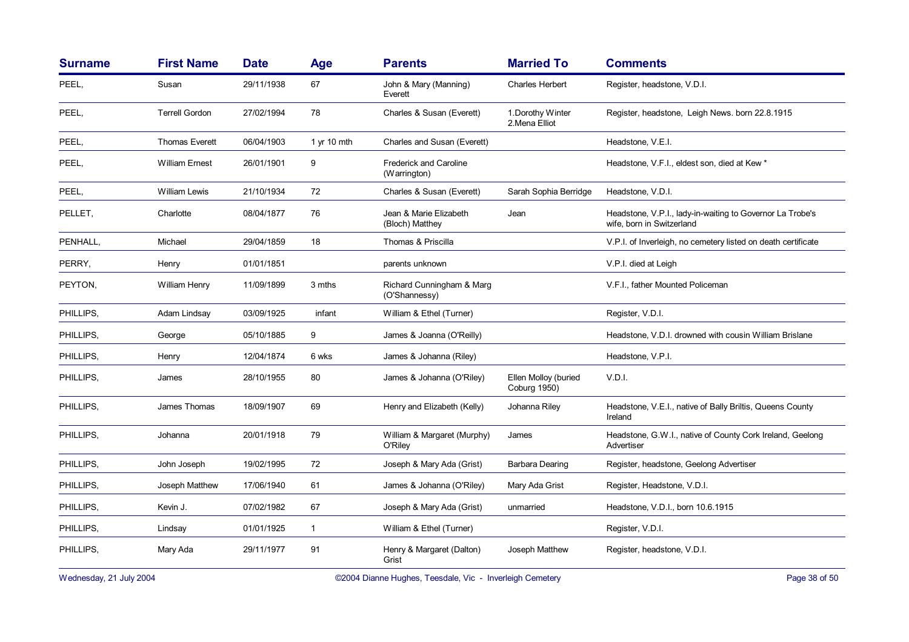| <b>Surname</b> | <b>First Name</b>     | <b>Date</b> | Age          | <b>Parents</b>                                | <b>Married To</b>                           | <b>Comments</b>                                                                        |
|----------------|-----------------------|-------------|--------------|-----------------------------------------------|---------------------------------------------|----------------------------------------------------------------------------------------|
| PEEL,          | Susan                 | 29/11/1938  | 67           | John & Mary (Manning)<br>Everett              | <b>Charles Herbert</b>                      | Register, headstone, V.D.I.                                                            |
| PEEL,          | <b>Terrell Gordon</b> | 27/02/1994  | 78           | Charles & Susan (Everett)                     | 1. Dorothy Winter<br>2. Mena Elliot         | Register, headstone, Leigh News, born 22.8.1915                                        |
| PEEL,          | <b>Thomas Everett</b> | 06/04/1903  | 1 yr 10 mth  | Charles and Susan (Everett)                   |                                             | Headstone, V.E.I.                                                                      |
| PEEL,          | <b>William Ernest</b> | 26/01/1901  | 9            | <b>Frederick and Caroline</b><br>(Warrington) |                                             | Headstone, V.F.I., eldest son, died at Kew *                                           |
| PEEL,          | <b>William Lewis</b>  | 21/10/1934  | 72           | Charles & Susan (Everett)                     | Sarah Sophia Berridge                       | Headstone, V.D.I.                                                                      |
| PELLET,        | Charlotte             | 08/04/1877  | 76           | Jean & Marie Elizabeth<br>(Bloch) Matthey     | Jean                                        | Headstone, V.P.I., lady-in-waiting to Governor La Trobe's<br>wife, born in Switzerland |
| PENHALL,       | Michael               | 29/04/1859  | 18           | Thomas & Priscilla                            |                                             | V.P.I. of Inverleigh, no cemetery listed on death certificate                          |
| PERRY.         | Henry                 | 01/01/1851  |              | parents unknown                               |                                             | V.P.I. died at Leigh                                                                   |
| PEYTON,        | William Henry         | 11/09/1899  | 3 mths       | Richard Cunningham & Marg<br>(O'Shannessy)    |                                             | V.F.I., father Mounted Policeman                                                       |
| PHILLIPS,      | Adam Lindsay          | 03/09/1925  | infant       | William & Ethel (Turner)                      |                                             | Register, V.D.I.                                                                       |
| PHILLIPS,      | George                | 05/10/1885  | 9            | James & Joanna (O'Reilly)                     |                                             | Headstone, V.D.I. drowned with cousin William Brislane                                 |
| PHILLIPS,      | Henry                 | 12/04/1874  | 6 wks        | James & Johanna (Riley)                       |                                             | Headstone, V.P.I.                                                                      |
| PHILLIPS.      | James                 | 28/10/1955  | 80           | James & Johanna (O'Riley)                     | Ellen Molloy (buried<br><b>Coburg 1950)</b> | V.D.I.                                                                                 |
| PHILLIPS,      | James Thomas          | 18/09/1907  | 69           | Henry and Elizabeth (Kelly)                   | Johanna Riley                               | Headstone, V.E.I., native of Bally Briltis, Queens County<br>Ireland                   |
| PHILLIPS,      | Johanna               | 20/01/1918  | 79           | William & Margaret (Murphy)<br>O'Riley        | James                                       | Headstone, G.W.I., native of County Cork Ireland, Geelong<br>Advertiser                |
| PHILLIPS,      | John Joseph           | 19/02/1995  | 72           | Joseph & Mary Ada (Grist)                     | Barbara Dearing                             | Register, headstone, Geelong Advertiser                                                |
| PHILLIPS,      | Joseph Matthew        | 17/06/1940  | 61           | James & Johanna (O'Riley)                     | Mary Ada Grist                              | Register, Headstone, V.D.I.                                                            |
| PHILLIPS.      | Kevin J.              | 07/02/1982  | 67           | Joseph & Mary Ada (Grist)                     | unmarried                                   | Headstone, V.D.I., born 10.6.1915                                                      |
| PHILLIPS,      | Lindsay               | 01/01/1925  | $\mathbf{1}$ | William & Ethel (Turner)                      |                                             | Register, V.D.I.                                                                       |
| PHILLIPS,      | Mary Ada              | 29/11/1977  | 91           | Henry & Margaret (Dalton)<br>Grist            | Joseph Matthew                              | Register, headstone, V.D.I.                                                            |

Wednesday, 21 July 2004 **Dianne Hughes, Teesdale, Vic - Inverleigh Cemetery** Page 38 of 50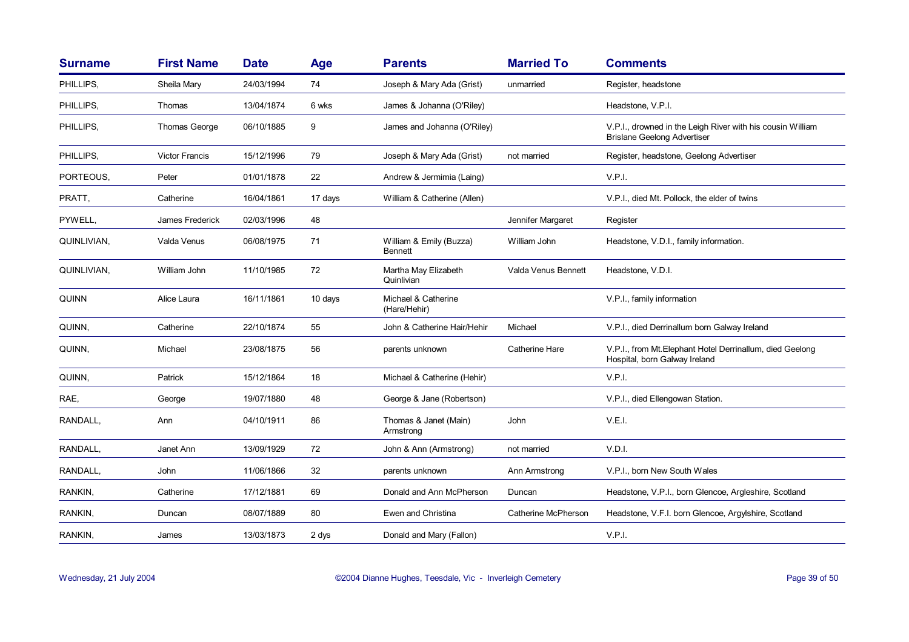| <b>Surname</b> | <b>First Name</b>     | <b>Date</b> | Age     | <b>Parents</b>                            | <b>Married To</b>   | <b>Comments</b>                                                                                  |
|----------------|-----------------------|-------------|---------|-------------------------------------------|---------------------|--------------------------------------------------------------------------------------------------|
| PHILLIPS.      | Sheila Mary           | 24/03/1994  | 74      | Joseph & Mary Ada (Grist)                 | unmarried           | Register, headstone                                                                              |
| PHILLIPS.      | Thomas                | 13/04/1874  | 6 wks   | James & Johanna (O'Riley)                 |                     | Headstone, V.P.I.                                                                                |
| PHILLIPS,      | Thomas George         | 06/10/1885  | 9       | James and Johanna (O'Riley)               |                     | V.P.I., drowned in the Leigh River with his cousin William<br><b>Brislane Geelong Advertiser</b> |
| PHILLIPS.      | <b>Victor Francis</b> | 15/12/1996  | 79      | Joseph & Mary Ada (Grist)                 | not married         | Register, headstone, Geelong Advertiser                                                          |
| PORTEOUS,      | Peter                 | 01/01/1878  | 22      | Andrew & Jermimia (Laing)                 |                     | V.P.I.                                                                                           |
| PRATT,         | Catherine             | 16/04/1861  | 17 days | William & Catherine (Allen)               |                     | V.P.I., died Mt. Pollock, the elder of twins                                                     |
| PYWELL,        | James Frederick       | 02/03/1996  | 48      |                                           | Jennifer Margaret   | Register                                                                                         |
| QUINLIVIAN,    | Valda Venus           | 06/08/1975  | 71      | William & Emily (Buzza)<br><b>Bennett</b> | William John        | Headstone, V.D.I., family information.                                                           |
| QUINLIVIAN,    | William John          | 11/10/1985  | 72      | Martha May Elizabeth<br>Quinlivian        | Valda Venus Bennett | Headstone, V.D.I.                                                                                |
| QUINN          | Alice Laura           | 16/11/1861  | 10 days | Michael & Catherine<br>(Hare/Hehir)       |                     | V.P.I., family information                                                                       |
| QUINN,         | Catherine             | 22/10/1874  | 55      | John & Catherine Hair/Hehir               | Michael             | V.P.I., died Derrinallum born Galway Ireland                                                     |
| QUINN,         | Michael               | 23/08/1875  | 56      | parents unknown                           | Catherine Hare      | V.P.I., from Mt. Elephant Hotel Derrinallum, died Geelong<br>Hospital, born Galway Ireland       |
| QUINN.         | Patrick               | 15/12/1864  | 18      | Michael & Catherine (Hehir)               |                     | V.P.I.                                                                                           |
| RAE,           | George                | 19/07/1880  | 48      | George & Jane (Robertson)                 |                     | V.P.I., died Ellengowan Station.                                                                 |
| RANDALL,       | Ann                   | 04/10/1911  | 86      | Thomas & Janet (Main)<br>Armstrong        | John                | V.E.I.                                                                                           |
| RANDALL,       | Janet Ann             | 13/09/1929  | 72      | John & Ann (Armstrong)                    | not married         | V.D.I.                                                                                           |
| RANDALL,       | John                  | 11/06/1866  | 32      | parents unknown                           | Ann Armstrong       | V.P.I., born New South Wales                                                                     |
| RANKIN,        | Catherine             | 17/12/1881  | 69      | Donald and Ann McPherson                  | Duncan              | Headstone, V.P.I., born Glencoe, Argleshire, Scotland                                            |
| RANKIN,        | Duncan                | 08/07/1889  | 80      | Ewen and Christina                        | Catherine McPherson | Headstone, V.F.I. born Glencoe, Argylshire, Scotland                                             |
| RANKIN.        | James                 | 13/03/1873  | 2 dys   | Donald and Mary (Fallon)                  |                     | V.P.I.                                                                                           |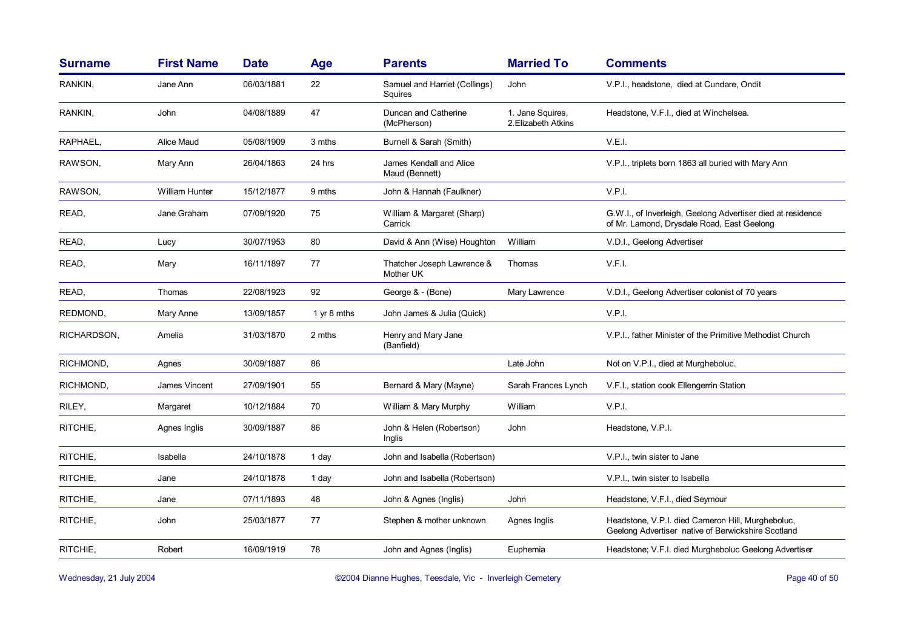| <b>Surname</b> | <b>First Name</b> | <b>Date</b> | Age         | <b>Parents</b>                            | <b>Married To</b>                       | <b>Comments</b>                                                                                           |
|----------------|-------------------|-------------|-------------|-------------------------------------------|-----------------------------------------|-----------------------------------------------------------------------------------------------------------|
| RANKIN.        | Jane Ann          | 06/03/1881  | 22          | Samuel and Harriet (Collings)<br>Squires  | John                                    | V.P.I., headstone, died at Cundare, Ondit                                                                 |
| RANKIN,        | John              | 04/08/1889  | 47          | Duncan and Catherine<br>(McPherson)       | 1. Jane Squires,<br>2. Elizabeth Atkins | Headstone, V.F.I., died at Winchelsea.                                                                    |
| RAPHAEL,       | Alice Maud        | 05/08/1909  | 3 mths      | Burnell & Sarah (Smith)                   |                                         | V.E.I.                                                                                                    |
| RAWSON,        | Mary Ann          | 26/04/1863  | 24 hrs      | James Kendall and Alice<br>Maud (Bennett) |                                         | V.P.I., triplets born 1863 all buried with Mary Ann                                                       |
| RAWSON,        | William Hunter    | 15/12/1877  | 9 mths      | John & Hannah (Faulkner)                  |                                         | V.P.I.                                                                                                    |
| READ,          | Jane Graham       | 07/09/1920  | 75          | William & Margaret (Sharp)<br>Carrick     |                                         | G.W.I., of Inverleigh, Geelong Advertiser died at residence<br>of Mr. Lamond, Drysdale Road, East Geelong |
| READ,          | Lucy              | 30/07/1953  | 80          | David & Ann (Wise) Houghton               | William                                 | V.D.I., Geelong Advertiser                                                                                |
| READ,          | Mary              | 16/11/1897  | 77          | Thatcher Joseph Lawrence &<br>Mother UK   | Thomas                                  | V.F.I.                                                                                                    |
| READ,          | Thomas            | 22/08/1923  | 92          | George & - (Bone)                         | Mary Lawrence                           | V.D.I., Geelong Advertiser colonist of 70 years                                                           |
| REDMOND,       | Mary Anne         | 13/09/1857  | 1 yr 8 mths | John James & Julia (Quick)                |                                         | V.P.I.                                                                                                    |
| RICHARDSON,    | Amelia            | 31/03/1870  | 2 mths      | Henry and Mary Jane<br>(Banfield)         |                                         | V.P.I., father Minister of the Primitive Methodist Church                                                 |
| RICHMOND,      | Agnes             | 30/09/1887  | 86          |                                           | Late John                               | Not on V.P.I., died at Murgheboluc.                                                                       |
| RICHMOND,      | James Vincent     | 27/09/1901  | 55          | Bernard & Mary (Mayne)                    | Sarah Frances Lynch                     | V.F.I., station cook Ellengerrin Station                                                                  |
| RILEY,         | Margaret          | 10/12/1884  | 70          | William & Mary Murphy                     | William                                 | V.P.I.                                                                                                    |
| RITCHIE,       | Agnes Inglis      | 30/09/1887  | 86          | John & Helen (Robertson)<br>Inglis        | John                                    | Headstone, V.P.I.                                                                                         |
| RITCHIE,       | Isabella          | 24/10/1878  | 1 day       | John and Isabella (Robertson)             |                                         | V.P.I., twin sister to Jane                                                                               |
| RITCHIE.       | Jane              | 24/10/1878  | 1 day       | John and Isabella (Robertson)             |                                         | V.P.I., twin sister to Isabella                                                                           |
| RITCHIE.       | Jane              | 07/11/1893  | 48          | John & Agnes (Inglis)                     | John                                    | Headstone, V.F.I., died Seymour                                                                           |
| RITCHIE,       | John              | 25/03/1877  | 77          | Stephen & mother unknown                  | Agnes Inglis                            | Headstone, V.P.I. died Cameron Hill, Murgheboluc,<br>Geelong Advertiser native of Berwickshire Scotland   |
| RITCHIE,       | Robert            | 16/09/1919  | 78          | John and Agnes (Inglis)                   | Euphemia                                | Headstone; V.F.I. died Murgheboluc Geelong Advertiser                                                     |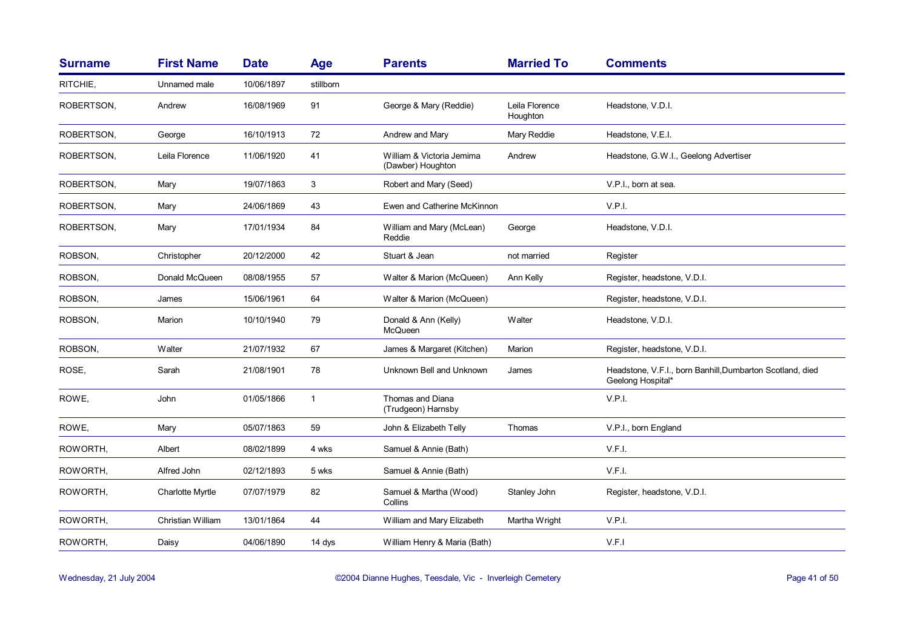| <b>Surname</b> | <b>First Name</b>       | <b>Date</b> | <b>Age</b>   | <b>Parents</b>                                 | <b>Married To</b>          | <b>Comments</b>                                                                |
|----------------|-------------------------|-------------|--------------|------------------------------------------------|----------------------------|--------------------------------------------------------------------------------|
| RITCHIE,       | Unnamed male            | 10/06/1897  | stillborn    |                                                |                            |                                                                                |
| ROBERTSON,     | Andrew                  | 16/08/1969  | 91           | George & Mary (Reddie)                         | Leila Florence<br>Houghton | Headstone, V.D.I.                                                              |
| ROBERTSON,     | George                  | 16/10/1913  | 72           | Andrew and Mary                                | Mary Reddie                | Headstone, V.E.I.                                                              |
| ROBERTSON,     | Leila Florence          | 11/06/1920  | 41           | William & Victoria Jemima<br>(Dawber) Houghton | Andrew                     | Headstone, G.W.I., Geelong Advertiser                                          |
| ROBERTSON,     | Mary                    | 19/07/1863  | 3            | Robert and Mary (Seed)                         |                            | V.P.I., born at sea.                                                           |
| ROBERTSON,     | Mary                    | 24/06/1869  | 43           | Ewen and Catherine McKinnon                    |                            | V.P.I.                                                                         |
| ROBERTSON,     | Mary                    | 17/01/1934  | 84           | William and Mary (McLean)<br>Reddie            | George                     | Headstone, V.D.I.                                                              |
| ROBSON,        | Christopher             | 20/12/2000  | 42           | Stuart & Jean                                  | not married                | Register                                                                       |
| ROBSON,        | Donald McQueen          | 08/08/1955  | 57           | Walter & Marion (McQueen)                      | Ann Kelly                  | Register, headstone, V.D.I.                                                    |
| ROBSON,        | James                   | 15/06/1961  | 64           | Walter & Marion (McQueen)                      |                            | Register, headstone, V.D.I.                                                    |
| ROBSON,        | Marion                  | 10/10/1940  | 79           | Donald & Ann (Kelly)<br>McQueen                | Walter                     | Headstone, V.D.I.                                                              |
| ROBSON,        | Walter                  | 21/07/1932  | 67           | James & Margaret (Kitchen)                     | Marion                     | Register, headstone, V.D.I.                                                    |
| ROSE,          | Sarah                   | 21/08/1901  | 78           | Unknown Bell and Unknown                       | James                      | Headstone, V.F.I., born Banhill, Dumbarton Scotland, died<br>Geelong Hospital* |
| ROWE,          | John                    | 01/05/1866  | $\mathbf{1}$ | Thomas and Diana<br>(Trudgeon) Harnsby         |                            | V.P.I.                                                                         |
| ROWE,          | Mary                    | 05/07/1863  | 59           | John & Elizabeth Telly                         | Thomas                     | V.P.I., born England                                                           |
| ROWORTH,       | Albert                  | 08/02/1899  | 4 wks        | Samuel & Annie (Bath)                          |                            | V.F.I.                                                                         |
| ROWORTH,       | Alfred John             | 02/12/1893  | 5 wks        | Samuel & Annie (Bath)                          |                            | V.F.I.                                                                         |
| ROWORTH,       | <b>Charlotte Myrtle</b> | 07/07/1979  | 82           | Samuel & Martha (Wood)<br>Collins              | Stanley John               | Register, headstone, V.D.I.                                                    |
| ROWORTH,       | Christian William       | 13/01/1864  | 44           | William and Mary Elizabeth                     | Martha Wright              | V.P.I.                                                                         |
| ROWORTH,       | Daisy                   | 04/06/1890  | 14 dys       | William Henry & Maria (Bath)                   |                            | V.F.I                                                                          |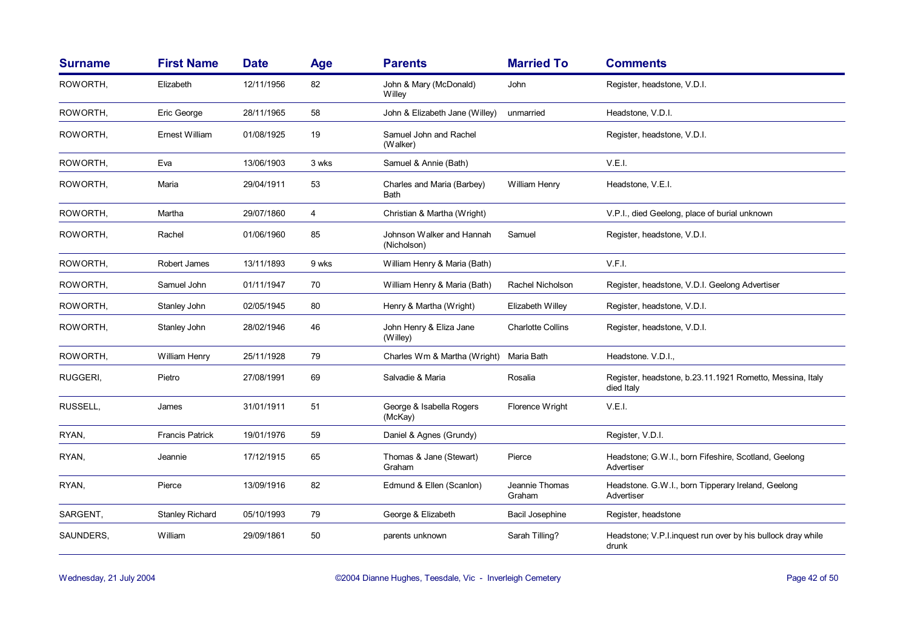| <b>Surname</b> | <b>First Name</b>      | <b>Date</b> | Age   | <b>Parents</b>                           | <b>Married To</b>        | <b>Comments</b>                                                         |
|----------------|------------------------|-------------|-------|------------------------------------------|--------------------------|-------------------------------------------------------------------------|
| ROWORTH,       | Elizabeth              | 12/11/1956  | 82    | John & Mary (McDonald)<br>Willey         | John                     | Register, headstone, V.D.I.                                             |
| ROWORTH,       | Eric George            | 28/11/1965  | 58    | John & Elizabeth Jane (Willey)           | unmarried                | Headstone, V.D.I.                                                       |
| ROWORTH,       | Ernest William         | 01/08/1925  | 19    | Samuel John and Rachel<br>(Walker)       |                          | Register, headstone, V.D.I.                                             |
| ROWORTH,       | Eva                    | 13/06/1903  | 3 wks | Samuel & Annie (Bath)                    |                          | V.E.I.                                                                  |
| ROWORTH,       | Maria                  | 29/04/1911  | 53    | Charles and Maria (Barbey)<br>Bath       | William Henry            | Headstone, V.E.I.                                                       |
| ROWORTH,       | Martha                 | 29/07/1860  | 4     | Christian & Martha (Wright)              |                          | V.P.I., died Geelong, place of burial unknown                           |
| ROWORTH,       | Rachel                 | 01/06/1960  | 85    | Johnson Walker and Hannah<br>(Nicholson) | Samuel                   | Register, headstone, V.D.I.                                             |
| ROWORTH,       | Robert James           | 13/11/1893  | 9 wks | William Henry & Maria (Bath)             |                          | V.F.I.                                                                  |
| ROWORTH,       | Samuel John            | 01/11/1947  | 70    | William Henry & Maria (Bath)             | Rachel Nicholson         | Register, headstone, V.D.I. Geelong Advertiser                          |
| ROWORTH,       | Stanley John           | 02/05/1945  | 80    | Henry & Martha (Wright)                  | Elizabeth Willey         | Register, headstone, V.D.I.                                             |
| ROWORTH,       | Stanley John           | 28/02/1946  | 46    | John Henry & Eliza Jane<br>(Willey)      | <b>Charlotte Collins</b> | Register, headstone, V.D.I.                                             |
| ROWORTH,       | William Henry          | 25/11/1928  | 79    | Charles Wm & Martha (Wright)             | Maria Bath               | Headstone. V.D.I.,                                                      |
| RUGGERI,       | Pietro                 | 27/08/1991  | 69    | Salvadie & Maria                         | Rosalia                  | Register, headstone, b.23.11.1921 Rometto, Messina, Italy<br>died Italy |
| RUSSELL,       | James                  | 31/01/1911  | 51    | George & Isabella Rogers<br>(McKay)      | Florence Wright          | V.E.I.                                                                  |
| RYAN,          | <b>Francis Patrick</b> | 19/01/1976  | 59    | Daniel & Agnes (Grundy)                  |                          | Register, V.D.I.                                                        |
| RYAN,          | Jeannie                | 17/12/1915  | 65    | Thomas & Jane (Stewart)<br>Graham        | Pierce                   | Headstone; G.W.I., born Fifeshire, Scotland, Geelong<br>Advertiser      |
| RYAN,          | Pierce                 | 13/09/1916  | 82    | Edmund & Ellen (Scanlon)                 | Jeannie Thomas<br>Graham | Headstone. G.W.I., born Tipperary Ireland, Geelong<br>Advertiser        |
| SARGENT,       | <b>Stanley Richard</b> | 05/10/1993  | 79    | George & Elizabeth                       | Bacil Josephine          | Register, headstone                                                     |
| SAUNDERS,      | William                | 29/09/1861  | 50    | parents unknown                          | Sarah Tilling?           | Headstone; V.P.I.inquest run over by his bullock dray while<br>drunk    |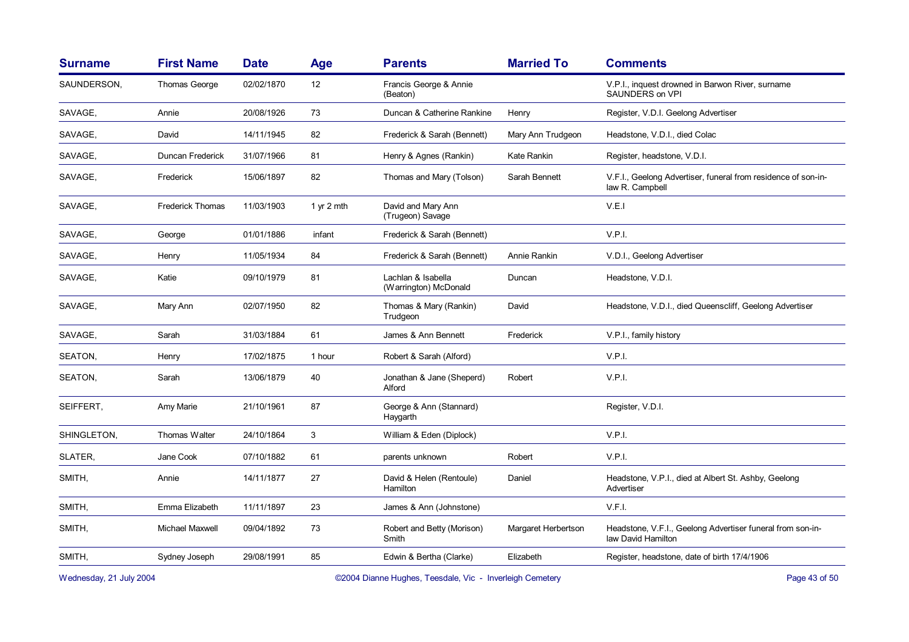| <b>Surname</b> | <b>First Name</b>       | <b>Date</b> | <b>Age</b> | <b>Parents</b>                              | <b>Married To</b>   | <b>Comments</b>                                                                  |
|----------------|-------------------------|-------------|------------|---------------------------------------------|---------------------|----------------------------------------------------------------------------------|
| SAUNDERSON,    | <b>Thomas George</b>    | 02/02/1870  | 12         | Francis George & Annie<br>(Beaton)          |                     | V.P.I., inquest drowned in Barwon River, surname<br>SAUNDERS on VPI              |
| SAVAGE.        | Annie                   | 20/08/1926  | 73         | Duncan & Catherine Rankine                  | Henry               | Register, V.D.I. Geelong Advertiser                                              |
| SAVAGE,        | David                   | 14/11/1945  | 82         | Frederick & Sarah (Bennett)                 | Mary Ann Trudgeon   | Headstone, V.D.I., died Colac                                                    |
| SAVAGE,        | <b>Duncan Frederick</b> | 31/07/1966  | 81         | Henry & Agnes (Rankin)                      | Kate Rankin         | Register, headstone, V.D.I.                                                      |
| SAVAGE,        | Frederick               | 15/06/1897  | 82         | Thomas and Mary (Tolson)                    | Sarah Bennett       | V.F.I., Geelong Advertiser, funeral from residence of son-in-<br>law R. Campbell |
| SAVAGE.        | <b>Frederick Thomas</b> | 11/03/1903  | 1 yr 2 mth | David and Mary Ann<br>(Trugeon) Savage      |                     | V.E.I                                                                            |
| SAVAGE,        | George                  | 01/01/1886  | infant     | Frederick & Sarah (Bennett)                 |                     | V.P.I.                                                                           |
| SAVAGE,        | Henry                   | 11/05/1934  | 84         | Frederick & Sarah (Bennett)                 | Annie Rankin        | V.D.I., Geelong Advertiser                                                       |
| SAVAGE.        | Katie                   | 09/10/1979  | 81         | Lachlan & Isabella<br>(Warrington) McDonald | Duncan              | Headstone, V.D.I.                                                                |
| SAVAGE,        | Mary Ann                | 02/07/1950  | 82         | Thomas & Mary (Rankin)<br>Trudgeon          | David               | Headstone, V.D.I., died Queenscliff, Geelong Advertiser                          |
| SAVAGE,        | Sarah                   | 31/03/1884  | 61         | James & Ann Bennett                         | Frederick           | V.P.I., family history                                                           |
| SEATON,        | Henry                   | 17/02/1875  | 1 hour     | Robert & Sarah (Alford)                     |                     | V.P.I.                                                                           |
| SEATON,        | Sarah                   | 13/06/1879  | 40         | Jonathan & Jane (Sheperd)<br>Alford         | Robert              | V.P.I.                                                                           |
| SEIFFERT,      | Amy Marie               | 21/10/1961  | 87         | George & Ann (Stannard)<br>Haygarth         |                     | Register, V.D.I.                                                                 |
| SHINGLETON.    | Thomas Walter           | 24/10/1864  | 3          | William & Eden (Diplock)                    |                     | V.P.I.                                                                           |
| SLATER,        | Jane Cook               | 07/10/1882  | 61         | parents unknown                             | Robert              | V.P.I.                                                                           |
| SMITH,         | Annie                   | 14/11/1877  | 27         | David & Helen (Rentoule)<br>Hamilton        | Daniel              | Headstone, V.P.I., died at Albert St. Ashby, Geelong<br>Advertiser               |
| SMITH,         | Emma Elizabeth          | 11/11/1897  | 23         | James & Ann (Johnstone)                     |                     | V.F.I.                                                                           |
| SMITH,         | Michael Maxwell         | 09/04/1892  | 73         | Robert and Betty (Morison)<br>Smith         | Margaret Herbertson | Headstone, V.F.I., Geelong Advertiser funeral from son-in-<br>law David Hamilton |
| SMITH,         | Sydney Joseph           | 29/08/1991  | 85         | Edwin & Bertha (Clarke)                     | Elizabeth           | Register, headstone, date of birth 17/4/1906                                     |
|                |                         |             |            |                                             |                     |                                                                                  |

Wednesday, 21 July 2004 **Dianne Hughes, Teesdale, Vic - Inverleigh Cemetery** Page 43 of 50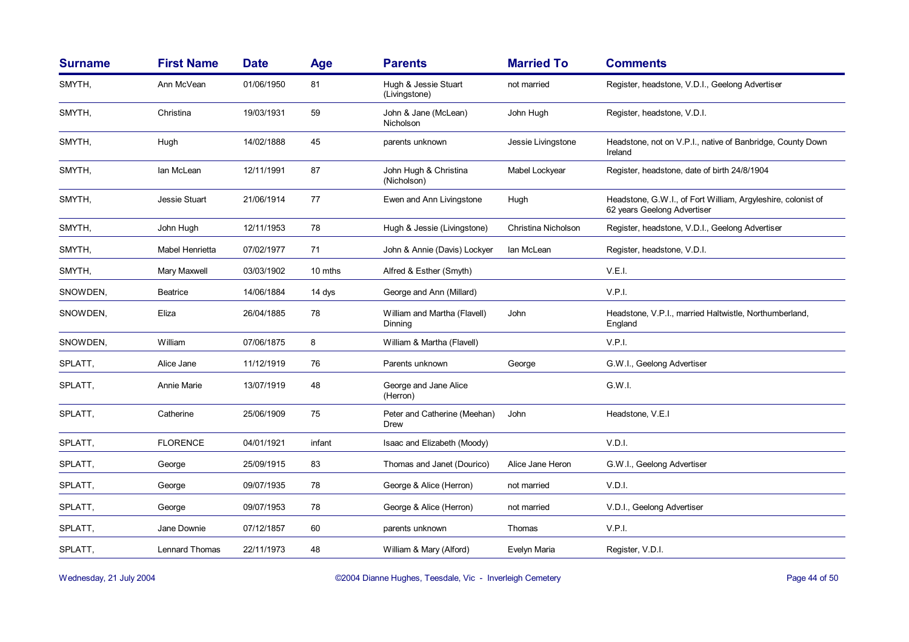| <b>Surname</b> | <b>First Name</b>     | <b>Date</b> | Age     | <b>Parents</b>                          | <b>Married To</b>   | <b>Comments</b>                                                                             |
|----------------|-----------------------|-------------|---------|-----------------------------------------|---------------------|---------------------------------------------------------------------------------------------|
| SMYTH,         | Ann McVean            | 01/06/1950  | 81      | Hugh & Jessie Stuart<br>(Livingstone)   | not married         | Register, headstone, V.D.I., Geelong Advertiser                                             |
| SMYTH,         | Christina             | 19/03/1931  | 59      | John & Jane (McLean)<br>Nicholson       | John Hugh           | Register, headstone, V.D.I.                                                                 |
| SMYTH,         | Hugh                  | 14/02/1888  | 45      | parents unknown                         | Jessie Livingstone  | Headstone, not on V.P.I., native of Banbridge, County Down<br>Ireland                       |
| SMYTH,         | lan McLean            | 12/11/1991  | 87      | John Hugh & Christina<br>(Nicholson)    | Mabel Lockyear      | Register, headstone, date of birth 24/8/1904                                                |
| SMYTH,         | Jessie Stuart         | 21/06/1914  | 77      | Ewen and Ann Livingstone                | Hugh                | Headstone, G.W.I., of Fort William, Argyleshire, colonist of<br>62 years Geelong Advertiser |
| SMYTH,         | John Hugh             | 12/11/1953  | 78      | Hugh & Jessie (Livingstone)             | Christina Nicholson | Register, headstone, V.D.I., Geelong Advertiser                                             |
| SMYTH,         | Mabel Henrietta       | 07/02/1977  | 71      | John & Annie (Davis) Lockyer            | Ian McLean          | Register, headstone, V.D.I.                                                                 |
| SMYTH,         | Mary Maxwell          | 03/03/1902  | 10 mths | Alfred & Esther (Smyth)                 |                     | V.E.I.                                                                                      |
| SNOWDEN,       | <b>Beatrice</b>       | 14/06/1884  | 14 dys  | George and Ann (Millard)                |                     | V.P.I.                                                                                      |
| SNOWDEN,       | Eliza                 | 26/04/1885  | 78      | William and Martha (Flavell)<br>Dinning | John                | Headstone, V.P.I., married Haltwistle, Northumberland,<br>England                           |
| SNOWDEN,       | William               | 07/06/1875  | 8       | William & Martha (Flavell)              |                     | V.P.I.                                                                                      |
| SPLATT,        | Alice Jane            | 11/12/1919  | 76      | Parents unknown                         | George              | G.W.I., Geelong Advertiser                                                                  |
| SPLATT,        | Annie Marie           | 13/07/1919  | 48      | George and Jane Alice<br>(Herron)       |                     | G.W.I.                                                                                      |
| SPLATT,        | Catherine             | 25/06/1909  | 75      | Peter and Catherine (Meehan)<br>Drew    | John                | Headstone, V.E.I                                                                            |
| SPLATT,        | <b>FLORENCE</b>       | 04/01/1921  | infant  | Isaac and Elizabeth (Moody)             |                     | V.D.I.                                                                                      |
| SPLATT,        | George                | 25/09/1915  | 83      | Thomas and Janet (Dourico)              | Alice Jane Heron    | G.W.I., Geelong Advertiser                                                                  |
| SPLATT,        | George                | 09/07/1935  | 78      | George & Alice (Herron)                 | not married         | V.D.I.                                                                                      |
| SPLATT,        | George                | 09/07/1953  | 78      | George & Alice (Herron)                 | not married         | V.D.I., Geelong Advertiser                                                                  |
| SPLATT,        | Jane Downie           | 07/12/1857  | 60      | parents unknown                         | Thomas              | V.P.I.                                                                                      |
| SPLATT,        | <b>Lennard Thomas</b> | 22/11/1973  | 48      | William & Mary (Alford)                 | Evelyn Maria        | Register, V.D.I.                                                                            |

Wednesday, 21 July 2004 **Dianne Hughes, Teesdale, Vic - Inverleigh Cemetery** Page 44 of 50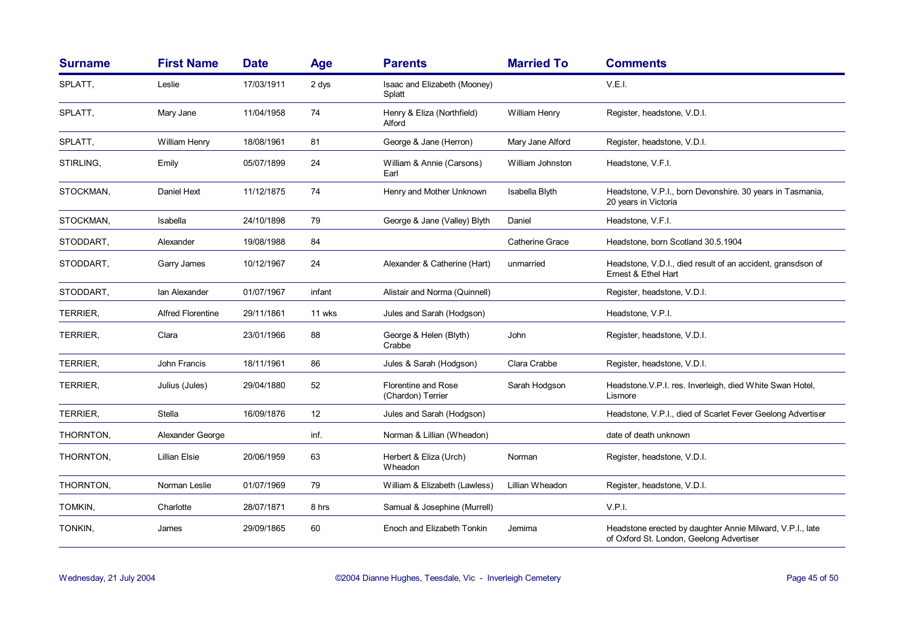| <b>Surname</b>  | <b>First Name</b>        | <b>Date</b> | <b>Age</b> | <b>Parents</b>                                  | <b>Married To</b>    | <b>Comments</b>                                                                                       |
|-----------------|--------------------------|-------------|------------|-------------------------------------------------|----------------------|-------------------------------------------------------------------------------------------------------|
| SPLATT,         | Leslie                   | 17/03/1911  | 2 dys      | Isaac and Elizabeth (Mooney)<br>Splatt          |                      | V.E.I.                                                                                                |
| SPLATT,         | Mary Jane                | 11/04/1958  | 74         | Henry & Eliza (Northfield)<br>Alford            | <b>William Henry</b> | Register, headstone, V.D.I.                                                                           |
| SPLATT,         | William Henry            | 18/08/1961  | 81         | George & Jane (Herron)                          | Mary Jane Alford     | Register, headstone, V.D.I.                                                                           |
| STIRLING,       | Emily                    | 05/07/1899  | 24         | William & Annie (Carsons)<br>Earl               | William Johnston     | Headstone, V.F.I.                                                                                     |
| STOCKMAN,       | Daniel Hext              | 11/12/1875  | 74         | Henry and Mother Unknown                        | Isabella Blyth       | Headstone, V.P.I., born Devonshire. 30 years in Tasmania,<br>20 years in Victoria                     |
| STOCKMAN,       | Isabella                 | 24/10/1898  | 79         | George & Jane (Valley) Blyth                    | Daniel               | Headstone, V.F.I.                                                                                     |
| STODDART,       | Alexander                | 19/08/1988  | 84         |                                                 | Catherine Grace      | Headstone, born Scotland 30.5.1904                                                                    |
| STODDART,       | Garry James              | 10/12/1967  | 24         | Alexander & Catherine (Hart)                    | unmarried            | Headstone, V.D.I., died result of an accident, gransdson of<br>Ernest & Ethel Hart                    |
| STODDART,       | Ian Alexander            | 01/07/1967  | infant     | Alistair and Norma (Quinnell)                   |                      | Register, headstone, V.D.I.                                                                           |
| TERRIER,        | <b>Alfred Florentine</b> | 29/11/1861  | 11 wks     | Jules and Sarah (Hodgson)                       |                      | Headstone, V.P.I.                                                                                     |
| TERRIER,        | Clara                    | 23/01/1966  | 88         | George & Helen (Blyth)<br>Crabbe                | John                 | Register, headstone, V.D.I.                                                                           |
| <b>TERRIER,</b> | John Francis             | 18/11/1961  | 86         | Jules & Sarah (Hodgson)                         | Clara Crabbe         | Register, headstone, V.D.I.                                                                           |
| TERRIER,        | Julius (Jules)           | 29/04/1880  | 52         | <b>Florentine and Rose</b><br>(Chardon) Terrier | Sarah Hodgson        | Headstone V.P.I. res. Inverleigh, died White Swan Hotel,<br>Lismore                                   |
| TERRIER,        | Stella                   | 16/09/1876  | 12         | Jules and Sarah (Hodgson)                       |                      | Headstone, V.P.I., died of Scarlet Fever Geelong Advertiser                                           |
| THORNTON,       | Alexander George         |             | inf.       | Norman & Lillian (Wheadon)                      |                      | date of death unknown                                                                                 |
| THORNTON,       | <b>Lillian Elsie</b>     | 20/06/1959  | 63         | Herbert & Eliza (Urch)<br>Wheadon               | Norman               | Register, headstone, V.D.I.                                                                           |
| THORNTON,       | Norman Leslie            | 01/07/1969  | 79         | William & Elizabeth (Lawless)                   | Lillian Wheadon      | Register, headstone, V.D.I.                                                                           |
| TOMKIN,         | Charlotte                | 28/07/1871  | 8 hrs      | Samual & Josephine (Murrell)                    |                      | V.P.I.                                                                                                |
| TONKIN,         | James                    | 29/09/1865  | 60         | Enoch and Elizabeth Tonkin                      | Jemima               | Headstone erected by daughter Annie Milward, V.P.I., late<br>of Oxford St. London, Geelong Advertiser |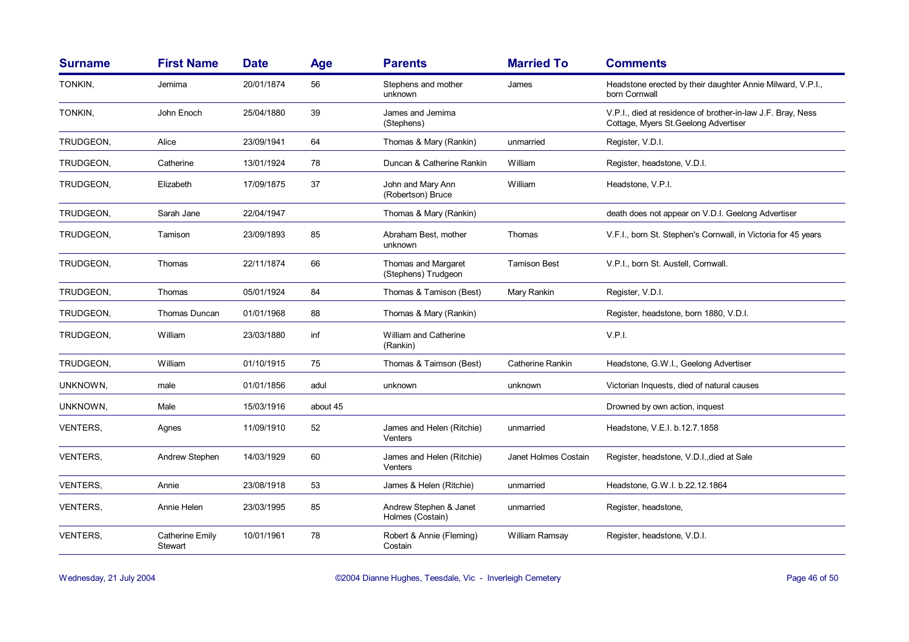| <b>Surname</b>  | <b>First Name</b>                 | <b>Date</b> | <b>Age</b> | <b>Parents</b>                             | <b>Married To</b>    | <b>Comments</b>                                                                                      |
|-----------------|-----------------------------------|-------------|------------|--------------------------------------------|----------------------|------------------------------------------------------------------------------------------------------|
| TONKIN,         | Jemima                            | 20/01/1874  | 56         | Stephens and mother<br>unknown             | James                | Headstone erected by their daughter Annie Milward, V.P.I.,<br>born Cornwall                          |
| TONKIN,         | John Enoch                        | 25/04/1880  | 39         | James and Jemima<br>(Stephens)             |                      | V.P.I., died at residence of brother-in-law J.F. Bray, Ness<br>Cottage, Myers St. Geelong Advertiser |
| TRUDGEON.       | Alice                             | 23/09/1941  | 64         | Thomas & Mary (Rankin)                     | unmarried            | Register, V.D.I.                                                                                     |
| TRUDGEON,       | Catherine                         | 13/01/1924  | 78         | Duncan & Catherine Rankin                  | William              | Register, headstone, V.D.I.                                                                          |
| TRUDGEON,       | Elizabeth                         | 17/09/1875  | 37         | John and Mary Ann<br>(Robertson) Bruce     | William              | Headstone, V.P.I.                                                                                    |
| TRUDGEON,       | Sarah Jane                        | 22/04/1947  |            | Thomas & Mary (Rankin)                     |                      | death does not appear on V.D.I. Geelong Advertiser                                                   |
| TRUDGEON,       | Tamison                           | 23/09/1893  | 85         | Abraham Best, mother<br>unknown            | Thomas               | V.F.I., born St. Stephen's Cornwall, in Victoria for 45 years                                        |
| TRUDGEON,       | Thomas                            | 22/11/1874  | 66         | Thomas and Margaret<br>(Stephens) Trudgeon | <b>Tamison Best</b>  | V.P.I., born St. Austell, Cornwall.                                                                  |
| TRUDGEON,       | Thomas                            | 05/01/1924  | 84         | Thomas & Tamison (Best)                    | Mary Rankin          | Register, V.D.I.                                                                                     |
| TRUDGEON.       | Thomas Duncan                     | 01/01/1968  | 88         | Thomas & Mary (Rankin)                     |                      | Register, headstone, born 1880, V.D.I.                                                               |
| TRUDGEON,       | William                           | 23/03/1880  | inf        | William and Catherine<br>(Rankin)          |                      | V.P.I.                                                                                               |
| TRUDGEON,       | William                           | 01/10/1915  | 75         | Thomas & Taimson (Best)                    | Catherine Rankin     | Headstone, G.W.I., Geelong Advertiser                                                                |
| UNKNOWN,        | male                              | 01/01/1856  | adul       | unknown                                    | unknown              | Victorian Inquests, died of natural causes                                                           |
| UNKNOWN,        | Male                              | 15/03/1916  | about 45   |                                            |                      | Drowned by own action, inquest                                                                       |
| VENTERS,        | Agnes                             | 11/09/1910  | 52         | James and Helen (Ritchie)<br>Venters       | unmarried            | Headstone, V.E.I. b.12.7.1858                                                                        |
| VENTERS,        | Andrew Stephen                    | 14/03/1929  | 60         | James and Helen (Ritchie)<br>Venters       | Janet Holmes Costain | Register, headstone, V.D.I., died at Sale                                                            |
| VENTERS,        | Annie                             | 23/08/1918  | 53         | James & Helen (Ritchie)                    | unmarried            | Headstone, G.W.I. b.22.12.1864                                                                       |
| <b>VENTERS,</b> | Annie Helen                       | 23/03/1995  | 85         | Andrew Stephen & Janet<br>Holmes (Costain) | unmarried            | Register, headstone,                                                                                 |
| VENTERS,        | <b>Catherine Emily</b><br>Stewart | 10/01/1961  | 78         | Robert & Annie (Fleming)<br>Costain        | William Ramsay       | Register, headstone, V.D.I.                                                                          |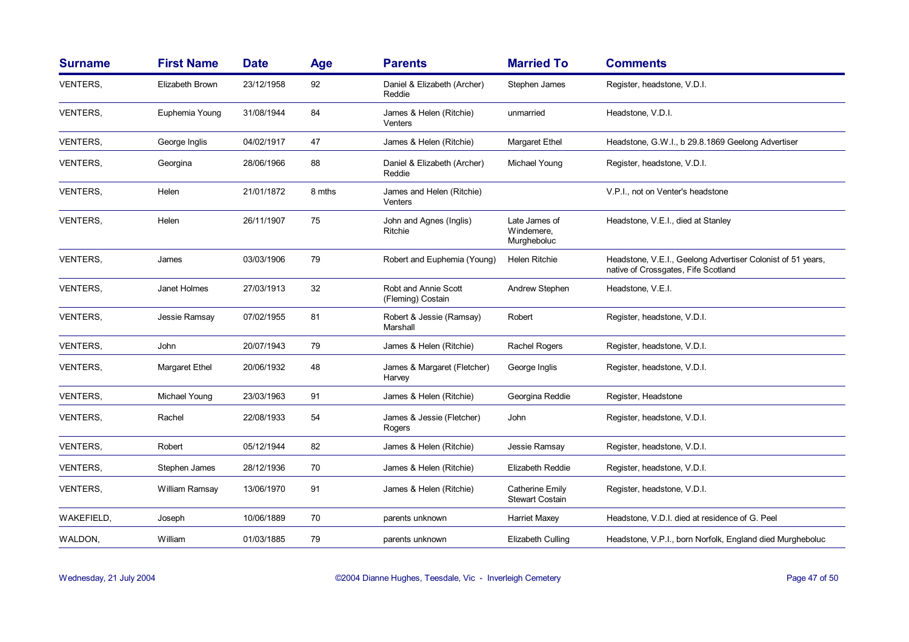| <b>Surname</b>  | <b>First Name</b> | <b>Date</b> | <b>Age</b> | <b>Parents</b>                            | <b>Married To</b>                          | <b>Comments</b>                                                                                    |
|-----------------|-------------------|-------------|------------|-------------------------------------------|--------------------------------------------|----------------------------------------------------------------------------------------------------|
| <b>VENTERS.</b> | Elizabeth Brown   | 23/12/1958  | 92         | Daniel & Elizabeth (Archer)<br>Reddie     | Stephen James                              | Register, headstone, V.D.I.                                                                        |
| VENTERS,        | Euphemia Young    | 31/08/1944  | 84         | James & Helen (Ritchie)<br>Venters        | unmarried                                  | Headstone, V.D.I.                                                                                  |
| <b>VENTERS,</b> | George Inglis     | 04/02/1917  | 47         | James & Helen (Ritchie)                   | Margaret Ethel                             | Headstone, G.W.I., b 29.8.1869 Geelong Advertiser                                                  |
| VENTERS,        | Georgina          | 28/06/1966  | 88         | Daniel & Elizabeth (Archer)<br>Reddie     | Michael Young                              | Register, headstone, V.D.I.                                                                        |
| VENTERS,        | Helen             | 21/01/1872  | 8 mths     | James and Helen (Ritchie)<br>Venters      |                                            | V.P.I., not on Venter's headstone                                                                  |
| <b>VENTERS,</b> | Helen             | 26/11/1907  | 75         | John and Agnes (Inglis)<br>Ritchie        | Late James of<br>Windemere,<br>Murgheboluc | Headstone, V.E.I., died at Stanley                                                                 |
| VENTERS,        | James             | 03/03/1906  | 79         | Robert and Euphemia (Young)               | <b>Helen Ritchie</b>                       | Headstone, V.E.I., Geelong Advertiser Colonist of 51 years,<br>native of Crossgates, Fife Scotland |
| <b>VENTERS,</b> | Janet Holmes      | 27/03/1913  | 32         | Robt and Annie Scott<br>(Fleming) Costain | Andrew Stephen                             | Headstone, V.E.I.                                                                                  |
| <b>VENTERS,</b> | Jessie Ramsay     | 07/02/1955  | 81         | Robert & Jessie (Ramsay)<br>Marshall      | Robert                                     | Register, headstone, V.D.I.                                                                        |
| VENTERS,        | John              | 20/07/1943  | 79         | James & Helen (Ritchie)                   | Rachel Rogers                              | Register, headstone, V.D.I.                                                                        |
| VENTERS,        | Margaret Ethel    | 20/06/1932  | 48         | James & Margaret (Fletcher)<br>Harvey     | George Inglis                              | Register, headstone, V.D.I.                                                                        |
| VENTERS,        | Michael Young     | 23/03/1963  | 91         | James & Helen (Ritchie)                   | Georgina Reddie                            | Register, Headstone                                                                                |
| VENTERS,        | Rachel            | 22/08/1933  | 54         | James & Jessie (Fletcher)<br>Rogers       | John                                       | Register, headstone, V.D.I.                                                                        |
| <b>VENTERS,</b> | Robert            | 05/12/1944  | 82         | James & Helen (Ritchie)                   | Jessie Ramsay                              | Register, headstone, V.D.I.                                                                        |
| <b>VENTERS,</b> | Stephen James     | 28/12/1936  | 70         | James & Helen (Ritchie)                   | Elizabeth Reddie                           | Register, headstone, V.D.I.                                                                        |
| VENTERS,        | William Ramsay    | 13/06/1970  | 91         | James & Helen (Ritchie)                   | Catherine Emily<br><b>Stewart Costain</b>  | Register, headstone, V.D.I.                                                                        |
| WAKEFIELD,      | Joseph            | 10/06/1889  | 70         | parents unknown                           | Harriet Maxey                              | Headstone, V.D.I. died at residence of G. Peel                                                     |
| WALDON.         | William           | 01/03/1885  | 79         | parents unknown                           | Elizabeth Culling                          | Headstone, V.P.I., born Norfolk, England died Murgheboluc                                          |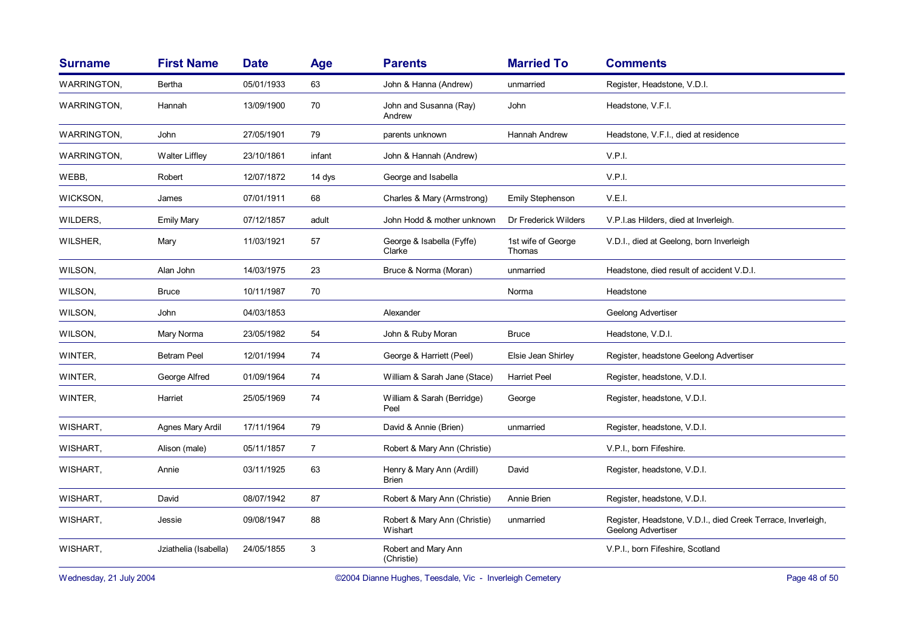| <b>Surname</b>     | <b>First Name</b>     | <b>Date</b> | Age            | <b>Parents</b>                            | <b>Married To</b>            | <b>Comments</b>                                                                    |
|--------------------|-----------------------|-------------|----------------|-------------------------------------------|------------------------------|------------------------------------------------------------------------------------|
| <b>WARRINGTON.</b> | Bertha                | 05/01/1933  | 63             | John & Hanna (Andrew)                     | unmarried                    | Register, Headstone, V.D.I.                                                        |
| <b>WARRINGTON,</b> | Hannah                | 13/09/1900  | 70             | John and Susanna (Ray)<br>Andrew          | John                         | Headstone, V.F.I.                                                                  |
| <b>WARRINGTON.</b> | John                  | 27/05/1901  | 79             | parents unknown                           | Hannah Andrew                | Headstone, V.F.I., died at residence                                               |
| WARRINGTON,        | <b>Walter Liffley</b> | 23/10/1861  | infant         | John & Hannah (Andrew)                    |                              | V.P.I.                                                                             |
| WEBB,              | Robert                | 12/07/1872  | 14 dys         | George and Isabella                       |                              | V.P.I.                                                                             |
| WICKSON,           | James                 | 07/01/1911  | 68             | Charles & Mary (Armstrong)                | <b>Emily Stephenson</b>      | V.E.I.                                                                             |
| WILDERS,           | <b>Emily Mary</b>     | 07/12/1857  | adult          | John Hodd & mother unknown                | Dr Frederick Wilders         | V.P.I.as Hilders, died at Inverleigh.                                              |
| WILSHER,           | Mary                  | 11/03/1921  | 57             | George & Isabella (Fyffe)<br>Clarke       | 1st wife of George<br>Thomas | V.D.I., died at Geelong, born Inverleigh                                           |
| WILSON,            | Alan John             | 14/03/1975  | 23             | Bruce & Norma (Moran)                     | unmarried                    | Headstone, died result of accident V.D.I.                                          |
| WILSON,            | <b>Bruce</b>          | 10/11/1987  | 70             |                                           | Norma                        | Headstone                                                                          |
| WILSON,            | John                  | 04/03/1853  |                | Alexander                                 |                              | Geelong Advertiser                                                                 |
| WILSON,            | Mary Norma            | 23/05/1982  | 54             | John & Ruby Moran                         | <b>Bruce</b>                 | Headstone, V.D.I.                                                                  |
| WINTER,            | <b>Betram Peel</b>    | 12/01/1994  | 74             | George & Harriett (Peel)                  | Elsie Jean Shirley           | Register, headstone Geelong Advertiser                                             |
| WINTER,            | George Alfred         | 01/09/1964  | 74             | William & Sarah Jane (Stace)              | <b>Harriet Peel</b>          | Register, headstone, V.D.I.                                                        |
| WINTER,            | Harriet               | 25/05/1969  | 74             | William & Sarah (Berridge)<br>Peel        | George                       | Register, headstone, V.D.I.                                                        |
| WISHART,           | Agnes Mary Ardil      | 17/11/1964  | 79             | David & Annie (Brien)                     | unmarried                    | Register, headstone, V.D.I.                                                        |
| WISHART,           | Alison (male)         | 05/11/1857  | $\overline{7}$ | Robert & Mary Ann (Christie)              |                              | V.P.I., born Fifeshire.                                                            |
| WISHART,           | Annie                 | 03/11/1925  | 63             | Henry & Mary Ann (Ardill)<br><b>Brien</b> | David                        | Register, headstone, V.D.I.                                                        |
| WISHART,           | David                 | 08/07/1942  | 87             | Robert & Mary Ann (Christie)              | Annie Brien                  | Register, headstone, V.D.I.                                                        |
| WISHART,           | Jessie                | 09/08/1947  | 88             | Robert & Mary Ann (Christie)<br>Wishart   | unmarried                    | Register, Headstone, V.D.I., died Creek Terrace, Inverleigh,<br>Geelong Advertiser |
| WISHART,           | Jziathelia (Isabella) | 24/05/1855  | 3              | Robert and Mary Ann<br>(Christie)         |                              | V.P.I., born Fifeshire, Scotland                                                   |

Wednesday, 21 July 2004 **Dianne Hughes, Teesdale, Vic - Inverleigh Cemetery** Page 48 of 50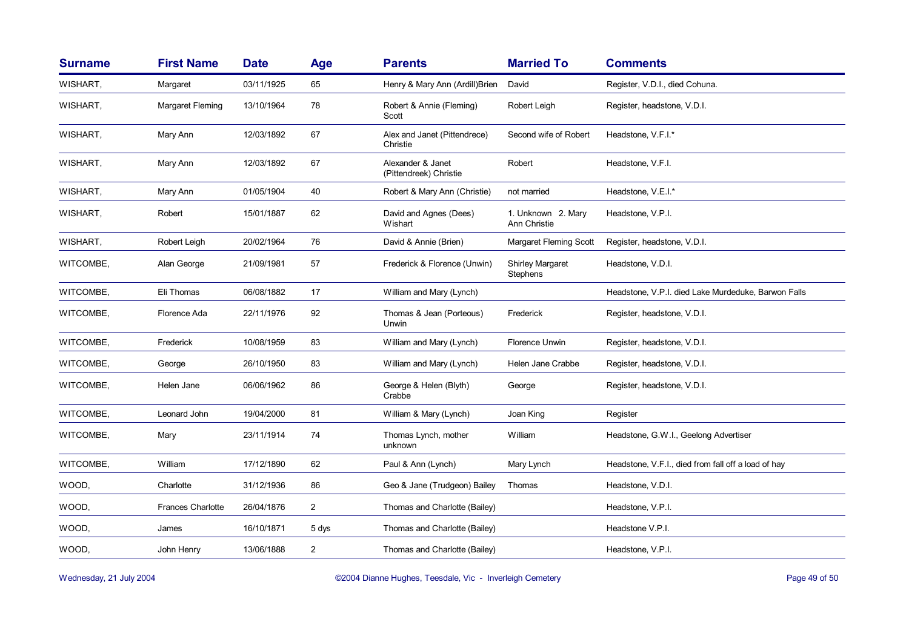| <b>Surname</b> | <b>First Name</b> | <b>Date</b> | <b>Age</b>     | <b>Parents</b>                              | <b>Married To</b>                          | <b>Comments</b>                                     |
|----------------|-------------------|-------------|----------------|---------------------------------------------|--------------------------------------------|-----------------------------------------------------|
| WISHART,       | Margaret          | 03/11/1925  | 65             | Henry & Mary Ann (Ardill) Brien             | David                                      | Register, V.D.I., died Cohuna.                      |
| WISHART,       | Margaret Fleming  | 13/10/1964  | 78             | Robert & Annie (Fleming)<br>Scott           | Robert Leigh                               | Register, headstone, V.D.I.                         |
| WISHART,       | Mary Ann          | 12/03/1892  | 67             | Alex and Janet (Pittendrece)<br>Christie    | Second wife of Robert                      | Headstone, V.F.I.*                                  |
| WISHART,       | Mary Ann          | 12/03/1892  | 67             | Alexander & Janet<br>(Pittendreek) Christie | Robert                                     | Headstone, V.F.I.                                   |
| WISHART,       | Mary Ann          | 01/05/1904  | 40             | Robert & Mary Ann (Christie)                | not married                                | Headstone, V.E.I.*                                  |
| WISHART,       | Robert            | 15/01/1887  | 62             | David and Agnes (Dees)<br>Wishart           | 1. Unknown 2. Mary<br>Ann Christie         | Headstone, V.P.I.                                   |
| WISHART,       | Robert Leigh      | 20/02/1964  | 76             | David & Annie (Brien)                       | Margaret Fleming Scott                     | Register, headstone, V.D.I.                         |
| WITCOMBE,      | Alan George       | 21/09/1981  | 57             | Frederick & Florence (Unwin)                | <b>Shirley Margaret</b><br><b>Stephens</b> | Headstone, V.D.I.                                   |
| WITCOMBE,      | Eli Thomas        | 06/08/1882  | 17             | William and Mary (Lynch)                    |                                            | Headstone, V.P.I. died Lake Murdeduke, Barwon Falls |
| WITCOMBE,      | Florence Ada      | 22/11/1976  | 92             | Thomas & Jean (Porteous)<br>Unwin           | Frederick                                  | Register, headstone, V.D.I.                         |
| WITCOMBE,      | Frederick         | 10/08/1959  | 83             | William and Mary (Lynch)                    | <b>Florence Unwin</b>                      | Register, headstone, V.D.I.                         |
| WITCOMBE,      | George            | 26/10/1950  | 83             | William and Mary (Lynch)                    | Helen Jane Crabbe                          | Register, headstone, V.D.I.                         |
| WITCOMBE,      | Helen Jane        | 06/06/1962  | 86             | George & Helen (Blyth)<br>Crabbe            | George                                     | Register, headstone, V.D.I.                         |
| WITCOMBE,      | Leonard John      | 19/04/2000  | 81             | William & Mary (Lynch)                      | Joan King                                  | Register                                            |
| WITCOMBE.      | Mary              | 23/11/1914  | 74             | Thomas Lynch, mother<br>unknown             | William                                    | Headstone, G.W.I., Geelong Advertiser               |
| WITCOMBE,      | William           | 17/12/1890  | 62             | Paul & Ann (Lynch)                          | Mary Lynch                                 | Headstone, V.F.I., died from fall off a load of hay |
| WOOD,          | Charlotte         | 31/12/1936  | 86             | Geo & Jane (Trudgeon) Bailey                | Thomas                                     | Headstone, V.D.I.                                   |
| WOOD,          | Frances Charlotte | 26/04/1876  | $\overline{c}$ | Thomas and Charlotte (Bailey)               |                                            | Headstone, V.P.I.                                   |
| WOOD,          | James             | 16/10/1871  | 5 dys          | Thomas and Charlotte (Bailey)               |                                            | Headstone V.P.I.                                    |
| WOOD,          | John Henry        | 13/06/1888  | $\overline{c}$ | Thomas and Charlotte (Bailey)               |                                            | Headstone, V.P.I.                                   |
|                |                   |             |                |                                             |                                            |                                                     |